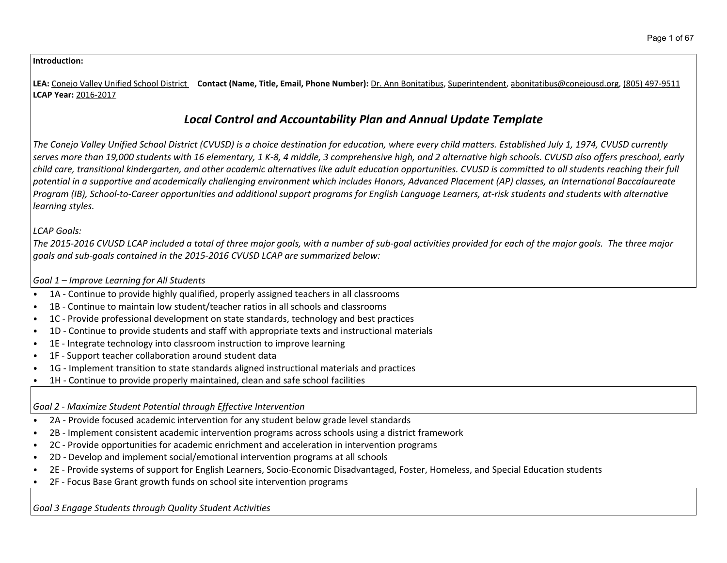### **Introduction:**

**LEA:** Conejo Valley Unified School District **Contact (Name, Title, Email, Phone Number):** Dr. Ann Bonitatibus, Superintendent, abonitatibus@conejousd.org, (805) 497-9511 **LCAP Year:** 2016-2017

# *Local Control and Accountability Plan and Annual Update Template*

The Conejo Valley Unified School District (CVUSD) is a choice destination for education, where every child matters. Established July 1, 1974, CVUSD currently serves more than 19,000 students with 16 elementary, 1 K-8, 4 middle, 3 comprehensive high, and 2 alternative high schools. CVUSD also offers preschool, early child care, transitional kindergarten, and other academic alternatives like adult education opportunities. CVUSD is committed to all students reaching their full potential in a supportive and academically challenging environment which includes Honors, Advanced Placement (AP) classes, an International Baccalaureate Program (IB), School-to-Career opportunities and additional support programs for English Language Learners, at-risk students and students with alternative *learning styles.*

## *LCAP Goals:*

The 2015-2016 CVUSD LCAP included a total of three major goals, with a number of sub-goal activities provided for each of the major goals. The three major *goals and sub-goals contained in the 2015-2016 CVUSD LCAP are summarized below:*

## *Goal 1 – Improve Learning for All Students*

- 1A Continue to provide highly qualified, properly assigned teachers in all classrooms
- 1B Continue to maintain low student/teacher ratios in all schools and classrooms
- 1C Provide professional development on state standards, technology and best practices
- 1D Continue to provide students and staff with appropriate texts and instructional materials
- 1E Integrate technology into classroom instruction to improve learning
- 1F Support teacher collaboration around student data
- 1G Implement transition to state standards aligned instructional materials and practices
- 1H Continue to provide properly maintained, clean and safe school facilities

## *Goal 2 - Maximize Student Potential through Effective Intervention*

- 2A Provide focused academic intervention for any student below grade level standards
- 2B Implement consistent academic intervention programs across schools using a district framework
- 2C Provide opportunities for academic enrichment and acceleration in intervention programs
- 2D Develop and implement social/emotional intervention programs at all schools
- 2E Provide systems of support for English Learners, Socio-Economic Disadvantaged, Foster, Homeless, and Special Education students
- 2F Focus Base Grant growth funds on school site intervention programs

*Goal 3 Engage Students through Quality Student Activities*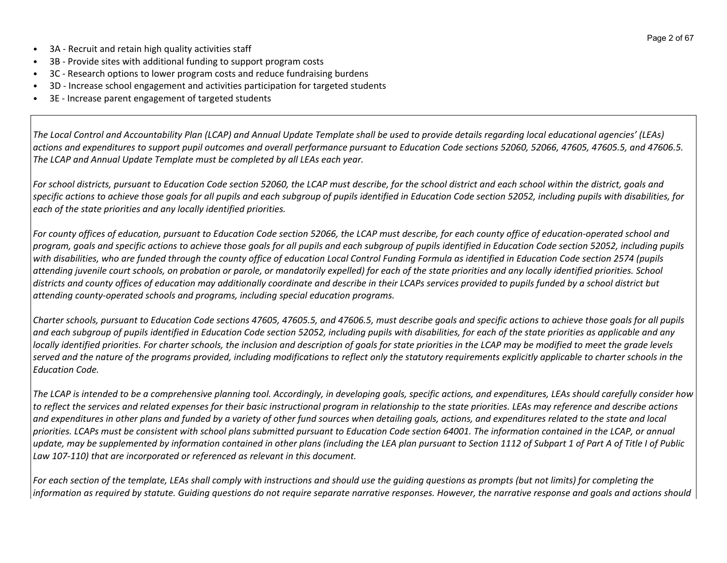- 3A Recruit and retain high quality activities staff
- 3B Provide sites with additional funding to support program costs
- 3C Research options to lower program costs and reduce fundraising burdens
- 3D Increase school engagement and activities participation for targeted students
- 3E Increase parent engagement of targeted students

The Local Control and Accountability Plan (LCAP) and Annual Update Template shall be used to provide details regarding local educational agencies' (LEAs) actions and expenditures to support pupil outcomes and overall performance pursuant to Education Code sections 52060, 52066, 47605, 47605.5, and 47606.5. *The LCAP and Annual Update Template must be completed by all LEAs each year.*

For school districts, pursuant to Education Code section 52060, the LCAP must describe, for the school district and each school within the district, goals and specific actions to achieve those goals for all pupils and each subgroup of pupils identified in Education Code section 52052, including pupils with disabilities, for *each of the state priorities and any locally identified priorities.*

For county offices of education, pursuant to Education Code section 52066, the LCAP must describe, for each county office of education-operated school and program, goals and specific actions to achieve those goals for all pupils and each subgroup of pupils identified in Education Code section 52052, including pupils with disabilities, who are funded through the county office of education Local Control Funding Formula as identified in Education Code section 2574 (pupils attending juvenile court schools, on probation or parole, or mandatorily expelled) for each of the state priorities and any locally identified priorities. School districts and county offices of education may additionally coordinate and describe in their LCAPs services provided to pupils funded by a school district but *attending county-operated schools and programs, including special education programs.*

Charter schools, pursuant to Education Code sections 47605, 47605.5, and 47606.5, must describe goals and specific actions to achieve those goals for all pupils and each subgroup of pupils identified in Education Code section 52052, including pupils with disabilities, for each of the state priorities as applicable and any locally identified priorities. For charter schools, the inclusion and description of goals for state priorities in the LCAP may be modified to meet the grade levels served and the nature of the programs provided, including modifications to reflect only the statutory requirements explicitly applicable to charter schools in the *Education Code.*

The LCAP is intended to be a comprehensive planning tool. Accordingly, in developing goals, specific actions, and expenditures, LEAs should carefully consider how to reflect the services and related expenses for their basic instructional program in relationship to the state priorities. LEAs may reference and describe actions and expenditures in other plans and funded by a variety of other fund sources when detailing goals, actions, and expenditures related to the state and local priorities. LCAPs must be consistent with school plans submitted pursuant to Education Code section 64001. The information contained in the LCAP, or annual update, may be supplemented by information contained in other plans (including the LEA plan pursuant to Section 1112 of Subpart 1 of Part A of Title I of Public *Law 107-110) that are incorporated or referenced as relevant in this document.* 

For each section of the template, LEAs shall comply with instructions and should use the quiding questions as prompts (but not limits) for completing the information as required by statute. Guiding questions do not require separate narrative responses. However, the narrative response and goals and actions should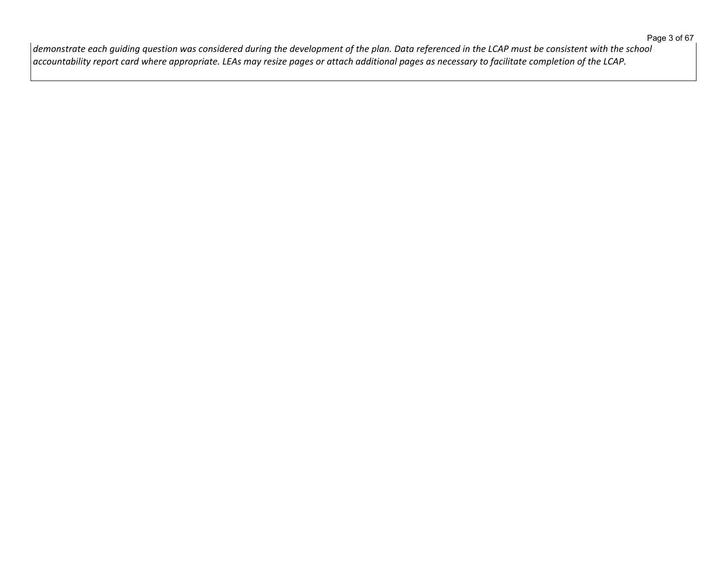$\vert$ demonstrate each guiding question was considered during the development of the plan. Data referenced in the LCAP must be consistent with the school  $\vert$  accountability report card where appropriate. LEAs may resize pages or attach additional pages as necessary to facilitate completion of the LCAP.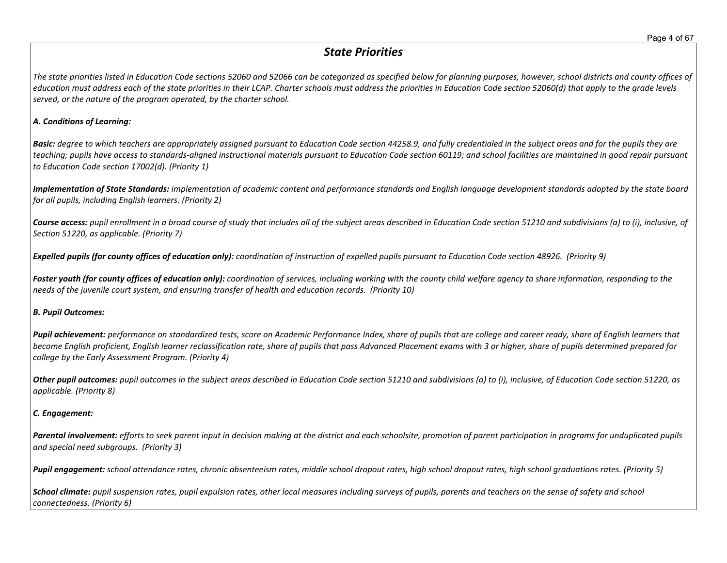# *State Priorities*

The state priorities listed in Education Code sections 52060 and 52066 can be categorized as specified below for planning purposes, however, school districts and county offices of education must address each of the state priorities in their LCAP. Charter schools must address the priorities in Education Code section 52060(d) that apply to the grade levels *served, or the nature of the program operated, by the charter school.*

#### *A. Conditions of Learning:*

**Basic:** degree to which teachers are appropriately assigned pursuant to Education Code section 44258.9, and fully credentialed in the subject areas and for the pupils they are teaching; pupils have access to standards-aligned instructional materials pursuant to Education Code section 60119; and school facilities are maintained in good repair pursuant *to Education Code section 17002(d). (Priority 1)*

Implementation of State Standards: implementation of academic content and performance standards and English language development standards adopted by the state board *for all pupils, including English learners. (Priority 2)*

Course access: pupil enrollment in a broad course of study that includes all of the subject areas described in Education Code section 51210 and subdivisions (a) to (i), inclusive, of *Section 51220, as applicable. (Priority 7)*

Expelled pupils (for county offices of education only): coordination of instruction of expelled pupils pursuant to Education Code section 48926. (Priority 9)

Foster youth (for county offices of education only): coordination of services, including working with the county child welfare agency to share information, responding to the *needs of the juvenile court system, and ensuring transfer of health and education records. (Priority 10)*

#### *B. Pupil Outcomes:*

Pupil achievement: performance on standardized tests, score on Academic Performance Index, share of pupils that are college and career ready, share of English learners that become English proficient, English learner reclassification rate, share of pupils that pass Advanced Placement exams with 3 or higher, share of pupils determined prepared for *college by the Early Assessment Program. (Priority 4)*

Other pupil outcomes: pupil outcomes in the subject areas described in Education Code section 51210 and subdivisions (a) to (i), inclusive, of Education Code section 51220, as *applicable. (Priority 8)* 

### *C. Engagement:*

Parental involvement: efforts to seek parent input in decision making at the district and each schoolsite, promotion of parent participation in programs for unduplicated pupils *and special need subgroups. (Priority 3)*

Pupil engagement: school attendance rates, chronic absenteeism rates, middle school dropout rates, high school dropout rates, high school graduations rates. (Priority 5)

School climate: pupil suspension rates, pupil expulsion rates, other local measures including surveys of pupils, parents and teachers on the sense of safety and school *connectedness. (Priority 6)*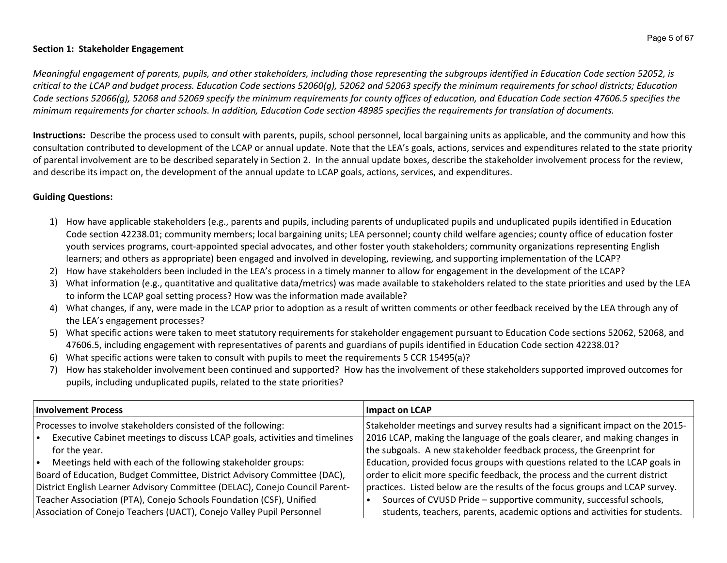#### **Section 1: Stakeholder Engagement**

Meaningful engagement of parents, pupils, and other stakeholders, including those representing the subgroups identified in Education Code section 52052, is critical to the LCAP and budget process. Education Code sections 52060(g), 52062 and 52063 specify the minimum requirements for school districts; Education Code sections 52066(g), 52068 and 52069 specify the minimum requirements for county offices of education, and Education Code section 47606.5 specifies the minimum requirements for charter schools. In addition, Education Code section 48985 specifies the requirements for translation of documents.

**Instructions:** Describe the process used to consult with parents, pupils, school personnel, local bargaining units as applicable, and the community and how this consultation contributed to development of the LCAP or annual update. Note that the LEA's goals, actions, services and expenditures related to the state priority of parental involvement are to be described separately in Section 2. In the annual update boxes, describe the stakeholder involvement process for the review, and describe its impact on, the development of the annual update to LCAP goals, actions, services, and expenditures.

## **Guiding Questions:**

- 1) How have applicable stakeholders (e.g., parents and pupils, including parents of unduplicated pupils and unduplicated pupils identified in Education Code section 42238.01; community members; local bargaining units; LEA personnel; county child welfare agencies; county office of education foster youth services programs, court-appointed special advocates, and other foster youth stakeholders; community organizations representing English learners; and others as appropriate) been engaged and involved in developing, reviewing, and supporting implementation of the LCAP?
- 2) How have stakeholders been included in the LEA's process in a timely manner to allow for engagement in the development of the LCAP?
- 3) What information (e.g., quantitative and qualitative data/metrics) was made available to stakeholders related to the state priorities and used by the LEA to inform the LCAP goal setting process? How was the information made available?
- 4) What changes, if any, were made in the LCAP prior to adoption as a result of written comments or other feedback received by the LEA through any of the LEA's engagement processes?
- 5) What specific actions were taken to meet statutory requirements for stakeholder engagement pursuant to Education Code sections 52062, 52068, and 47606.5, including engagement with representatives of parents and guardians of pupils identified in Education Code section 42238.01?
- 6) What specific actions were taken to consult with pupils to meet the requirements 5 CCR 15495(a)?
- 7) How has stakeholder involvement been continued and supported? How has the involvement of these stakeholders supported improved outcomes for pupils, including unduplicated pupils, related to the state priorities?

| <b>Involvement Process</b>                                                  | Impact on LCAP                                                                |
|-----------------------------------------------------------------------------|-------------------------------------------------------------------------------|
| Processes to involve stakeholders consisted of the following:               | Stakeholder meetings and survey results had a significant impact on the 2015- |
| Executive Cabinet meetings to discuss LCAP goals, activities and timelines  | 2016 LCAP, making the language of the goals clearer, and making changes in    |
| for the year.                                                               | the subgoals. A new stakeholder feedback process, the Greenprint for          |
| Meetings held with each of the following stakeholder groups:                | Education, provided focus groups with questions related to the LCAP goals in  |
| Board of Education, Budget Committee, District Advisory Committee (DAC),    | order to elicit more specific feedback, the process and the current district  |
| District English Learner Advisory Committee (DELAC), Conejo Council Parent- | practices. Listed below are the results of the focus groups and LCAP survey.  |
| Teacher Association (PTA), Conejo Schools Foundation (CSF), Unified         | Sources of CVUSD Pride - supportive community, successful schools,            |
| Association of Conejo Teachers (UACT), Conejo Valley Pupil Personnel        | students, teachers, parents, academic options and activities for students.    |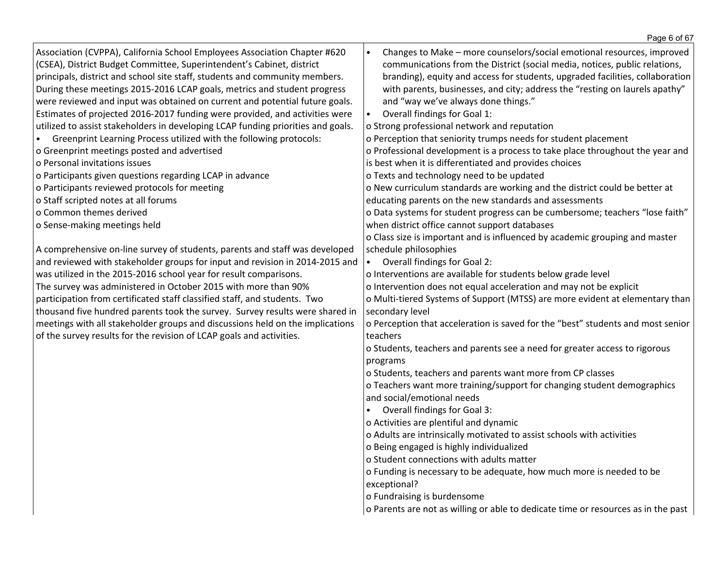|                                                                                                                                                                                                                                                                                                                                                                                                                                                                                                                                                                                                                                                                                                                                                                                                                                                                                                                                                                                                                                                                                                                                                                                                                                                                                                                                                                                                                                                                                                                                                                                | Page 6 of 67                                                                                                                                                                                                                                                                                                                                                                                                                                                                                                                                                                                                                                                                                                                                                                                                                                                                                                                                                                                                                                                                                                                                                                                                                                                                                                                                                                                                                                                                                                                                                                                                                                                                                                                                                                                                                                                                                                                                                                                                                                        |
|--------------------------------------------------------------------------------------------------------------------------------------------------------------------------------------------------------------------------------------------------------------------------------------------------------------------------------------------------------------------------------------------------------------------------------------------------------------------------------------------------------------------------------------------------------------------------------------------------------------------------------------------------------------------------------------------------------------------------------------------------------------------------------------------------------------------------------------------------------------------------------------------------------------------------------------------------------------------------------------------------------------------------------------------------------------------------------------------------------------------------------------------------------------------------------------------------------------------------------------------------------------------------------------------------------------------------------------------------------------------------------------------------------------------------------------------------------------------------------------------------------------------------------------------------------------------------------|-----------------------------------------------------------------------------------------------------------------------------------------------------------------------------------------------------------------------------------------------------------------------------------------------------------------------------------------------------------------------------------------------------------------------------------------------------------------------------------------------------------------------------------------------------------------------------------------------------------------------------------------------------------------------------------------------------------------------------------------------------------------------------------------------------------------------------------------------------------------------------------------------------------------------------------------------------------------------------------------------------------------------------------------------------------------------------------------------------------------------------------------------------------------------------------------------------------------------------------------------------------------------------------------------------------------------------------------------------------------------------------------------------------------------------------------------------------------------------------------------------------------------------------------------------------------------------------------------------------------------------------------------------------------------------------------------------------------------------------------------------------------------------------------------------------------------------------------------------------------------------------------------------------------------------------------------------------------------------------------------------------------------------------------------------|
| Association (CVPPA), California School Employees Association Chapter #620<br>(CSEA), District Budget Committee, Superintendent's Cabinet, district<br>principals, district and school site staff, students and community members.<br>During these meetings 2015-2016 LCAP goals, metrics and student progress<br>were reviewed and input was obtained on current and potential future goals.<br>Estimates of projected 2016-2017 funding were provided, and activities were<br>utilized to assist stakeholders in developing LCAP funding priorities and goals.<br>Greenprint Learning Process utilized with the following protocols:<br>$\bullet$<br>o Greenprint meetings posted and advertised<br>o Personal invitations issues<br>o Participants given questions regarding LCAP in advance<br>o Participants reviewed protocols for meeting<br>o Staff scripted notes at all forums<br>o Common themes derived<br>o Sense-making meetings held<br>A comprehensive on-line survey of students, parents and staff was developed<br>and reviewed with stakeholder groups for input and revision in 2014-2015 and<br>was utilized in the 2015-2016 school year for result comparisons.<br>The survey was administered in October 2015 with more than 90%<br>participation from certificated staff classified staff, and students. Two<br>thousand five hundred parents took the survey. Survey results were shared in<br>meetings with all stakeholder groups and discussions held on the implications<br>of the survey results for the revision of LCAP goals and activities. | Changes to Make - more counselors/social emotional resources, improved<br>communications from the District (social media, notices, public relations,<br>branding), equity and access for students, upgraded facilities, collaboration<br>with parents, businesses, and city; address the "resting on laurels apathy"<br>and "way we've always done things."<br>Overall findings for Goal 1:<br>o Strong professional network and reputation<br>o Perception that seniority trumps needs for student placement<br>o Professional development is a process to take place throughout the year and<br>is best when it is differentiated and provides choices<br>o Texts and technology need to be updated<br>o New curriculum standards are working and the district could be better at<br>educating parents on the new standards and assessments<br>o Data systems for student progress can be cumbersome; teachers "lose faith"<br>when district office cannot support databases<br>o Class size is important and is influenced by academic grouping and master<br>schedule philosophies<br>Overall findings for Goal 2:<br>o Interventions are available for students below grade level<br>o Intervention does not equal acceleration and may not be explicit<br>o Multi-tiered Systems of Support (MTSS) are more evident at elementary than<br>secondary level<br>o Perception that acceleration is saved for the "best" students and most senior<br>teachers<br>o Students, teachers and parents see a need for greater access to rigorous<br>programs<br>o Students, teachers and parents want more from CP classes<br>o Teachers want more training/support for changing student demographics<br>and social/emotional needs<br>Overall findings for Goal 3:<br>o Activities are plentiful and dynamic<br>o Adults are intrinsically motivated to assist schools with activities<br>o Being engaged is highly individualized<br>o Student connections with adults matter<br>o Funding is necessary to be adequate, how much more is needed to be |
|                                                                                                                                                                                                                                                                                                                                                                                                                                                                                                                                                                                                                                                                                                                                                                                                                                                                                                                                                                                                                                                                                                                                                                                                                                                                                                                                                                                                                                                                                                                                                                                | exceptional?                                                                                                                                                                                                                                                                                                                                                                                                                                                                                                                                                                                                                                                                                                                                                                                                                                                                                                                                                                                                                                                                                                                                                                                                                                                                                                                                                                                                                                                                                                                                                                                                                                                                                                                                                                                                                                                                                                                                                                                                                                        |
|                                                                                                                                                                                                                                                                                                                                                                                                                                                                                                                                                                                                                                                                                                                                                                                                                                                                                                                                                                                                                                                                                                                                                                                                                                                                                                                                                                                                                                                                                                                                                                                | o Fundraising is burdensome                                                                                                                                                                                                                                                                                                                                                                                                                                                                                                                                                                                                                                                                                                                                                                                                                                                                                                                                                                                                                                                                                                                                                                                                                                                                                                                                                                                                                                                                                                                                                                                                                                                                                                                                                                                                                                                                                                                                                                                                                         |
|                                                                                                                                                                                                                                                                                                                                                                                                                                                                                                                                                                                                                                                                                                                                                                                                                                                                                                                                                                                                                                                                                                                                                                                                                                                                                                                                                                                                                                                                                                                                                                                | o Parents are not as willing or able to dedicate time or resources as in the past                                                                                                                                                                                                                                                                                                                                                                                                                                                                                                                                                                                                                                                                                                                                                                                                                                                                                                                                                                                                                                                                                                                                                                                                                                                                                                                                                                                                                                                                                                                                                                                                                                                                                                                                                                                                                                                                                                                                                                   |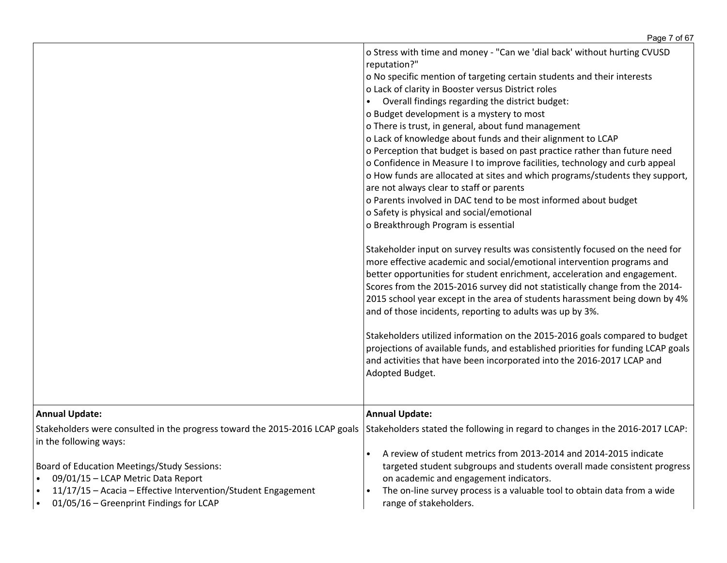|                                                                                                                                                                                                                                | o Stress with time and money - "Can we 'dial back' without hurting CVUSD<br>reputation?"<br>o No specific mention of targeting certain students and their interests<br>o Lack of clarity in Booster versus District roles<br>Overall findings regarding the district budget:<br>o Budget development is a mystery to most<br>o There is trust, in general, about fund management<br>o Lack of knowledge about funds and their alignment to LCAP<br>o Perception that budget is based on past practice rather than future need<br>o Confidence in Measure I to improve facilities, technology and curb appeal<br>o How funds are allocated at sites and which programs/students they support,<br>are not always clear to staff or parents<br>o Parents involved in DAC tend to be most informed about budget<br>o Safety is physical and social/emotional<br>o Breakthrough Program is essential<br>Stakeholder input on survey results was consistently focused on the need for<br>more effective academic and social/emotional intervention programs and<br>better opportunities for student enrichment, acceleration and engagement.<br>Scores from the 2015-2016 survey did not statistically change from the 2014-<br>2015 school year except in the area of students harassment being down by 4%<br>and of those incidents, reporting to adults was up by 3%.<br>Stakeholders utilized information on the 2015-2016 goals compared to budget<br>projections of available funds, and established priorities for funding LCAP goals<br>and activities that have been incorporated into the 2016-2017 LCAP and<br>Adopted Budget. |
|--------------------------------------------------------------------------------------------------------------------------------------------------------------------------------------------------------------------------------|-------------------------------------------------------------------------------------------------------------------------------------------------------------------------------------------------------------------------------------------------------------------------------------------------------------------------------------------------------------------------------------------------------------------------------------------------------------------------------------------------------------------------------------------------------------------------------------------------------------------------------------------------------------------------------------------------------------------------------------------------------------------------------------------------------------------------------------------------------------------------------------------------------------------------------------------------------------------------------------------------------------------------------------------------------------------------------------------------------------------------------------------------------------------------------------------------------------------------------------------------------------------------------------------------------------------------------------------------------------------------------------------------------------------------------------------------------------------------------------------------------------------------------------------------------------------------------------------------------------------------------------|
| <b>Annual Update:</b>                                                                                                                                                                                                          | <b>Annual Update:</b>                                                                                                                                                                                                                                                                                                                                                                                                                                                                                                                                                                                                                                                                                                                                                                                                                                                                                                                                                                                                                                                                                                                                                                                                                                                                                                                                                                                                                                                                                                                                                                                                               |
| Stakeholders were consulted in the progress toward the 2015-2016 LCAP goals<br>in the following ways:                                                                                                                          | Stakeholders stated the following in regard to changes in the 2016-2017 LCAP:                                                                                                                                                                                                                                                                                                                                                                                                                                                                                                                                                                                                                                                                                                                                                                                                                                                                                                                                                                                                                                                                                                                                                                                                                                                                                                                                                                                                                                                                                                                                                       |
| <b>Board of Education Meetings/Study Sessions:</b><br>09/01/15 - LCAP Metric Data Report<br>$\bullet$<br>11/17/15 - Acacia - Effective Intervention/Student Engagement<br>01/05/16 – Greenprint Findings for LCAP<br>$\bullet$ | A review of student metrics from 2013-2014 and 2014-2015 indicate<br>targeted student subgroups and students overall made consistent progress<br>on academic and engagement indicators.<br>The on-line survey process is a valuable tool to obtain data from a wide<br>range of stakeholders.                                                                                                                                                                                                                                                                                                                                                                                                                                                                                                                                                                                                                                                                                                                                                                                                                                                                                                                                                                                                                                                                                                                                                                                                                                                                                                                                       |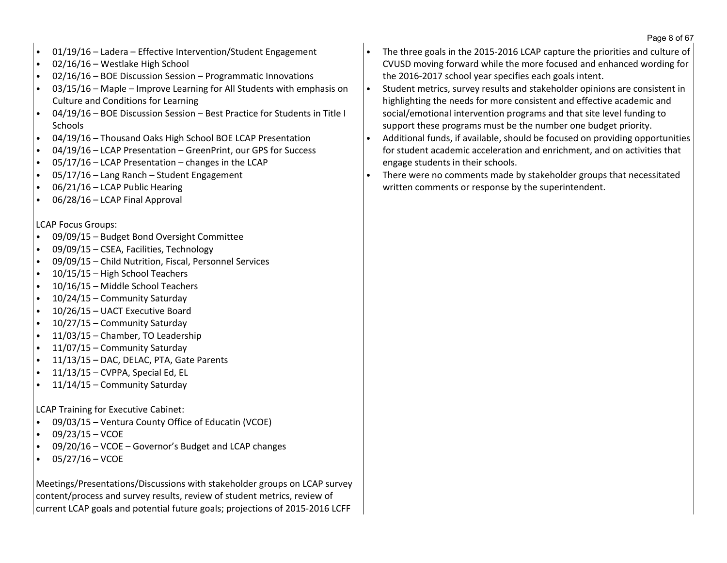- 01/19/16 Ladera Effective Intervention/Student Engagement
- 02/16/16 Westlake High School
- 02/16/16 BOE Discussion Session Programmatic Innovations
- 03/15/16 Maple Improve Learning for All Students with emphasis on Culture and Conditions for Learning
- 04/19/16 BOE Discussion Session Best Practice for Students in Title I **Schools**
- 04/19/16 Thousand Oaks High School BOE LCAP Presentation
- 04/19/16 LCAP Presentation GreenPrint, our GPS for Success
- $05/17/16$  LCAP Presentation changes in the LCAP
- 05/17/16 Lang Ranch Student Engagement
- 06/21/16 LCAP Public Hearing
- 06/28/16 LCAP Final Approval

## LCAP Focus Groups:

- 09/09/15 Budget Bond Oversight Committee
- 09/09/15 CSEA, Facilities, Technology
- 09/09/15 Child Nutrition, Fiscal, Personnel Services
- 10/15/15 High School Teachers
- 10/16/15 Middle School Teachers
- 10/24/15 Community Saturday
- 10/26/15 UACT Executive Board
- 10/27/15 Community Saturday
- 11/03/15 Chamber, TO Leadership
- 11/07/15 Community Saturday
- 11/13/15 DAC, DELAC, PTA, Gate Parents
- 11/13/15 CVPPA, Special Ed, EL
- 11/14/15 Community Saturday

LCAP Training for Executive Cabinet:

- 09/03/15 Ventura County Office of Educatin (VCOE)
- $\cdot$  09/23/15 VCOE
- 09/20/16 VCOE Governor's Budget and LCAP changes
- $\cdot$  05/27/16 VCOE

Meetings/Presentations/Discussions with stakeholder groups on LCAP survey content/process and survey results, review of student metrics, review of current LCAP goals and potential future goals; projections of 2015-2016 LCFF

- The three goals in the 2015-2016 LCAP capture the priorities and culture of CVUSD moving forward while the more focused and enhanced wording for the 2016-2017 school year specifies each goals intent.
- Student metrics, survey results and stakeholder opinions are consistent in highlighting the needs for more consistent and effective academic and social/emotional intervention programs and that site level funding to support these programs must be the number one budget priority.
- Additional funds, if available, should be focused on providing opportunities for student academic acceleration and enrichment, and on activities that engage students in their schools.
- There were no comments made by stakeholder groups that necessitated written comments or response by the superintendent.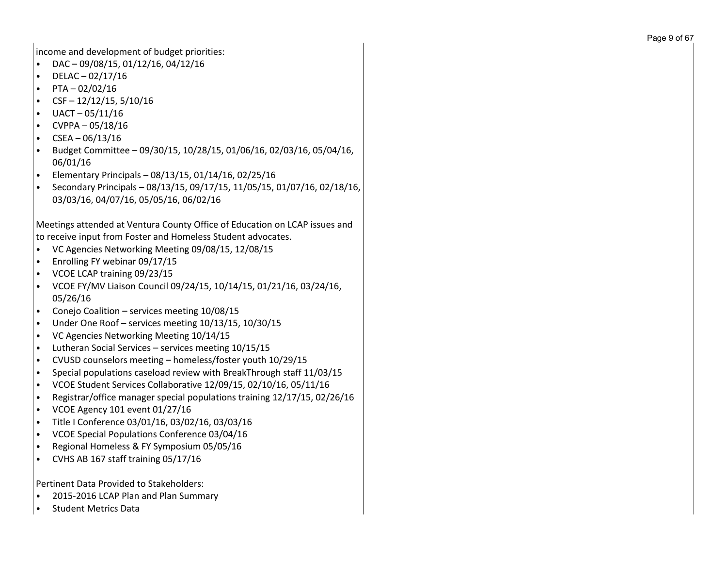income and development of budget priorities:

- DAC 09/08/15, 01/12/16, 04/12/16
- DELAC 02/17/16
- $\cdot$  PTA 02/02/16
- $CSF 12/12/15, 5/10/16$
- UACT 05/11/16
- CVPPA 05/18/16
- $CSEA 06/13/16$
- Budget Committee 09/30/15, 10/28/15, 01/06/16, 02/03/16, 05/04/16, 06/01/16
- Elementary Principals 08/13/15, 01/14/16, 02/25/16
- Secondary Principals 08/13/15, 09/17/15, 11/05/15, 01/07/16, 02/18/16, 03/03/16, 04/07/16, 05/05/16, 06/02/16

Meetings attended at Ventura County Office of Education on LCAP issues and to receive input from Foster and Homeless Student advocates.

- VC Agencies Networking Meeting 09/08/15, 12/08/15
- Enrolling FY webinar 09/17/15
- VCOE LCAP training 09/23/15
- VCOE FY/MV Liaison Council 09/24/15, 10/14/15, 01/21/16, 03/24/16, 05/26/16
- Conejo Coalition services meeting 10/08/15
- Under One Roof services meeting 10/13/15, 10/30/15
- VC Agencies Networking Meeting 10/14/15
- Lutheran Social Services services meeting 10/15/15
- CVUSD counselors meeting homeless/foster youth 10/29/15
- Special populations caseload review with BreakThrough staff 11/03/15
- VCOE Student Services Collaborative 12/09/15, 02/10/16, 05/11/16
- Registrar/office manager special populations training 12/17/15, 02/26/16
- $\cdot$  VCOE Agency 101 event 01/27/16
- Title I Conference 03/01/16, 03/02/16, 03/03/16
- VCOE Special Populations Conference 03/04/16
- Regional Homeless & FY Symposium 05/05/16
- CVHS AB 167 staff training 05/17/16

Pertinent Data Provided to Stakeholders:

- 2015-2016 LCAP Plan and Plan Summary
- Student Metrics Data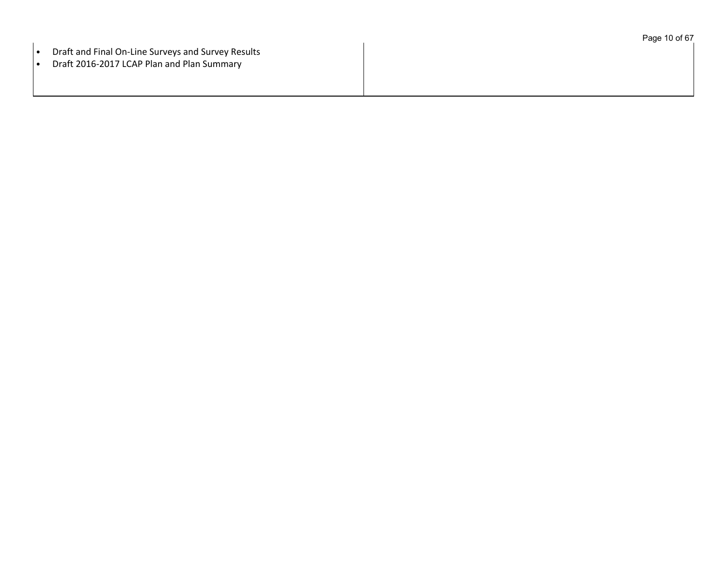|                                                                 | Page 10 of 67 |
|-----------------------------------------------------------------|---------------|
| Draft and Final On-Line Surveys and Survey Results<br>$\bullet$ |               |
| Draft 2016-2017 LCAP Plan and Plan Summary<br>$\bullet$         |               |
|                                                                 |               |
|                                                                 |               |
|                                                                 |               |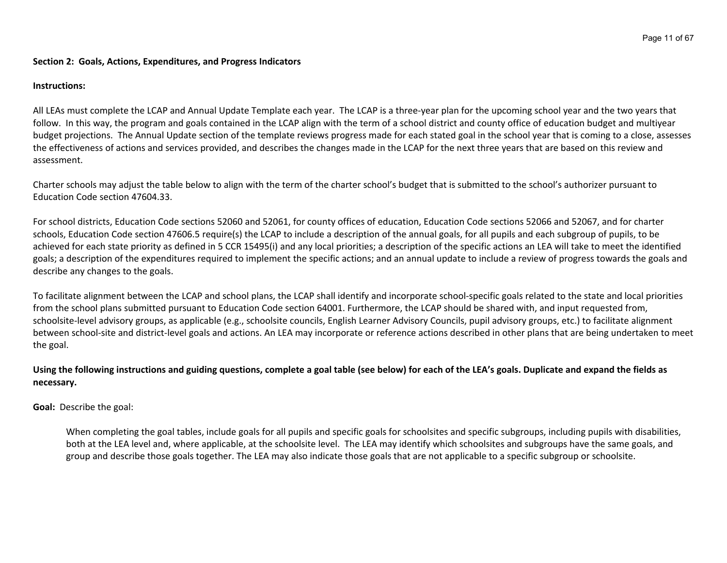#### **Section 2: Goals, Actions, Expenditures, and Progress Indicators**

#### **Instructions:**

All LEAs must complete the LCAP and Annual Update Template each year. The LCAP is a three-year plan for the upcoming school year and the two years that follow. In this way, the program and goals contained in the LCAP align with the term of a school district and county office of education budget and multiyear budget projections. The Annual Update section of the template reviews progress made for each stated goal in the school year that is coming to a close, assesses the effectiveness of actions and services provided, and describes the changes made in the LCAP for the next three years that are based on this review and assessment.

Charter schools may adjust the table below to align with the term of the charter school's budget that is submitted to the school's authorizer pursuant to Education Code section 47604.33.

For school districts, Education Code sections 52060 and 52061, for county offices of education, Education Code sections 52066 and 52067, and for charter schools, Education Code section 47606.5 require(s) the LCAP to include a description of the annual goals, for all pupils and each subgroup of pupils, to be achieved for each state priority as defined in 5 CCR 15495(i) and any local priorities; a description of the specific actions an LEA will take to meet the identified goals; a description of the expenditures required to implement the specific actions; and an annual update to include a review of progress towards the goals and describe any changes to the goals.

To facilitate alignment between the LCAP and school plans, the LCAP shall identify and incorporate school-specific goals related to the state and local priorities from the school plans submitted pursuant to Education Code section 64001. Furthermore, the LCAP should be shared with, and input requested from, schoolsite-level advisory groups, as applicable (e.g., schoolsite councils, English Learner Advisory Councils, pupil advisory groups, etc.) to facilitate alignment between school-site and district-level goals and actions. An LEA may incorporate or reference actions described in other plans that are being undertaken to meet the goal.

## Using the following instructions and guiding questions, complete a goal table (see below) for each of the LEA's goals. Duplicate and expand the fields as **necessary.**

**Goal:** Describe the goal:

When completing the goal tables, include goals for all pupils and specific goals for schoolsites and specific subgroups, including pupils with disabilities, both at the LEA level and, where applicable, at the schoolsite level. The LEA may identify which schoolsites and subgroups have the same goals, and group and describe those goals together. The LEA may also indicate those goals that are not applicable to a specific subgroup or schoolsite.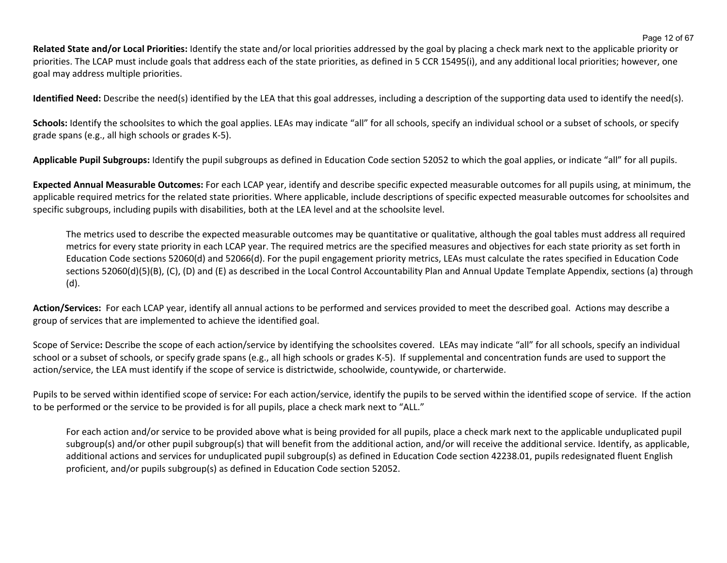**Related State and/or Local Priorities:** Identify the state and/or local priorities addressed by the goal by placing a check mark next to the applicable priority or priorities. The LCAP must include goals that address each of the state priorities, as defined in 5 CCR 15495(i), and any additional local priorities; however, one goal may address multiple priorities.

**Identified Need:** Describe the need(s) identified by the LEA that this goal addresses, including a description of the supporting data used to identify the need(s).

Schools: Identify the schoolsites to which the goal applies. LEAs may indicate "all" for all schools, specify an individual school or a subset of schools, or specify grade spans (e.g., all high schools or grades K-5).

**Applicable Pupil Subgroups:** Identify the pupil subgroups as defined in Education Code section 52052 to which the goal applies, or indicate "all" for all pupils.

**Expected Annual Measurable Outcomes:** For each LCAP year, identify and describe specific expected measurable outcomes for all pupils using, at minimum, the applicable required metrics for the related state priorities. Where applicable, include descriptions of specific expected measurable outcomes for schoolsites and specific subgroups, including pupils with disabilities, both at the LEA level and at the schoolsite level.

The metrics used to describe the expected measurable outcomes may be quantitative or qualitative, although the goal tables must address all required metrics for every state priority in each LCAP year. The required metrics are the specified measures and objectives for each state priority as set forth in Education Code sections 52060(d) and 52066(d). For the pupil engagement priority metrics, LEAs must calculate the rates specified in Education Code sections 52060(d)(5)(B), (C), (D) and (E) as described in the Local Control Accountability Plan and Annual Update Template Appendix, sections (a) through (d).

**Action/Services:** For each LCAP year, identify all annual actions to be performed and services provided to meet the described goal. Actions may describe a group of services that are implemented to achieve the identified goal.

Scope of Service**:** Describe the scope of each action/service by identifying the schoolsites covered. LEAs may indicate "all" for all schools, specify an individual school or a subset of schools, or specify grade spans (e.g., all high schools or grades K-5). If supplemental and concentration funds are used to support the action/service, the LEA must identify if the scope of service is districtwide, schoolwide, countywide, or charterwide.

Pupils to be served within identified scope of service**:** For each action/service, identify the pupils to be served within the identified scope of service. If the action to be performed or the service to be provided is for all pupils, place a check mark next to "ALL."

For each action and/or service to be provided above what is being provided for all pupils, place a check mark next to the applicable unduplicated pupil subgroup(s) and/or other pupil subgroup(s) that will benefit from the additional action, and/or will receive the additional service. Identify, as applicable, additional actions and services for unduplicated pupil subgroup(s) as defined in Education Code section 42238.01, pupils redesignated fluent English proficient, and/or pupils subgroup(s) as defined in Education Code section 52052.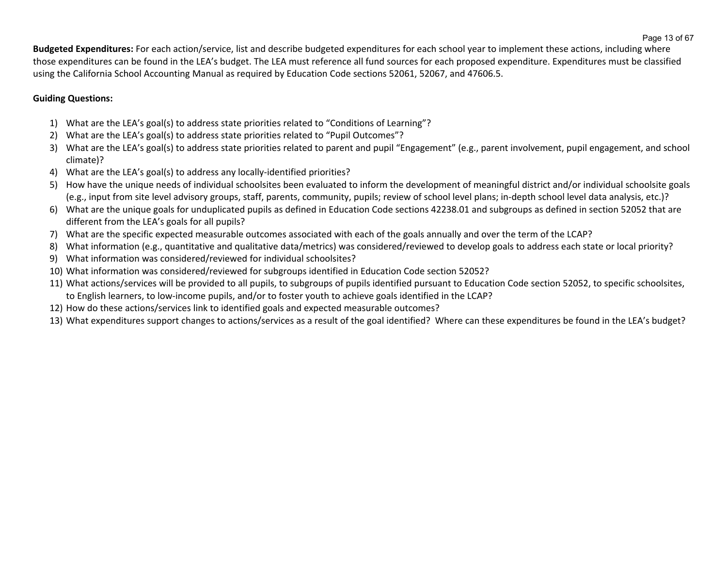**Budgeted Expenditures:** For each action/service, list and describe budgeted expenditures for each school year to implement these actions, including where those expenditures can be found in the LEA's budget. The LEA must reference all fund sources for each proposed expenditure. Expenditures must be classified using the California School Accounting Manual as required by Education Code sections 52061, 52067, and 47606.5.

# **Guiding Questions:**

- 1) What are the LEA's goal(s) to address state priorities related to "Conditions of Learning"?
- 2) What are the LEA's goal(s) to address state priorities related to "Pupil Outcomes"?
- 3) What are the LEA's goal(s) to address state priorities related to parent and pupil "Engagement" (e.g., parent involvement, pupil engagement, and school climate)?
- 4) What are the LEA's goal(s) to address any locally-identified priorities?
- 5) How have the unique needs of individual schoolsites been evaluated to inform the development of meaningful district and/or individual schoolsite goals (e.g., input from site level advisory groups, staff, parents, community, pupils; review of school level plans; in-depth school level data analysis, etc.)?
- 6) What are the unique goals for unduplicated pupils as defined in Education Code sections 42238.01 and subgroups as defined in section 52052 that are different from the LEA's goals for all pupils?
- 7) What are the specific expected measurable outcomes associated with each of the goals annually and over the term of the LCAP?
- 8) What information (e.g., quantitative and qualitative data/metrics) was considered/reviewed to develop goals to address each state or local priority?
- 9) What information was considered/reviewed for individual schoolsites?
- 10) What information was considered/reviewed for subgroups identified in Education Code section 52052?
- 11) What actions/services will be provided to all pupils, to subgroups of pupils identified pursuant to Education Code section 52052, to specific schoolsites, to English learners, to low-income pupils, and/or to foster youth to achieve goals identified in the LCAP?
- 12) How do these actions/services link to identified goals and expected measurable outcomes?
- 13) What expenditures support changes to actions/services as a result of the goal identified? Where can these expenditures be found in the LEA's budget?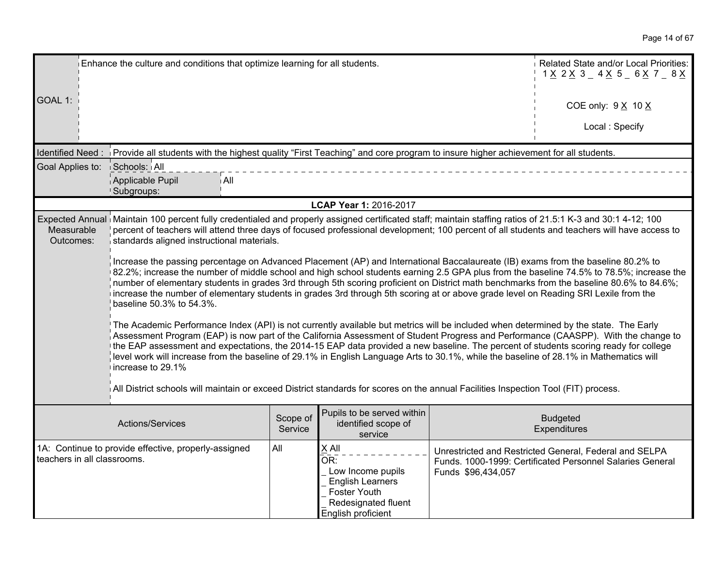|                               | Enhance the culture and conditions that optimize learning for all students.                                                                                                                                                                                                                                                                                                                                                                                                                                                                                                                                                                                                                                                                                                                                                                                                                                                                                                                                                                                                                                                                                                                                                                                                                                                                                                                                                                                                                                                                                                                                                                                                         | Related State and/or Local Priorities:<br>$1 \times 2 \times 3 = 4 \times 5 = 6 \times 7 = 8 \times 1$ |                                                                                                                           |                    |                                                                                                                     |
|-------------------------------|-------------------------------------------------------------------------------------------------------------------------------------------------------------------------------------------------------------------------------------------------------------------------------------------------------------------------------------------------------------------------------------------------------------------------------------------------------------------------------------------------------------------------------------------------------------------------------------------------------------------------------------------------------------------------------------------------------------------------------------------------------------------------------------------------------------------------------------------------------------------------------------------------------------------------------------------------------------------------------------------------------------------------------------------------------------------------------------------------------------------------------------------------------------------------------------------------------------------------------------------------------------------------------------------------------------------------------------------------------------------------------------------------------------------------------------------------------------------------------------------------------------------------------------------------------------------------------------------------------------------------------------------------------------------------------------|--------------------------------------------------------------------------------------------------------|---------------------------------------------------------------------------------------------------------------------------|--------------------|---------------------------------------------------------------------------------------------------------------------|
| GOAL 1:                       |                                                                                                                                                                                                                                                                                                                                                                                                                                                                                                                                                                                                                                                                                                                                                                                                                                                                                                                                                                                                                                                                                                                                                                                                                                                                                                                                                                                                                                                                                                                                                                                                                                                                                     |                                                                                                        |                                                                                                                           |                    | COE only: $9 \times 10 \times$                                                                                      |
|                               |                                                                                                                                                                                                                                                                                                                                                                                                                                                                                                                                                                                                                                                                                                                                                                                                                                                                                                                                                                                                                                                                                                                                                                                                                                                                                                                                                                                                                                                                                                                                                                                                                                                                                     |                                                                                                        |                                                                                                                           |                    | Local: Specify                                                                                                      |
|                               | Identified Need: Provide all students with the highest quality "First Teaching" and core program to insure higher achievement for all students.                                                                                                                                                                                                                                                                                                                                                                                                                                                                                                                                                                                                                                                                                                                                                                                                                                                                                                                                                                                                                                                                                                                                                                                                                                                                                                                                                                                                                                                                                                                                     |                                                                                                        |                                                                                                                           |                    |                                                                                                                     |
| Goal Applies to: Schools: All |                                                                                                                                                                                                                                                                                                                                                                                                                                                                                                                                                                                                                                                                                                                                                                                                                                                                                                                                                                                                                                                                                                                                                                                                                                                                                                                                                                                                                                                                                                                                                                                                                                                                                     |                                                                                                        |                                                                                                                           |                    |                                                                                                                     |
|                               | Applicable Pupil<br>i All<br>Subgroups:                                                                                                                                                                                                                                                                                                                                                                                                                                                                                                                                                                                                                                                                                                                                                                                                                                                                                                                                                                                                                                                                                                                                                                                                                                                                                                                                                                                                                                                                                                                                                                                                                                             |                                                                                                        |                                                                                                                           |                    |                                                                                                                     |
|                               |                                                                                                                                                                                                                                                                                                                                                                                                                                                                                                                                                                                                                                                                                                                                                                                                                                                                                                                                                                                                                                                                                                                                                                                                                                                                                                                                                                                                                                                                                                                                                                                                                                                                                     |                                                                                                        | LCAP Year 1: 2016-2017                                                                                                    |                    |                                                                                                                     |
| Measurable<br>Outcomes:       | Expected Annual Maintain 100 percent fully credentialed and properly assigned certificated staff; maintain staffing ratios of 21.5:1 K-3 and 30:1 4-12; 100<br>percent of teachers will attend three days of focused professional development; 100 percent of all students and teachers will have access to<br>standards aligned instructional materials.<br>Increase the passing percentage on Advanced Placement (AP) and International Baccalaureate (IB) exams from the baseline 80.2% to<br>82.2%; increase the number of middle school and high school students earning 2.5 GPA plus from the baseline 74.5% to 78.5%; increase the<br>number of elementary students in grades 3rd through 5th scoring proficient on District math benchmarks from the baseline 80.6% to 84.6%;<br>increase the number of elementary students in grades 3rd through 5th scoring at or above grade level on Reading SRI Lexile from the<br>baseline 50.3% to 54.3%.<br>The Academic Performance Index (API) is not currently available but metrics will be included when determined by the state. The Early<br>Assessment Program (EAP) is now part of the California Assessment of Student Progress and Performance (CAASPP). With the change to<br>the EAP assessment and expectations, the 2014-15 EAP data provided a new baseline. The percent of students scoring ready for college<br>level work will increase from the baseline of 29.1% in English Language Arts to 30.1%, while the baseline of 28.1% in Mathematics will<br>increase to 29.1%<br>All District schools will maintain or exceed District standards for scores on the annual Facilities Inspection Tool (FIT) process. |                                                                                                        |                                                                                                                           |                    |                                                                                                                     |
|                               | Actions/Services                                                                                                                                                                                                                                                                                                                                                                                                                                                                                                                                                                                                                                                                                                                                                                                                                                                                                                                                                                                                                                                                                                                                                                                                                                                                                                                                                                                                                                                                                                                                                                                                                                                                    | Scope of<br>Service                                                                                    | Pupils to be served within<br>identified scope of<br>service                                                              |                    | <b>Budgeted</b><br>Expenditures                                                                                     |
| teachers in all classrooms.   | 1A: Continue to provide effective, properly-assigned                                                                                                                                                                                                                                                                                                                                                                                                                                                                                                                                                                                                                                                                                                                                                                                                                                                                                                                                                                                                                                                                                                                                                                                                                                                                                                                                                                                                                                                                                                                                                                                                                                | All                                                                                                    | X All<br>OR:<br>Low Income pupils<br><b>English Learners</b><br>Foster Youth<br>Redesignated fluent<br>English proficient | Funds \$96,434,057 | Unrestricted and Restricted General, Federal and SELPA<br>Funds. 1000-1999: Certificated Personnel Salaries General |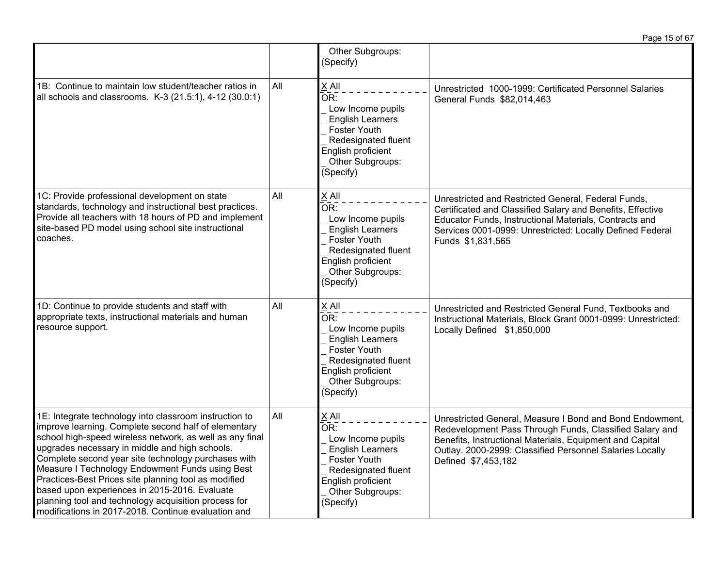|                                                                                                                                                                                                                                                                                                                                                                                                                                                                                                                                                                |     |                                                                                                                                                                                   | Page 15 of 67                                                                                                                                                                                                                                                      |
|----------------------------------------------------------------------------------------------------------------------------------------------------------------------------------------------------------------------------------------------------------------------------------------------------------------------------------------------------------------------------------------------------------------------------------------------------------------------------------------------------------------------------------------------------------------|-----|-----------------------------------------------------------------------------------------------------------------------------------------------------------------------------------|--------------------------------------------------------------------------------------------------------------------------------------------------------------------------------------------------------------------------------------------------------------------|
|                                                                                                                                                                                                                                                                                                                                                                                                                                                                                                                                                                |     | Other Subgroups:<br>(Specify)                                                                                                                                                     |                                                                                                                                                                                                                                                                    |
| 1B: Continue to maintain low student/teacher ratios in<br>all schools and classrooms. K-3 (21.5:1), 4-12 (30.0:1)                                                                                                                                                                                                                                                                                                                                                                                                                                              | All | X All<br>OR:<br>Low Income pupils<br><b>English Learners</b><br><b>Foster Youth</b><br>Redesignated fluent<br>English proficient<br>Other Subgroups:<br>(Specify)                 | Unrestricted 1000-1999: Certificated Personnel Salaries<br>General Funds \$82,014,463                                                                                                                                                                              |
| 1C: Provide professional development on state<br>standards, technology and instructional best practices.<br>Provide all teachers with 18 hours of PD and implement<br>site-based PD model using school site instructional<br>coaches.                                                                                                                                                                                                                                                                                                                          | All | X All<br>OR:<br>Low Income pupils<br><b>English Learners</b><br><b>Foster Youth</b><br>Redesignated fluent<br>English proficient<br>Other Subgroups:<br>(Specify)                 | Unrestricted and Restricted General, Federal Funds,<br>Certificated and Classified Salary and Benefits, Effective<br>Educator Funds, Instructional Materials, Contracts and<br>Services 0001-0999: Unrestricted: Locally Defined Federal<br>Funds \$1,831,565      |
| 1D: Continue to provide students and staff with<br>appropriate texts, instructional materials and human<br>resource support.                                                                                                                                                                                                                                                                                                                                                                                                                                   | All | X All<br>$\overline{\mathsf{OR}}$ :<br>Low Income pupils<br><b>English Learners</b><br>Foster Youth<br>Redesignated fluent<br>English proficient<br>Other Subgroups:<br>(Specify) | Unrestricted and Restricted General Fund, Textbooks and<br>Instructional Materials, Block Grant 0001-0999: Unrestricted:<br>Locally Defined \$1,850,000                                                                                                            |
| 1E: Integrate technology into classroom instruction to<br>improve learning. Complete second half of elementary<br>school high-speed wireless network, as well as any final<br>upgrades necessary in middle and high schools.<br>Complete second year site technology purchases with<br>Measure I Technology Endowment Funds using Best<br>Practices-Best Prices site planning tool as modified<br>based upon experiences in 2015-2016. Evaluate<br>planning tool and technology acquisition process for<br>modifications in 2017-2018. Continue evaluation and | All | $X$ All<br>OR:<br>Low Income pupils<br><b>English Learners</b><br><b>Foster Youth</b><br>Redesignated fluent<br>English proficient<br>Other Subgroups:<br>(Specify)               | Unrestricted General, Measure I Bond and Bond Endowment,<br>Redevelopment Pass Through Funds, Classified Salary and<br>Benefits, Instructional Materials, Equipment and Capital<br>Outlay. 2000-2999: Classified Personnel Salaries Locally<br>Defined \$7,453,182 |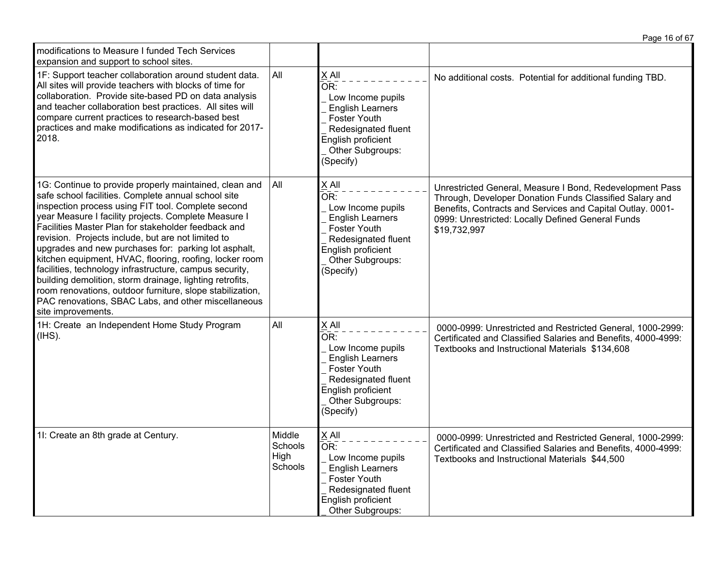| modifications to Measure I funded Tech Services<br>expansion and support to school sites.                                                                                                                                                                                                                                                                                                                                                                                                                                                                                                                                                                                                                                    |                                      |                                                                                                                                                                   |                                                                                                                                                                                                                                                        |
|------------------------------------------------------------------------------------------------------------------------------------------------------------------------------------------------------------------------------------------------------------------------------------------------------------------------------------------------------------------------------------------------------------------------------------------------------------------------------------------------------------------------------------------------------------------------------------------------------------------------------------------------------------------------------------------------------------------------------|--------------------------------------|-------------------------------------------------------------------------------------------------------------------------------------------------------------------|--------------------------------------------------------------------------------------------------------------------------------------------------------------------------------------------------------------------------------------------------------|
| 1F: Support teacher collaboration around student data.<br>All sites will provide teachers with blocks of time for<br>collaboration. Provide site-based PD on data analysis<br>and teacher collaboration best practices. All sites will<br>compare current practices to research-based best<br>practices and make modifications as indicated for 2017-<br>2018.                                                                                                                                                                                                                                                                                                                                                               | All                                  | X All<br>OR:<br>Low Income pupils<br><b>English Learners</b><br>Foster Youth<br>Redesignated fluent<br>English proficient<br>Other Subgroups:<br>(Specify)        | No additional costs. Potential for additional funding TBD.                                                                                                                                                                                             |
| 1G: Continue to provide properly maintained, clean and<br>safe school facilities. Complete annual school site<br>inspection process using FIT tool. Complete second<br>year Measure I facility projects. Complete Measure I<br>Facilities Master Plan for stakeholder feedback and<br>revision. Projects include, but are not limited to<br>upgrades and new purchases for: parking lot asphalt,<br>kitchen equipment, HVAC, flooring, roofing, locker room<br>facilities, technology infrastructure, campus security,<br>building demolition, storm drainage, lighting retrofits,<br>room renovations, outdoor furniture, slope stabilization,<br>PAC renovations, SBAC Labs, and other miscellaneous<br>site improvements. | All                                  | X All<br>OR:<br>Low Income pupils<br><b>English Learners</b><br><b>Foster Youth</b><br>Redesignated fluent<br>English proficient<br>Other Subgroups:<br>(Specify) | Unrestricted General, Measure I Bond, Redevelopment Pass<br>Through, Developer Donation Funds Classified Salary and<br>Benefits, Contracts and Services and Capital Outlay. 0001-<br>0999: Unrestricted: Locally Defined General Funds<br>\$19,732,997 |
| 1H: Create an Independent Home Study Program<br>(IHS).                                                                                                                                                                                                                                                                                                                                                                                                                                                                                                                                                                                                                                                                       | All                                  | X All<br>OR:<br>Low Income pupils<br><b>English Learners</b><br>Foster Youth<br>Redesignated fluent<br>English proficient<br>Other Subgroups:<br>(Specify)        | 0000-0999: Unrestricted and Restricted General, 1000-2999:<br>Certificated and Classified Salaries and Benefits, 4000-4999:<br>Textbooks and Instructional Materials \$134,608                                                                         |
| 11: Create an 8th grade at Century.                                                                                                                                                                                                                                                                                                                                                                                                                                                                                                                                                                                                                                                                                          | Middle<br>Schools<br>High<br>Schools | X All<br>OR:<br>Low Income pupils<br><b>English Learners</b><br>Foster Youth<br>Redesignated fluent<br>English proficient<br>Other Subgroups:                     | 0000-0999: Unrestricted and Restricted General, 1000-2999:<br>Certificated and Classified Salaries and Benefits, 4000-4999:<br>Textbooks and Instructional Materials \$44,500                                                                          |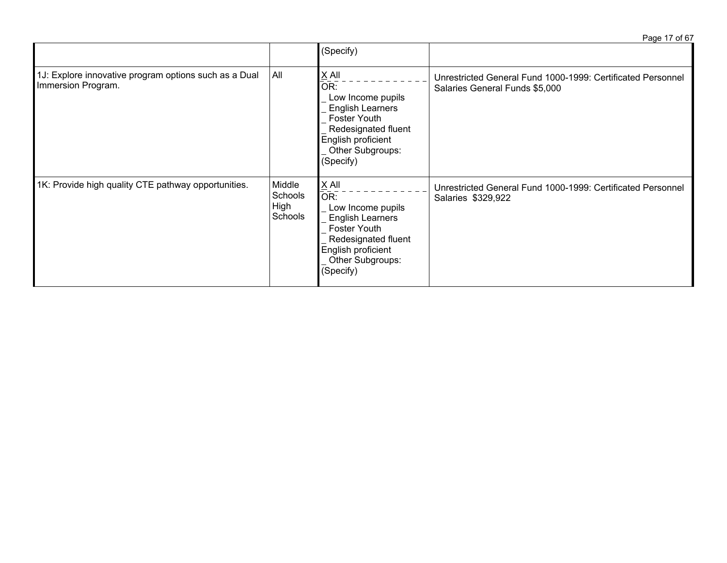| Page 17 of 67 |  |
|---------------|--|

|                                                                             |                                      | (Specify)                                                                                                                                                    |                                                                                               |
|-----------------------------------------------------------------------------|--------------------------------------|--------------------------------------------------------------------------------------------------------------------------------------------------------------|-----------------------------------------------------------------------------------------------|
| 1J: Explore innovative program options such as a Dual<br>Immersion Program. | All                                  | $X$ All<br>OR:<br>Low Income pupils<br><b>English Learners</b><br>Foster Youth<br>Redesignated fluent<br>English proficient<br>Other Subgroups:<br>(Specify) | Unrestricted General Fund 1000-1999: Certificated Personnel<br>Salaries General Funds \$5,000 |
| 1K: Provide high quality CTE pathway opportunities.                         | Middle<br>Schools<br>High<br>Schools | $X$ All<br>OR:<br>Low Income pupils<br><b>English Learners</b><br>Foster Youth<br>Redesignated fluent<br>English proficient<br>Other Subgroups:<br>(Specify) | Unrestricted General Fund 1000-1999: Certificated Personnel<br>Salaries \$329,922             |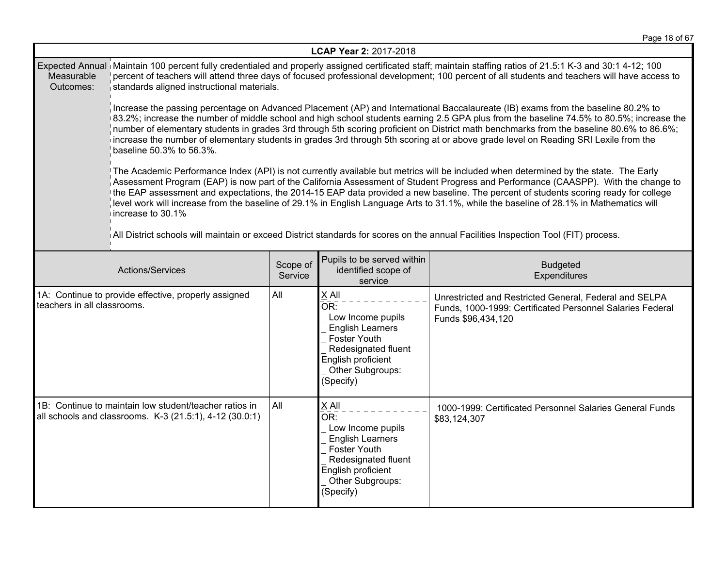|                                                                                                                                                                                                                                                                                                                                                                                                                                                                                                                                                                                                                                                                                                                         | LCAP Year 2: 2017-2018                                                                                                                                                                                                                                                                                                                                                                                                                                                                                                                                                                      |                     |                                                                                                                                                                     |                                                                                                                                           |  |
|-------------------------------------------------------------------------------------------------------------------------------------------------------------------------------------------------------------------------------------------------------------------------------------------------------------------------------------------------------------------------------------------------------------------------------------------------------------------------------------------------------------------------------------------------------------------------------------------------------------------------------------------------------------------------------------------------------------------------|---------------------------------------------------------------------------------------------------------------------------------------------------------------------------------------------------------------------------------------------------------------------------------------------------------------------------------------------------------------------------------------------------------------------------------------------------------------------------------------------------------------------------------------------------------------------------------------------|---------------------|---------------------------------------------------------------------------------------------------------------------------------------------------------------------|-------------------------------------------------------------------------------------------------------------------------------------------|--|
| Measurable<br>Outcomes:                                                                                                                                                                                                                                                                                                                                                                                                                                                                                                                                                                                                                                                                                                 | Expected Annual Maintain 100 percent fully credentialed and properly assigned certificated staff; maintain staffing ratios of 21.5:1 K-3 and 30:1 4-12; 100<br>percent of teachers will attend three days of focused professional development; 100 percent of all students and teachers will have access to<br>standards aligned instructional materials.                                                                                                                                                                                                                                   |                     |                                                                                                                                                                     |                                                                                                                                           |  |
|                                                                                                                                                                                                                                                                                                                                                                                                                                                                                                                                                                                                                                                                                                                         | Increase the passing percentage on Advanced Placement (AP) and International Baccalaureate (IB) exams from the baseline 80.2% to<br>83.2%; increase the number of middle school and high school students earning 2.5 GPA plus from the baseline 74.5% to 80.5%; increase the<br>number of elementary students in grades 3rd through 5th scoring proficient on District math benchmarks from the baseline 80.6% to 86.6%;<br>increase the number of elementary students in grades 3rd through 5th scoring at or above grade level on Reading SRI Lexile from the<br>baseline 50.3% to 56.3%. |                     |                                                                                                                                                                     |                                                                                                                                           |  |
| The Academic Performance Index (API) is not currently available but metrics will be included when determined by the state. The Early<br>Assessment Program (EAP) is now part of the California Assessment of Student Progress and Performance (CAASPP). With the change to<br>the EAP assessment and expectations, the 2014-15 EAP data provided a new baseline. The percent of students scoring ready for college<br>level work will increase from the baseline of 29.1% in English Language Arts to 31.1%, while the baseline of 28.1% in Mathematics will<br>increase to 30.1%<br>All District schools will maintain or exceed District standards for scores on the annual Facilities Inspection Tool (FIT) process. |                                                                                                                                                                                                                                                                                                                                                                                                                                                                                                                                                                                             |                     |                                                                                                                                                                     |                                                                                                                                           |  |
|                                                                                                                                                                                                                                                                                                                                                                                                                                                                                                                                                                                                                                                                                                                         | Actions/Services                                                                                                                                                                                                                                                                                                                                                                                                                                                                                                                                                                            | Scope of<br>Service | Pupils to be served within<br>identified scope of<br>service                                                                                                        | <b>Budgeted</b><br>Expenditures                                                                                                           |  |
| teachers in all classrooms.                                                                                                                                                                                                                                                                                                                                                                                                                                                                                                                                                                                                                                                                                             | 1A: Continue to provide effective, properly assigned                                                                                                                                                                                                                                                                                                                                                                                                                                                                                                                                        | All                 | X All<br>OR:<br>Low Income pupils<br><b>English Learners</b><br>Foster Youth<br>Redesignated fluent<br>English proficient<br>Other Subgroups:<br>(Specify)          | Unrestricted and Restricted General, Federal and SELPA<br>Funds, 1000-1999: Certificated Personnel Salaries Federal<br>Funds \$96,434,120 |  |
|                                                                                                                                                                                                                                                                                                                                                                                                                                                                                                                                                                                                                                                                                                                         | 1B: Continue to maintain low student/teacher ratios in<br>all schools and classrooms. K-3 (21.5:1), 4-12 (30.0:1)                                                                                                                                                                                                                                                                                                                                                                                                                                                                           | All                 | $X$ All<br>OR:<br>Low Income pupils<br><b>English Learners</b><br><b>Foster Youth</b><br>Redesignated fluent<br>English proficient<br>Other Subgroups:<br>(Specify) | 1000-1999: Certificated Personnel Salaries General Funds<br>\$83,124,307                                                                  |  |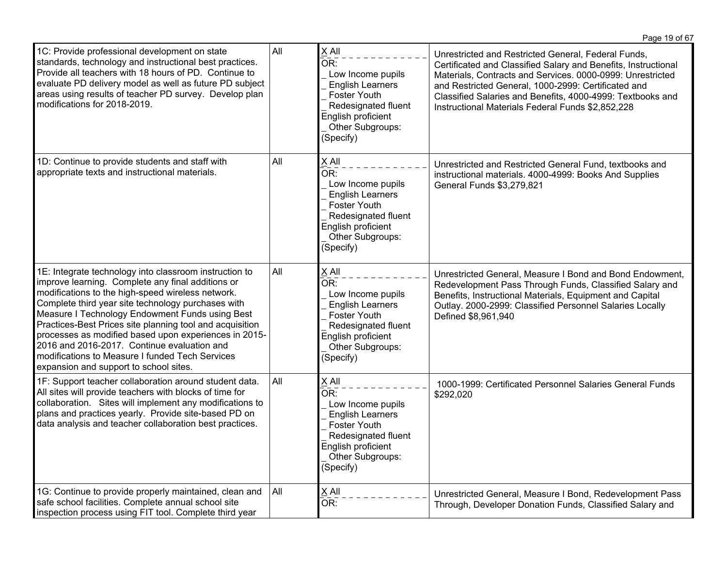|                                                                                                                                                                                                                                                                                                                                                                                                                                                                                                                                            |     |                                                                                                                                                                                          | Page 19 of 67                                                                                                                                                                                                                                                                                                                                                 |
|--------------------------------------------------------------------------------------------------------------------------------------------------------------------------------------------------------------------------------------------------------------------------------------------------------------------------------------------------------------------------------------------------------------------------------------------------------------------------------------------------------------------------------------------|-----|------------------------------------------------------------------------------------------------------------------------------------------------------------------------------------------|---------------------------------------------------------------------------------------------------------------------------------------------------------------------------------------------------------------------------------------------------------------------------------------------------------------------------------------------------------------|
| 1C: Provide professional development on state<br>standards, technology and instructional best practices.<br>Provide all teachers with 18 hours of PD. Continue to<br>evaluate PD delivery model as well as future PD subject<br>areas using results of teacher PD survey. Develop plan<br>modifications for 2018-2019.                                                                                                                                                                                                                     | All | X All<br>$\bar{\mathsf{OR}}$ :<br>Low Income pupils<br><b>English Learners</b><br><b>Foster Youth</b><br>Redesignated fluent<br>English proficient<br>Other Subgroups:<br>(Specify)      | Unrestricted and Restricted General, Federal Funds,<br>Certificated and Classified Salary and Benefits, Instructional<br>Materials, Contracts and Services. 0000-0999: Unrestricted<br>and Restricted General, 1000-2999: Certificated and<br>Classified Salaries and Benefits, 4000-4999: Textbooks and<br>Instructional Materials Federal Funds \$2,852,228 |
| 1D: Continue to provide students and staff with<br>appropriate texts and instructional materials.                                                                                                                                                                                                                                                                                                                                                                                                                                          | All | X All<br>$\overline{\mathsf{OR}}$ :<br>Low Income pupils<br><b>English Learners</b><br><b>Foster Youth</b><br>Redesignated fluent<br>English proficient<br>Other Subgroups:<br>(Specify) | Unrestricted and Restricted General Fund, textbooks and<br>instructional materials. 4000-4999: Books And Supplies<br>General Funds \$3,279,821                                                                                                                                                                                                                |
| 1E: Integrate technology into classroom instruction to<br>improve learning. Complete any final additions or<br>modifications to the high-speed wireless network.<br>Complete third year site technology purchases with<br>Measure I Technology Endowment Funds using Best<br>Practices-Best Prices site planning tool and acquisition<br>processes as modified based upon experiences in 2015-<br>2016 and 2016-2017. Continue evaluation and<br>modifications to Measure I funded Tech Services<br>expansion and support to school sites. | All | X All<br>OR:<br>Low Income pupils<br><b>English Learners</b><br><b>Foster Youth</b><br>Redesignated fluent<br>English proficient<br>Other Subgroups:<br>(Specify)                        | Unrestricted General, Measure I Bond and Bond Endowment,<br>Redevelopment Pass Through Funds, Classified Salary and<br>Benefits, Instructional Materials, Equipment and Capital<br>Outlay. 2000-2999: Classified Personnel Salaries Locally<br>Defined \$8,961,940                                                                                            |
| 1F: Support teacher collaboration around student data.<br>All sites will provide teachers with blocks of time for<br>collaboration. Sites will implement any modifications to<br>plans and practices yearly. Provide site-based PD on<br>data analysis and teacher collaboration best practices.                                                                                                                                                                                                                                           | All | X All<br>OR:<br>Low Income pupils<br><b>English Learners</b><br><b>Foster Youth</b><br>Redesignated fluent<br>English proficient<br>Other Subgroups:<br>(Specify)                        | 1000-1999: Certificated Personnel Salaries General Funds<br>\$292,020                                                                                                                                                                                                                                                                                         |
| 1G: Continue to provide properly maintained, clean and<br>safe school facilities. Complete annual school site<br>inspection process using FIT tool. Complete third year                                                                                                                                                                                                                                                                                                                                                                    | All | $\underline{X}$ All<br>OR:                                                                                                                                                               | Unrestricted General, Measure I Bond, Redevelopment Pass<br>Through, Developer Donation Funds, Classified Salary and                                                                                                                                                                                                                                          |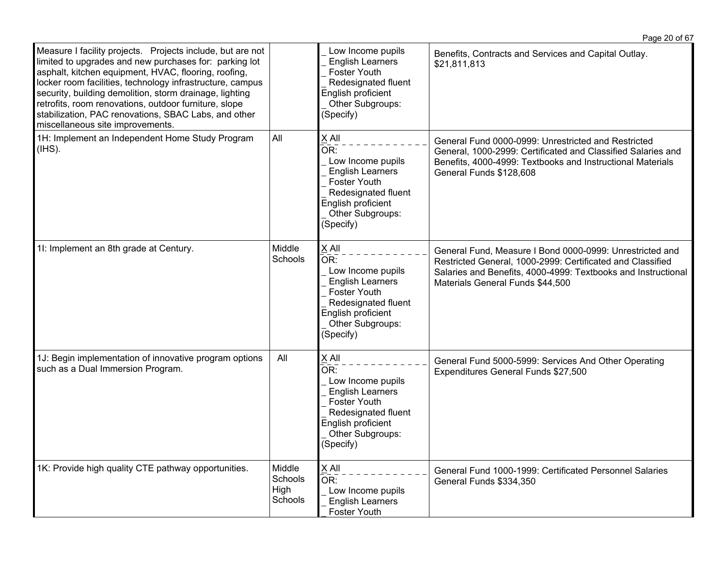|                                                                                                                                                                                                                                                                                                                                                                                                                                                           |                                      |                                                                                                                                                                     | Page 20 of 67                                                                                                                                                                                                               |
|-----------------------------------------------------------------------------------------------------------------------------------------------------------------------------------------------------------------------------------------------------------------------------------------------------------------------------------------------------------------------------------------------------------------------------------------------------------|--------------------------------------|---------------------------------------------------------------------------------------------------------------------------------------------------------------------|-----------------------------------------------------------------------------------------------------------------------------------------------------------------------------------------------------------------------------|
| Measure I facility projects. Projects include, but are not<br>limited to upgrades and new purchases for: parking lot<br>asphalt, kitchen equipment, HVAC, flooring, roofing,<br>locker room facilities, technology infrastructure, campus<br>security, building demolition, storm drainage, lighting<br>retrofits, room renovations, outdoor furniture, slope<br>stabilization, PAC renovations, SBAC Labs, and other<br>miscellaneous site improvements. |                                      | Low Income pupils<br><b>English Learners</b><br><b>Foster Youth</b><br>Redesignated fluent<br>English proficient<br>Other Subgroups:<br>(Specify)                   | Benefits, Contracts and Services and Capital Outlay.<br>\$21,811,813                                                                                                                                                        |
| 1H: Implement an Independent Home Study Program<br>$(HSS)$ .                                                                                                                                                                                                                                                                                                                                                                                              | All                                  | X All<br>OR:<br>Low Income pupils<br><b>English Learners</b><br><b>Foster Youth</b><br>Redesignated fluent<br>English proficient<br>Other Subgroups:<br>(Specify)   | General Fund 0000-0999: Unrestricted and Restricted<br>General, 1000-2999: Certificated and Classified Salaries and<br>Benefits, 4000-4999: Textbooks and Instructional Materials<br>General Funds \$128,608                |
| 11: Implement an 8th grade at Century.                                                                                                                                                                                                                                                                                                                                                                                                                    | Middle<br>Schools                    | X All<br>OR:<br>Low Income pupils<br><b>English Learners</b><br><b>Foster Youth</b><br>Redesignated fluent<br>English proficient<br>Other Subgroups:<br>(Specify)   | General Fund, Measure I Bond 0000-0999: Unrestricted and<br>Restricted General, 1000-2999: Certificated and Classified<br>Salaries and Benefits, 4000-4999: Textbooks and Instructional<br>Materials General Funds \$44,500 |
| 1J: Begin implementation of innovative program options<br>such as a Dual Immersion Program.                                                                                                                                                                                                                                                                                                                                                               | All                                  | $X$ All<br>OR:<br>Low Income pupils<br><b>English Learners</b><br><b>Foster Youth</b><br>Redesignated fluent<br>English proficient<br>Other Subgroups:<br>(Specify) | General Fund 5000-5999: Services And Other Operating<br>Expenditures General Funds \$27,500                                                                                                                                 |
| 1K: Provide high quality CTE pathway opportunities.                                                                                                                                                                                                                                                                                                                                                                                                       | Middle<br>Schools<br>High<br>Schools | $X$ All<br>OR:<br>Low Income pupils<br><b>English Learners</b><br><b>Foster Youth</b>                                                                               | General Fund 1000-1999: Certificated Personnel Salaries<br>General Funds \$334,350                                                                                                                                          |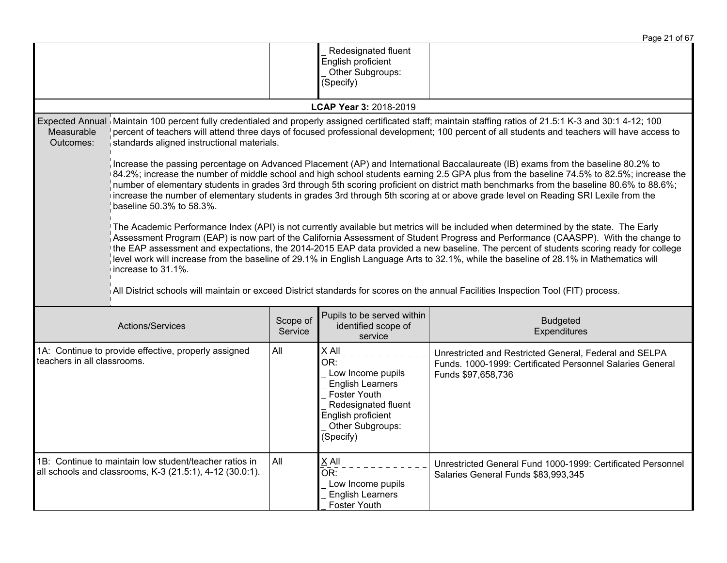|                                                                                     |                                                                                                                                                                                                                                                                                                                                                                                                                                                                                                                                                                                                                                                                                                                                                                                                                                                                                                                                                                                                                                                                                                                                                                                                                                                                                                                                                                                                                                                                                                                                                                                                                                                                                        |                     |                                                                                                                                                            | Page 21 of 67                                                                                                                             |  |
|-------------------------------------------------------------------------------------|----------------------------------------------------------------------------------------------------------------------------------------------------------------------------------------------------------------------------------------------------------------------------------------------------------------------------------------------------------------------------------------------------------------------------------------------------------------------------------------------------------------------------------------------------------------------------------------------------------------------------------------------------------------------------------------------------------------------------------------------------------------------------------------------------------------------------------------------------------------------------------------------------------------------------------------------------------------------------------------------------------------------------------------------------------------------------------------------------------------------------------------------------------------------------------------------------------------------------------------------------------------------------------------------------------------------------------------------------------------------------------------------------------------------------------------------------------------------------------------------------------------------------------------------------------------------------------------------------------------------------------------------------------------------------------------|---------------------|------------------------------------------------------------------------------------------------------------------------------------------------------------|-------------------------------------------------------------------------------------------------------------------------------------------|--|
|                                                                                     |                                                                                                                                                                                                                                                                                                                                                                                                                                                                                                                                                                                                                                                                                                                                                                                                                                                                                                                                                                                                                                                                                                                                                                                                                                                                                                                                                                                                                                                                                                                                                                                                                                                                                        |                     | Redesignated fluent<br>English proficient<br>Other Subgroups:<br>(Specify)                                                                                 |                                                                                                                                           |  |
|                                                                                     |                                                                                                                                                                                                                                                                                                                                                                                                                                                                                                                                                                                                                                                                                                                                                                                                                                                                                                                                                                                                                                                                                                                                                                                                                                                                                                                                                                                                                                                                                                                                                                                                                                                                                        |                     | <b>LCAP Year 3: 2018-2019</b>                                                                                                                              |                                                                                                                                           |  |
| Measurable<br>Outcomes:                                                             | Expected Annual Maintain 100 percent fully credentialed and properly assigned certificated staff; maintain staffing ratios of 21.5:1 K-3 and 30:1 4-12; 100<br>percent of teachers will attend three days of focused professional development; 100 percent of all students and teachers will have access to<br>standards aligned instructional materials.<br>Increase the passing percentage on Advanced Placement (AP) and International Baccalaureate (IB) exams from the baseline 80.2% to<br>84.2%; increase the number of middle school and high school students earning 2.5 GPA plus from the baseline 74.5% to 82.5%; increase the<br>number of elementary students in grades 3rd through 5th scoring proficient on district math benchmarks from the baseline 80.6% to 88.6%;<br>increase the number of elementary students in grades 3rd through 5th scoring at or above grade level on Reading SRI Lexile from the<br>baseline 50.3% to 58.3%.<br>The Academic Performance Index (API) is not currently available but metrics will be included when determined by the state. The Early<br>Assessment Program (EAP) is now part of the California Assessment of Student Progress and Performance (CAASPP). With the change to<br>the EAP assessment and expectations, the 2014-2015 EAP data provided a new baseline. The percent of students scoring ready for college<br>level work will increase from the baseline of 29.1% in English Language Arts to 32.1%, while the baseline of 28.1% in Mathematics will<br>increase to 31.1%.<br>All District schools will maintain or exceed District standards for scores on the annual Facilities Inspection Tool (FIT) process. |                     |                                                                                                                                                            |                                                                                                                                           |  |
|                                                                                     | Actions/Services                                                                                                                                                                                                                                                                                                                                                                                                                                                                                                                                                                                                                                                                                                                                                                                                                                                                                                                                                                                                                                                                                                                                                                                                                                                                                                                                                                                                                                                                                                                                                                                                                                                                       | Scope of<br>Service | Pupils to be served within<br>identified scope of<br>service                                                                                               | <b>Budgeted</b><br>Expenditures                                                                                                           |  |
| 1A: Continue to provide effective, properly assigned<br>teachers in all classrooms. |                                                                                                                                                                                                                                                                                                                                                                                                                                                                                                                                                                                                                                                                                                                                                                                                                                                                                                                                                                                                                                                                                                                                                                                                                                                                                                                                                                                                                                                                                                                                                                                                                                                                                        | All                 | X All<br>OR:<br>Low Income pupils<br><b>English Learners</b><br>Foster Youth<br>Redesignated fluent<br>English proficient<br>Other Subgroups:<br>(Specify) | Unrestricted and Restricted General, Federal and SELPA<br>Funds. 1000-1999: Certificated Personnel Salaries General<br>Funds \$97,658,736 |  |
|                                                                                     | 1B: Continue to maintain low student/teacher ratios in<br>all schools and classrooms, K-3 (21.5:1), 4-12 (30.0:1).                                                                                                                                                                                                                                                                                                                                                                                                                                                                                                                                                                                                                                                                                                                                                                                                                                                                                                                                                                                                                                                                                                                                                                                                                                                                                                                                                                                                                                                                                                                                                                     | All                 | X All<br>OR:<br>Low Income pupils<br><b>English Learners</b><br>Foster Youth                                                                               | Unrestricted General Fund 1000-1999: Certificated Personnel<br>Salaries General Funds \$83,993,345                                        |  |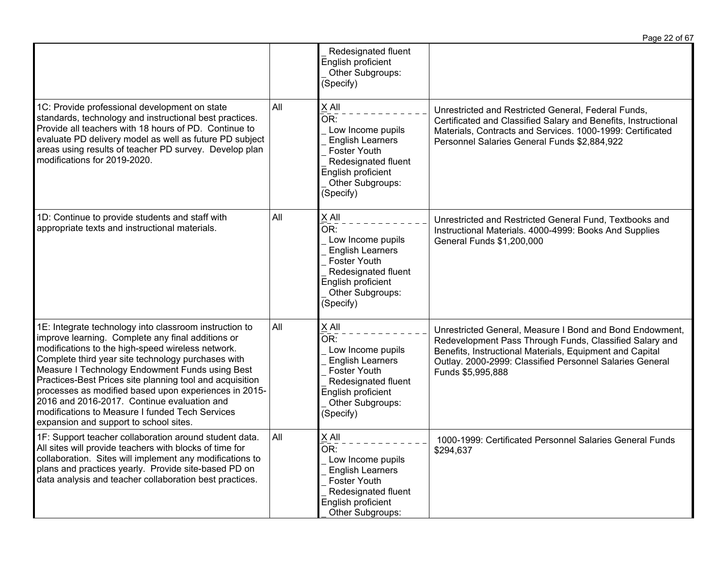|                                                                                                                                                                                                                                                                                                                                                                                                                                                                                                                                            |     |                                                                                                                                                                   | Page 22 of 67                                                                                                                                                                                                                                                    |
|--------------------------------------------------------------------------------------------------------------------------------------------------------------------------------------------------------------------------------------------------------------------------------------------------------------------------------------------------------------------------------------------------------------------------------------------------------------------------------------------------------------------------------------------|-----|-------------------------------------------------------------------------------------------------------------------------------------------------------------------|------------------------------------------------------------------------------------------------------------------------------------------------------------------------------------------------------------------------------------------------------------------|
|                                                                                                                                                                                                                                                                                                                                                                                                                                                                                                                                            |     | Redesignated fluent<br>English proficient<br>Other Subgroups:<br>(Specify)                                                                                        |                                                                                                                                                                                                                                                                  |
| 1C: Provide professional development on state<br>standards, technology and instructional best practices.<br>Provide all teachers with 18 hours of PD. Continue to<br>evaluate PD delivery model as well as future PD subject<br>areas using results of teacher PD survey. Develop plan<br>modifications for 2019-2020.                                                                                                                                                                                                                     | All | X All<br>OR:<br>Low Income pupils<br><b>English Learners</b><br><b>Foster Youth</b><br>Redesignated fluent<br>English proficient<br>Other Subgroups:<br>(Specify) | Unrestricted and Restricted General, Federal Funds,<br>Certificated and Classified Salary and Benefits, Instructional<br>Materials, Contracts and Services. 1000-1999: Certificated<br>Personnel Salaries General Funds \$2,884,922                              |
| 1D: Continue to provide students and staff with<br>appropriate texts and instructional materials.                                                                                                                                                                                                                                                                                                                                                                                                                                          | All | X All<br>OR:<br>Low Income pupils<br><b>English Learners</b><br><b>Foster Youth</b><br>Redesignated fluent<br>English proficient<br>Other Subgroups:<br>(Specify) | Unrestricted and Restricted General Fund, Textbooks and<br>Instructional Materials. 4000-4999: Books And Supplies<br>General Funds \$1,200,000                                                                                                                   |
| 1E: Integrate technology into classroom instruction to<br>improve learning. Complete any final additions or<br>modifications to the high-speed wireless network.<br>Complete third year site technology purchases with<br>Measure I Technology Endowment Funds using Best<br>Practices-Best Prices site planning tool and acquisition<br>processes as modified based upon experiences in 2015-<br>2016 and 2016-2017. Continue evaluation and<br>modifications to Measure I funded Tech Services<br>expansion and support to school sites. | All | X All<br>OR:<br>Low Income pupils<br><b>English Learners</b><br><b>Foster Youth</b><br>Redesignated fluent<br>English proficient<br>Other Subgroups:<br>(Specify) | Unrestricted General, Measure I Bond and Bond Endowment,<br>Redevelopment Pass Through Funds, Classified Salary and<br>Benefits, Instructional Materials, Equipment and Capital<br>Outlay. 2000-2999: Classified Personnel Salaries General<br>Funds \$5,995,888 |
| 1F: Support teacher collaboration around student data.<br>All sites will provide teachers with blocks of time for<br>collaboration. Sites will implement any modifications to<br>plans and practices yearly. Provide site-based PD on<br>data analysis and teacher collaboration best practices.                                                                                                                                                                                                                                           | All | $\times$ All<br>OR:<br>Low Income pupils<br><b>English Learners</b><br><b>Foster Youth</b><br>Redesignated fluent<br>English proficient<br>Other Subgroups:       | 1000-1999: Certificated Personnel Salaries General Funds<br>\$294,637                                                                                                                                                                                            |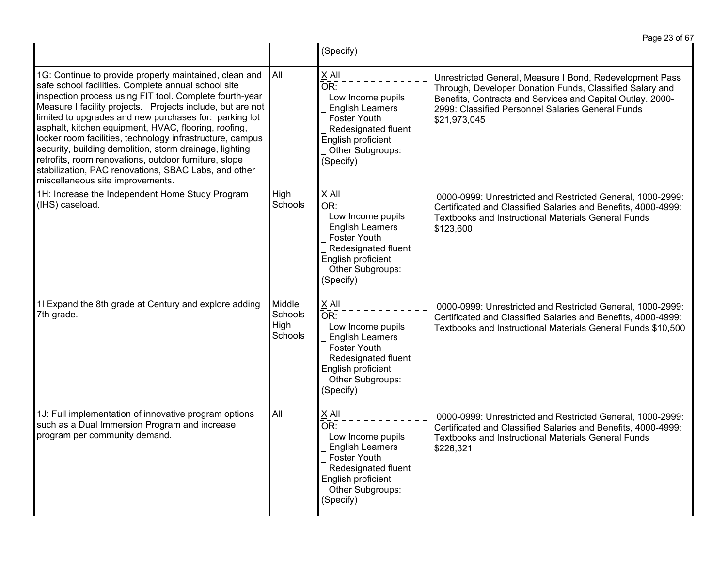|                                                                                                                                                                                                                                                                                                                                                                                                                                                                                                                                                                                                                                       |                                      | (Specify)                                                                                                                                                         |                                                                                                                                                                                                                                                         |
|---------------------------------------------------------------------------------------------------------------------------------------------------------------------------------------------------------------------------------------------------------------------------------------------------------------------------------------------------------------------------------------------------------------------------------------------------------------------------------------------------------------------------------------------------------------------------------------------------------------------------------------|--------------------------------------|-------------------------------------------------------------------------------------------------------------------------------------------------------------------|---------------------------------------------------------------------------------------------------------------------------------------------------------------------------------------------------------------------------------------------------------|
| 1G: Continue to provide properly maintained, clean and<br>safe school facilities. Complete annual school site<br>inspection process using FIT tool. Complete fourth-year<br>Measure I facility projects. Projects include, but are not<br>limited to upgrades and new purchases for: parking lot<br>asphalt, kitchen equipment, HVAC, flooring, roofing,<br>locker room facilities, technology infrastructure, campus<br>security, building demolition, storm drainage, lighting<br>retrofits, room renovations, outdoor furniture, slope<br>stabilization, PAC renovations, SBAC Labs, and other<br>miscellaneous site improvements. | All                                  | X All<br>OR:<br>Low Income pupils<br><b>English Learners</b><br>Foster Youth<br>Redesignated fluent<br>English proficient<br>Other Subgroups:<br>(Specify)        | Unrestricted General, Measure I Bond, Redevelopment Pass<br>Through, Developer Donation Funds, Classified Salary and<br>Benefits, Contracts and Services and Capital Outlay. 2000-<br>2999: Classified Personnel Salaries General Funds<br>\$21,973,045 |
| 1H: Increase the Independent Home Study Program<br>(IHS) caseload.                                                                                                                                                                                                                                                                                                                                                                                                                                                                                                                                                                    | High<br>Schools                      | X All<br>OR:<br>Low Income pupils<br><b>English Learners</b><br><b>Foster Youth</b><br>Redesignated fluent<br>English proficient<br>Other Subgroups:<br>(Specify) | 0000-0999: Unrestricted and Restricted General, 1000-2999:<br>Certificated and Classified Salaries and Benefits, 4000-4999:<br>Textbooks and Instructional Materials General Funds<br>\$123,600                                                         |
| 1I Expand the 8th grade at Century and explore adding<br>7th grade.                                                                                                                                                                                                                                                                                                                                                                                                                                                                                                                                                                   | Middle<br>Schools<br>High<br>Schools | X All<br>OR:<br>Low Income pupils<br><b>English Learners</b><br>Foster Youth<br>Redesignated fluent<br>English proficient<br>Other Subgroups:<br>(Specify)        | 0000-0999: Unrestricted and Restricted General, 1000-2999:<br>Certificated and Classified Salaries and Benefits, 4000-4999:<br>Textbooks and Instructional Materials General Funds \$10,500                                                             |
| 1J: Full implementation of innovative program options<br>such as a Dual Immersion Program and increase<br>program per community demand.                                                                                                                                                                                                                                                                                                                                                                                                                                                                                               | All                                  | X All<br>OR:<br>Low Income pupils<br><b>English Learners</b><br>Foster Youth<br>Redesignated fluent<br>English proficient<br>Other Subgroups:<br>(Specify)        | 0000-0999: Unrestricted and Restricted General, 1000-2999:<br>Certificated and Classified Salaries and Benefits, 4000-4999:<br><b>Textbooks and Instructional Materials General Funds</b><br>\$226,321                                                  |

Page 23 of 67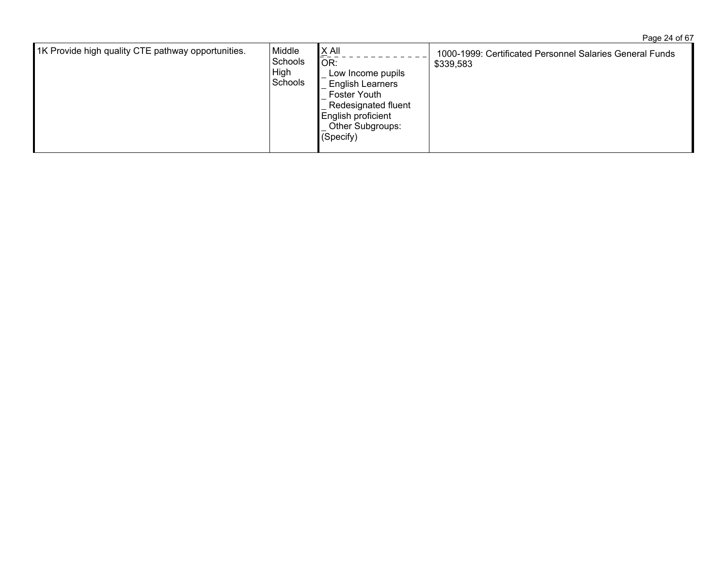Page 24 of 67

| 1K Provide high quality CTE pathway opportunities. | Middle<br>Schools<br>High<br><b>Schools</b> | $\underline{X}$ All<br>OR:<br>Low Income pupils<br><b>English Learners</b><br><b>Foster Youth</b><br>Redesignated fluent<br>English proficient<br>Other Subgroups:<br>(Specify) | 1000-1999: Certificated Personnel Salaries General Funds<br>\$339,583 |
|----------------------------------------------------|---------------------------------------------|---------------------------------------------------------------------------------------------------------------------------------------------------------------------------------|-----------------------------------------------------------------------|
|----------------------------------------------------|---------------------------------------------|---------------------------------------------------------------------------------------------------------------------------------------------------------------------------------|-----------------------------------------------------------------------|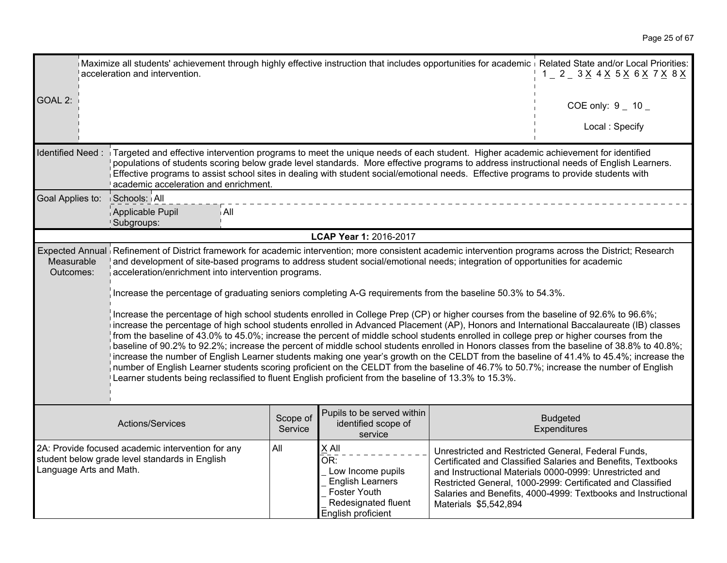Page 25 of 67

| acceleration and intervention.                                                                                                             | Maximize all students' achievement through highly effective instruction that includes opportunities for academic i Related State and/or Local Priorities:<br>$1 - 2 - 3 \times 4 \times 5 \times 6 \times 7 \times 8 \times$                                                                                                                                                                                                                                                                                                                                                                                                                                                                                                                                                                                                                                                                                                                                                                                                                                                                                                                                                                                                                                                                                                                                                                                                             |       |                                                                                                                           |                       |                                                                                                                                                                                                                                                                                                               |  |  |
|--------------------------------------------------------------------------------------------------------------------------------------------|------------------------------------------------------------------------------------------------------------------------------------------------------------------------------------------------------------------------------------------------------------------------------------------------------------------------------------------------------------------------------------------------------------------------------------------------------------------------------------------------------------------------------------------------------------------------------------------------------------------------------------------------------------------------------------------------------------------------------------------------------------------------------------------------------------------------------------------------------------------------------------------------------------------------------------------------------------------------------------------------------------------------------------------------------------------------------------------------------------------------------------------------------------------------------------------------------------------------------------------------------------------------------------------------------------------------------------------------------------------------------------------------------------------------------------------|-------|---------------------------------------------------------------------------------------------------------------------------|-----------------------|---------------------------------------------------------------------------------------------------------------------------------------------------------------------------------------------------------------------------------------------------------------------------------------------------------------|--|--|
| GOAL 2:                                                                                                                                    |                                                                                                                                                                                                                                                                                                                                                                                                                                                                                                                                                                                                                                                                                                                                                                                                                                                                                                                                                                                                                                                                                                                                                                                                                                                                                                                                                                                                                                          |       |                                                                                                                           |                       | COE only: $9 - 10 -$                                                                                                                                                                                                                                                                                          |  |  |
|                                                                                                                                            |                                                                                                                                                                                                                                                                                                                                                                                                                                                                                                                                                                                                                                                                                                                                                                                                                                                                                                                                                                                                                                                                                                                                                                                                                                                                                                                                                                                                                                          |       |                                                                                                                           |                       | Local: Specify                                                                                                                                                                                                                                                                                                |  |  |
| Identified Need:                                                                                                                           | Targeted and effective intervention programs to meet the unique needs of each student. Higher academic achievement for identified<br>populations of students scoring below grade level standards. More effective programs to address instructional needs of English Learners.<br>Effective programs to assist school sites in dealing with student social/emotional needs. Effective programs to provide students with<br>academic acceleration and enrichment.                                                                                                                                                                                                                                                                                                                                                                                                                                                                                                                                                                                                                                                                                                                                                                                                                                                                                                                                                                          |       |                                                                                                                           |                       |                                                                                                                                                                                                                                                                                                               |  |  |
| Goal Applies to:                                                                                                                           | Schools: All                                                                                                                                                                                                                                                                                                                                                                                                                                                                                                                                                                                                                                                                                                                                                                                                                                                                                                                                                                                                                                                                                                                                                                                                                                                                                                                                                                                                                             |       |                                                                                                                           |                       |                                                                                                                                                                                                                                                                                                               |  |  |
|                                                                                                                                            | Applicable Pupil<br>Subgroups:                                                                                                                                                                                                                                                                                                                                                                                                                                                                                                                                                                                                                                                                                                                                                                                                                                                                                                                                                                                                                                                                                                                                                                                                                                                                                                                                                                                                           | i All |                                                                                                                           |                       |                                                                                                                                                                                                                                                                                                               |  |  |
|                                                                                                                                            |                                                                                                                                                                                                                                                                                                                                                                                                                                                                                                                                                                                                                                                                                                                                                                                                                                                                                                                                                                                                                                                                                                                                                                                                                                                                                                                                                                                                                                          |       | LCAP Year 1: 2016-2017                                                                                                    |                       |                                                                                                                                                                                                                                                                                                               |  |  |
| Measurable<br>Outcomes:                                                                                                                    | Expected Annual Refinement of District framework for academic intervention; more consistent academic intervention programs across the District; Research<br>and development of site-based programs to address student social/emotional needs; integration of opportunities for academic<br>acceleration/enrichment into intervention programs.<br>Increase the percentage of graduating seniors completing A-G requirements from the baseline 50.3% to 54.3%.<br>Increase the percentage of high school students enrolled in College Prep (CP) or higher courses from the baseline of 92.6% to 96.6%;<br>increase the percentage of high school students enrolled in Advanced Placement (AP), Honors and International Baccalaureate (IB) classes<br>from the baseline of 43.0% to 45.0%; increase the percent of middle school students enrolled in college prep or higher courses from the<br>baseline of 90.2% to 92.2%; increase the percent of middle school students enrolled in Honors classes from the baseline of 38.8% to 40.8%;<br>increase the number of English Learner students making one year's growth on the CELDT from the baseline of 41.4% to 45.4%; increase the<br>number of English Learner students scoring proficient on the CELDT from the baseline of 46.7% to 50.7%; increase the number of English<br>Learner students being reclassified to fluent English proficient from the baseline of 13.3% to 15.3%. |       |                                                                                                                           |                       |                                                                                                                                                                                                                                                                                                               |  |  |
| Pupils to be served within<br>Scope of<br><b>Budgeted</b><br>Actions/Services<br>identified scope of<br>Service<br>Expenditures<br>service |                                                                                                                                                                                                                                                                                                                                                                                                                                                                                                                                                                                                                                                                                                                                                                                                                                                                                                                                                                                                                                                                                                                                                                                                                                                                                                                                                                                                                                          |       |                                                                                                                           |                       |                                                                                                                                                                                                                                                                                                               |  |  |
| Language Arts and Math.                                                                                                                    | 2A: Provide focused academic intervention for any<br>student below grade level standards in English                                                                                                                                                                                                                                                                                                                                                                                                                                                                                                                                                                                                                                                                                                                                                                                                                                                                                                                                                                                                                                                                                                                                                                                                                                                                                                                                      | All   | X All<br>OR:<br>Low Income pupils<br><b>English Learners</b><br>Foster Youth<br>Redesignated fluent<br>English proficient | Materials \$5,542,894 | Unrestricted and Restricted General, Federal Funds,<br>Certificated and Classified Salaries and Benefits, Textbooks<br>and Instructional Materials 0000-0999: Unrestricted and<br>Restricted General, 1000-2999: Certificated and Classified<br>Salaries and Benefits, 4000-4999: Textbooks and Instructional |  |  |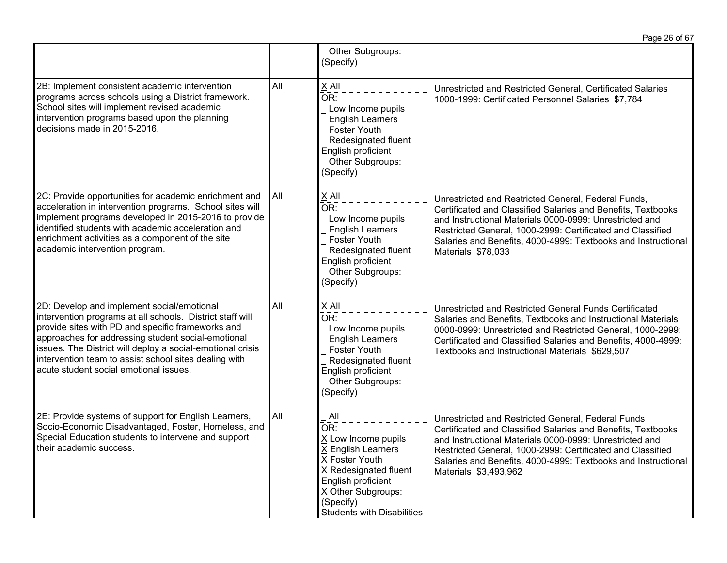|                                                                                                                                                                                                                                                                                                                                                                                     |     |                                                                                                                                                                                                  | Page 26 of 67                                                                                                                                                                                                                                                                                                                         |
|-------------------------------------------------------------------------------------------------------------------------------------------------------------------------------------------------------------------------------------------------------------------------------------------------------------------------------------------------------------------------------------|-----|--------------------------------------------------------------------------------------------------------------------------------------------------------------------------------------------------|---------------------------------------------------------------------------------------------------------------------------------------------------------------------------------------------------------------------------------------------------------------------------------------------------------------------------------------|
|                                                                                                                                                                                                                                                                                                                                                                                     |     | Other Subgroups:<br>(Specify)                                                                                                                                                                    |                                                                                                                                                                                                                                                                                                                                       |
| 2B: Implement consistent academic intervention<br>programs across schools using a District framework.<br>School sites will implement revised academic<br>intervention programs based upon the planning<br>decisions made in 2015-2016.                                                                                                                                              | All | X All<br>OR:<br>Low Income pupils<br><b>English Learners</b><br><b>Foster Youth</b><br>Redesignated fluent<br>English proficient<br>Other Subgroups:<br>(Specify)                                | Unrestricted and Restricted General, Certificated Salaries<br>1000-1999: Certificated Personnel Salaries \$7,784                                                                                                                                                                                                                      |
| 2C: Provide opportunities for academic enrichment and<br>acceleration in intervention programs. School sites will<br>implement programs developed in 2015-2016 to provide<br>identified students with academic acceleration and<br>enrichment activities as a component of the site<br>academic intervention program.                                                               | All | X All<br>OR:<br>Low Income pupils<br><b>English Learners</b><br><b>Foster Youth</b><br>Redesignated fluent<br>English proficient<br>Other Subgroups:<br>(Specify)                                | Unrestricted and Restricted General, Federal Funds,<br>Certificated and Classified Salaries and Benefits, Textbooks<br>and Instructional Materials 0000-0999: Unrestricted and<br>Restricted General, 1000-2999: Certificated and Classified<br>Salaries and Benefits, 4000-4999: Textbooks and Instructional<br>Materials \$78,033   |
| 2D: Develop and implement social/emotional<br>intervention programs at all schools. District staff will<br>provide sites with PD and specific frameworks and<br>approaches for addressing student social-emotional<br>issues. The District will deploy a social-emotional crisis<br>intervention team to assist school sites dealing with<br>acute student social emotional issues. | All | X All<br>OR:<br>Low Income pupils<br><b>English Learners</b><br><b>Foster Youth</b><br>Redesignated fluent<br>English proficient<br>Other Subgroups:<br>(Specify)                                | Unrestricted and Restricted General Funds Certificated<br>Salaries and Benefits, Textbooks and Instructional Materials<br>0000-0999: Unrestricted and Restricted General, 1000-2999:<br>Certificated and Classified Salaries and Benefits, 4000-4999:<br>Textbooks and Instructional Materials \$629,507                              |
| 2E: Provide systems of support for English Learners,<br>Socio-Economic Disadvantaged, Foster, Homeless, and<br>Special Education students to intervene and support<br>their academic success.                                                                                                                                                                                       | All | All<br>OR:<br>X Low Income pupils<br>X English Learners<br>X Foster Youth<br>X Redesignated fluent<br>English proficient<br>X Other Subgroups:<br>(Specify)<br><b>Students with Disabilities</b> | Unrestricted and Restricted General, Federal Funds<br>Certificated and Classified Salaries and Benefits, Textbooks<br>and Instructional Materials 0000-0999: Unrestricted and<br>Restricted General, 1000-2999: Certificated and Classified<br>Salaries and Benefits, 4000-4999: Textbooks and Instructional<br>Materials \$3,493,962 |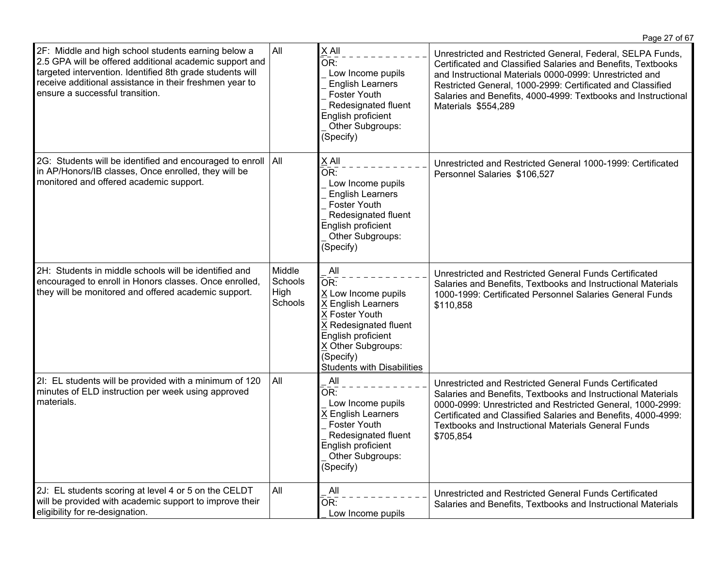|                                                                                                                                                                                                                                                                           |                                      |                                                                                                                                                                                                  | Page 27 of 67                                                                                                                                                                                                                                                                                                                               |
|---------------------------------------------------------------------------------------------------------------------------------------------------------------------------------------------------------------------------------------------------------------------------|--------------------------------------|--------------------------------------------------------------------------------------------------------------------------------------------------------------------------------------------------|---------------------------------------------------------------------------------------------------------------------------------------------------------------------------------------------------------------------------------------------------------------------------------------------------------------------------------------------|
| 2F: Middle and high school students earning below a<br>2.5 GPA will be offered additional academic support and<br>targeted intervention. Identified 8th grade students will<br>receive additional assistance in their freshmen year to<br>ensure a successful transition. | <b>All</b>                           | $X$ All<br>OR:<br>Low Income pupils<br><b>English Learners</b><br><b>Foster Youth</b><br>Redesignated fluent<br>English proficient<br>Other Subgroups:<br>(Specify)                              | Unrestricted and Restricted General, Federal, SELPA Funds,<br>Certificated and Classified Salaries and Benefits, Textbooks<br>and Instructional Materials 0000-0999: Unrestricted and<br>Restricted General, 1000-2999: Certificated and Classified<br>Salaries and Benefits, 4000-4999: Textbooks and Instructional<br>Materials \$554,289 |
| 2G: Students will be identified and encouraged to enroll<br>in AP/Honors/IB classes, Once enrolled, they will be<br>monitored and offered academic support.                                                                                                               | $ $ All                              | $X$ All<br>OR:<br>Low Income pupils<br><b>English Learners</b><br>Foster Youth<br>Redesignated fluent<br>English proficient<br>Other Subgroups:<br>(Specify)                                     | Unrestricted and Restricted General 1000-1999: Certificated<br>Personnel Salaries \$106,527                                                                                                                                                                                                                                                 |
| 2H: Students in middle schools will be identified and<br>encouraged to enroll in Honors classes. Once enrolled,<br>they will be monitored and offered academic support.                                                                                                   | Middle<br>Schools<br>High<br>Schools | All<br>OR:<br>X Low Income pupils<br>X English Learners<br>X Foster Youth<br>X Redesignated fluent<br>English proficient<br>X Other Subgroups:<br>(Specify)<br><b>Students with Disabilities</b> | Unrestricted and Restricted General Funds Certificated<br>Salaries and Benefits, Textbooks and Instructional Materials<br>1000-1999: Certificated Personnel Salaries General Funds<br>\$110,858                                                                                                                                             |
| 2I: EL students will be provided with a minimum of 120<br>minutes of ELD instruction per week using approved<br>materials.                                                                                                                                                | All                                  | All<br>OR:<br>Low Income pupils<br>X English Learners<br>Foster Youth<br>Redesignated fluent<br>English proficient<br>Other Subgroups:<br>(Specify)                                              | Unrestricted and Restricted General Funds Certificated<br>Salaries and Benefits, Textbooks and Instructional Materials<br>0000-0999: Unrestricted and Restricted General, 1000-2999:<br>Certificated and Classified Salaries and Benefits, 4000-4999:<br><b>Textbooks and Instructional Materials General Funds</b><br>\$705,854            |
| 2J: EL students scoring at level 4 or 5 on the CELDT<br>will be provided with academic support to improve their<br>eligibility for re-designation.                                                                                                                        | All                                  | All<br>OR:<br>Low Income pupils                                                                                                                                                                  | Unrestricted and Restricted General Funds Certificated<br>Salaries and Benefits, Textbooks and Instructional Materials                                                                                                                                                                                                                      |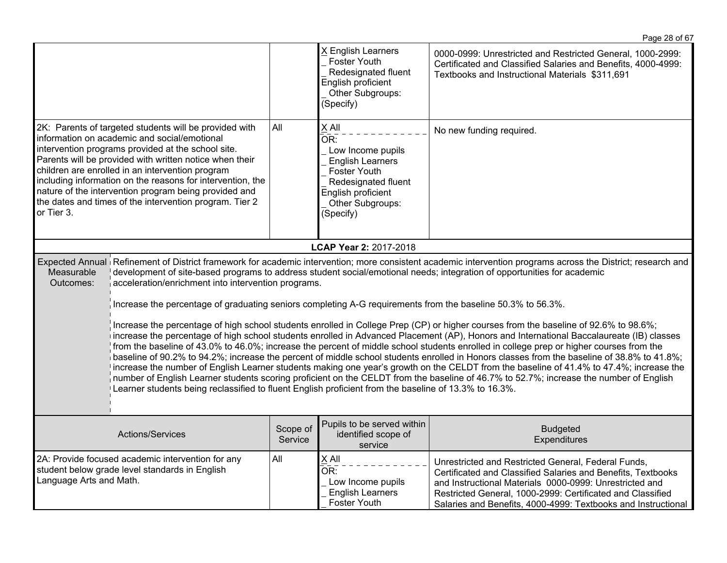|                                                                                                                                                                                                                                                                                                                                                                                                                                                                                                                                                                                                                                                                                                                                                                                                                                                                                                                                                                                                                                                                                                                                                                                                                                                                                                                                                                                                                                                                     |                                                                                                                                                                                                                                                                                                                                                                                                                                                               |                     | X English Learners<br><b>Foster Youth</b><br>Redesignated fluent<br>English proficient<br>Other Subgroups:<br>(Specify)                                             | 0000-0999: Unrestricted and Restricted General, 1000-2999:<br>Certificated and Classified Salaries and Benefits, 4000-4999:<br>Textbooks and Instructional Materials \$311,691                                                                                                                                |  |
|---------------------------------------------------------------------------------------------------------------------------------------------------------------------------------------------------------------------------------------------------------------------------------------------------------------------------------------------------------------------------------------------------------------------------------------------------------------------------------------------------------------------------------------------------------------------------------------------------------------------------------------------------------------------------------------------------------------------------------------------------------------------------------------------------------------------------------------------------------------------------------------------------------------------------------------------------------------------------------------------------------------------------------------------------------------------------------------------------------------------------------------------------------------------------------------------------------------------------------------------------------------------------------------------------------------------------------------------------------------------------------------------------------------------------------------------------------------------|---------------------------------------------------------------------------------------------------------------------------------------------------------------------------------------------------------------------------------------------------------------------------------------------------------------------------------------------------------------------------------------------------------------------------------------------------------------|---------------------|---------------------------------------------------------------------------------------------------------------------------------------------------------------------|---------------------------------------------------------------------------------------------------------------------------------------------------------------------------------------------------------------------------------------------------------------------------------------------------------------|--|
| or Tier 3.                                                                                                                                                                                                                                                                                                                                                                                                                                                                                                                                                                                                                                                                                                                                                                                                                                                                                                                                                                                                                                                                                                                                                                                                                                                                                                                                                                                                                                                          | 2K: Parents of targeted students will be provided with<br>information on academic and social/emotional<br>intervention programs provided at the school site.<br>Parents will be provided with written notice when their<br>children are enrolled in an intervention program<br>including information on the reasons for intervention, the<br>nature of the intervention program being provided and<br>the dates and times of the intervention program. Tier 2 | All                 | $X$ All<br>OR:<br>Low Income pupils<br><b>English Learners</b><br><b>Foster Youth</b><br>Redesignated fluent<br>English proficient<br>Other Subgroups:<br>(Specify) | No new funding required.                                                                                                                                                                                                                                                                                      |  |
|                                                                                                                                                                                                                                                                                                                                                                                                                                                                                                                                                                                                                                                                                                                                                                                                                                                                                                                                                                                                                                                                                                                                                                                                                                                                                                                                                                                                                                                                     |                                                                                                                                                                                                                                                                                                                                                                                                                                                               |                     | LCAP Year 2: 2017-2018                                                                                                                                              |                                                                                                                                                                                                                                                                                                               |  |
| Expected Annual Refinement of District framework for academic intervention; more consistent academic intervention programs across the District; research and<br>Measurable<br>development of site-based programs to address student social/emotional needs; integration of opportunities for academic<br>Outcomes:<br>acceleration/enrichment into intervention programs.<br>Increase the percentage of graduating seniors completing A-G requirements from the baseline 50.3% to 56.3%.<br>Increase the percentage of high school students enrolled in College Prep (CP) or higher courses from the baseline of 92.6% to 98.6%;<br>increase the percentage of high school students enrolled in Advanced Placement (AP), Honors and International Baccalaureate (IB) classes<br>from the baseline of 43.0% to 46.0%; increase the percent of middle school students enrolled in college prep or higher courses from the<br>baseline of 90.2% to 94.2%; increase the percent of middle school students enrolled in Honors classes from the baseline of 38.8% to 41.8%;<br>increase the number of English Learner students making one year's growth on the CELDT from the baseline of 41.4% to 47.4%; increase the<br>number of English Learner students scoring proficient on the CELDT from the baseline of 46.7% to 52.7%; increase the number of English<br>Learner students being reclassified to fluent English proficient from the baseline of 13.3% to 16.3%. |                                                                                                                                                                                                                                                                                                                                                                                                                                                               |                     |                                                                                                                                                                     |                                                                                                                                                                                                                                                                                                               |  |
|                                                                                                                                                                                                                                                                                                                                                                                                                                                                                                                                                                                                                                                                                                                                                                                                                                                                                                                                                                                                                                                                                                                                                                                                                                                                                                                                                                                                                                                                     | Actions/Services                                                                                                                                                                                                                                                                                                                                                                                                                                              | Scope of<br>Service | Pupils to be served within<br>identified scope of<br>service                                                                                                        | <b>Budgeted</b><br>Expenditures                                                                                                                                                                                                                                                                               |  |
| Language Arts and Math.                                                                                                                                                                                                                                                                                                                                                                                                                                                                                                                                                                                                                                                                                                                                                                                                                                                                                                                                                                                                                                                                                                                                                                                                                                                                                                                                                                                                                                             | 2A: Provide focused academic intervention for any<br>student below grade level standards in English                                                                                                                                                                                                                                                                                                                                                           | All                 | $X$ All<br>OR:<br>Low Income pupils<br><b>English Learners</b><br><b>Foster Youth</b>                                                                               | Unrestricted and Restricted General, Federal Funds,<br>Certificated and Classified Salaries and Benefits, Textbooks<br>and Instructional Materials 0000-0999: Unrestricted and<br>Restricted General, 1000-2999: Certificated and Classified<br>Salaries and Benefits, 4000-4999: Textbooks and Instructional |  |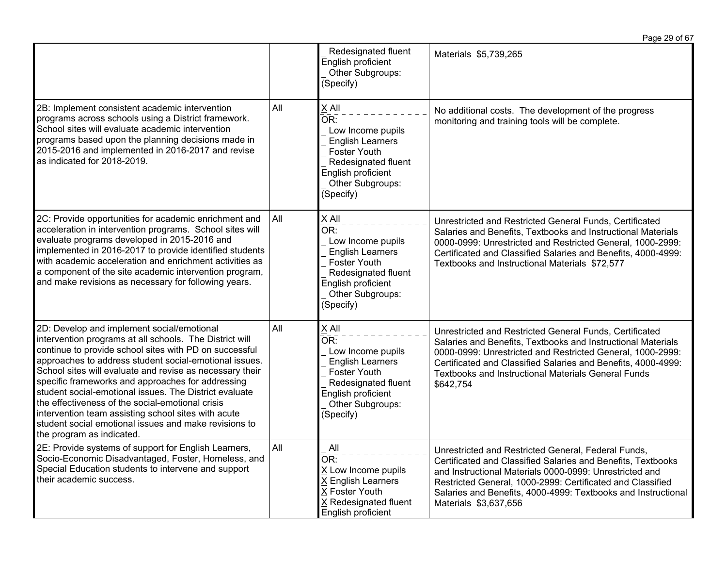|                                                                                                                                                                                                                                                                                                                                                                                                                                                                                                                                                                                                       |     |                                                                                                                                                                     | Page 29 of 67                                                                                                                                                                                                                                                                                                                          |
|-------------------------------------------------------------------------------------------------------------------------------------------------------------------------------------------------------------------------------------------------------------------------------------------------------------------------------------------------------------------------------------------------------------------------------------------------------------------------------------------------------------------------------------------------------------------------------------------------------|-----|---------------------------------------------------------------------------------------------------------------------------------------------------------------------|----------------------------------------------------------------------------------------------------------------------------------------------------------------------------------------------------------------------------------------------------------------------------------------------------------------------------------------|
|                                                                                                                                                                                                                                                                                                                                                                                                                                                                                                                                                                                                       |     | Redesignated fluent<br>English proficient<br>Other Subgroups:<br>(Specify)                                                                                          | Materials \$5,739,265                                                                                                                                                                                                                                                                                                                  |
| 2B: Implement consistent academic intervention<br>programs across schools using a District framework.<br>School sites will evaluate academic intervention<br>programs based upon the planning decisions made in<br>2015-2016 and implemented in 2016-2017 and revise<br>as indicated for 2018-2019.                                                                                                                                                                                                                                                                                                   | All | $X$ All<br>OR:<br>Low Income pupils<br><b>English Learners</b><br><b>Foster Youth</b><br>Redesignated fluent<br>English proficient<br>Other Subgroups:<br>(Specify) | No additional costs. The development of the progress<br>monitoring and training tools will be complete.                                                                                                                                                                                                                                |
| 2C: Provide opportunities for academic enrichment and<br>acceleration in intervention programs. School sites will<br>evaluate programs developed in 2015-2016 and<br>implemented in 2016-2017 to provide identified students<br>with academic acceleration and enrichment activities as<br>a component of the site academic intervention program,<br>and make revisions as necessary for following years.                                                                                                                                                                                             | All | $X$ All<br>OR:<br>Low Income pupils<br><b>English Learners</b><br><b>Foster Youth</b><br>Redesignated fluent<br>English proficient<br>Other Subgroups:<br>(Specify) | Unrestricted and Restricted General Funds, Certificated<br>Salaries and Benefits, Textbooks and Instructional Materials<br>0000-0999: Unrestricted and Restricted General, 1000-2999:<br>Certificated and Classified Salaries and Benefits, 4000-4999:<br>Textbooks and Instructional Materials \$72,577                               |
| 2D: Develop and implement social/emotional<br>intervention programs at all schools. The District will<br>continue to provide school sites with PD on successful<br>approaches to address student social-emotional issues.<br>School sites will evaluate and revise as necessary their<br>specific frameworks and approaches for addressing<br>student social-emotional issues. The District evaluate<br>the effectiveness of the social-emotional crisis<br>intervention team assisting school sites with acute<br>student social emotional issues and make revisions to<br>the program as indicated. | All | X All<br>OR:<br>Low Income pupils<br><b>English Learners</b><br><b>Foster Youth</b><br>Redesignated fluent<br>English proficient<br>Other Subgroups:<br>(Specify)   | Unrestricted and Restricted General Funds, Certificated<br>Salaries and Benefits, Textbooks and Instructional Materials<br>0000-0999: Unrestricted and Restricted General, 1000-2999:<br>Certificated and Classified Salaries and Benefits, 4000-4999:<br><b>Textbooks and Instructional Materials General Funds</b><br>\$642,754      |
| 2E: Provide systems of support for English Learners,<br>Socio-Economic Disadvantaged, Foster, Homeless, and<br>Special Education students to intervene and support<br>their academic success.                                                                                                                                                                                                                                                                                                                                                                                                         | All | All<br>OR:<br>X Low Income pupils<br>X English Learners<br>X Foster Youth<br>X Redesignated fluent<br>English proficient                                            | Unrestricted and Restricted General, Federal Funds,<br>Certificated and Classified Salaries and Benefits, Textbooks<br>and Instructional Materials 0000-0999: Unrestricted and<br>Restricted General, 1000-2999: Certificated and Classified<br>Salaries and Benefits, 4000-4999: Textbooks and Instructional<br>Materials \$3,637,656 |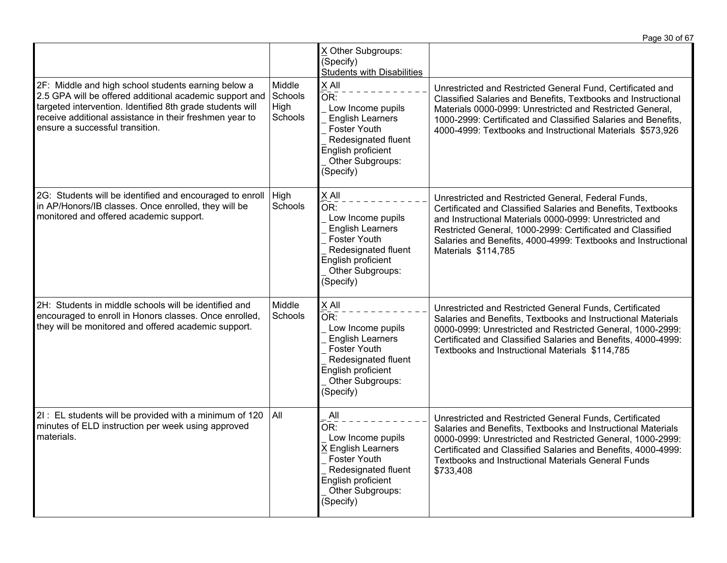|                                                                                                                                                                                                                                                                           |                                      |                                                                                                                                                                          | Page 30 of 67                                                                                                                                                                                                                                                                                                                        |
|---------------------------------------------------------------------------------------------------------------------------------------------------------------------------------------------------------------------------------------------------------------------------|--------------------------------------|--------------------------------------------------------------------------------------------------------------------------------------------------------------------------|--------------------------------------------------------------------------------------------------------------------------------------------------------------------------------------------------------------------------------------------------------------------------------------------------------------------------------------|
|                                                                                                                                                                                                                                                                           |                                      | X Other Subgroups:<br>(Specify)<br><b>Students with Disabilities</b>                                                                                                     |                                                                                                                                                                                                                                                                                                                                      |
| 2F: Middle and high school students earning below a<br>2.5 GPA will be offered additional academic support and<br>targeted intervention. Identified 8th grade students will<br>receive additional assistance in their freshmen year to<br>ensure a successful transition. | Middle<br>Schools<br>High<br>Schools | X All<br>OR:<br>Low Income pupils<br><b>English Learners</b><br><b>Foster Youth</b><br>Redesignated fluent<br>English proficient<br>Other Subgroups:<br>(Specify)        | Unrestricted and Restricted General Fund, Certificated and<br>Classified Salaries and Benefits, Textbooks and Instructional<br>Materials 0000-0999: Unrestricted and Restricted General,<br>1000-2999: Certificated and Classified Salaries and Benefits,<br>4000-4999: Textbooks and Instructional Materials \$573,926              |
| 2G: Students will be identified and encouraged to enroll<br>in AP/Honors/IB classes. Once enrolled, they will be<br>monitored and offered academic support.                                                                                                               | High<br>Schools                      | $X$ All<br>OR:<br>Low Income pupils<br><b>English Learners</b><br><b>Foster Youth</b><br>Redesignated fluent<br>English proficient<br>Other Subgroups:<br>(Specify)      | Unrestricted and Restricted General, Federal Funds,<br>Certificated and Classified Salaries and Benefits, Textbooks<br>and Instructional Materials 0000-0999: Unrestricted and<br>Restricted General, 1000-2999: Certificated and Classified<br>Salaries and Benefits, 4000-4999: Textbooks and Instructional<br>Materials \$114,785 |
| 2H: Students in middle schools will be identified and<br>encouraged to enroll in Honors classes. Once enrolled,<br>they will be monitored and offered academic support.                                                                                                   | Middle<br>Schools                    | X All<br>OR:<br>Low Income pupils<br><b>English Learners</b><br><b>Foster Youth</b><br>Redesignated fluent<br>English proficient<br>Other Subgroups:<br>(Specify)        | Unrestricted and Restricted General Funds, Certificated<br>Salaries and Benefits, Textbooks and Instructional Materials<br>0000-0999: Unrestricted and Restricted General, 1000-2999:<br>Certificated and Classified Salaries and Benefits, 4000-4999:<br>Textbooks and Instructional Materials \$114,785                            |
| 2I : EL students will be provided with a minimum of 120<br>minutes of ELD instruction per week using approved<br>materials.                                                                                                                                               | All                                  | $\overline{A}$ ll<br>OR:<br>Low Income pupils<br>X English Learners<br><b>Foster Youth</b><br>Redesignated fluent<br>English proficient<br>Other Subgroups:<br>(Specify) | Unrestricted and Restricted General Funds, Certificated<br>Salaries and Benefits, Textbooks and Instructional Materials<br>0000-0999: Unrestricted and Restricted General, 1000-2999:<br>Certificated and Classified Salaries and Benefits, 4000-4999:<br><b>Textbooks and Instructional Materials General Funds</b><br>\$733,408    |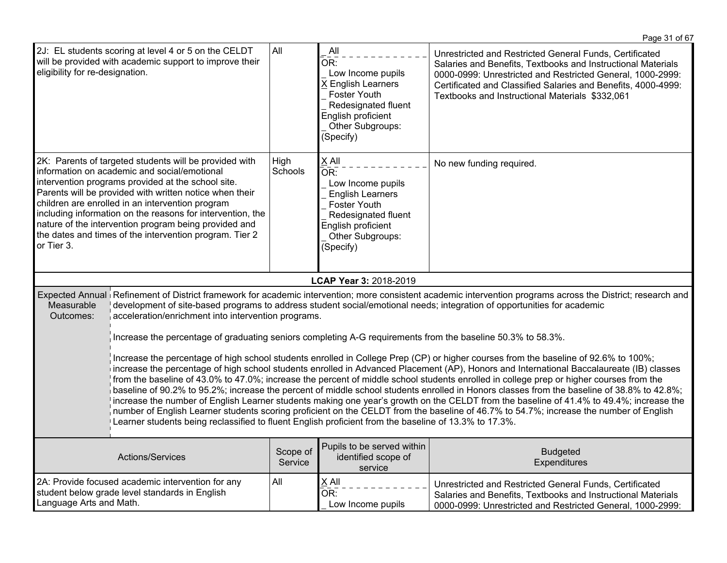| eligibility for re-designation.                                                                                                                                                                                                                                                                                                                                                                                                                                                                                                                                                                                                                                                                                                                                                                                                                                                                                                                                                                                                                                                                                                                                                                                                                                                                                                                                                                                                                                    | 2J: EL students scoring at level 4 or 5 on the CELDT<br>will be provided with academic support to improve their | All                 | All<br>OR:<br>Low Income pupils<br>X English Learners<br>Foster Youth<br>Redesignated fluent<br>English proficient<br>Other Subgroups:<br>(Specify)                          | Unrestricted and Restricted General Funds, Certificated<br>Salaries and Benefits, Textbooks and Instructional Materials<br>0000-0999: Unrestricted and Restricted General, 1000-2999:<br>Certificated and Classified Salaries and Benefits, 4000-4999:<br>Textbooks and Instructional Materials \$332,061 |
|--------------------------------------------------------------------------------------------------------------------------------------------------------------------------------------------------------------------------------------------------------------------------------------------------------------------------------------------------------------------------------------------------------------------------------------------------------------------------------------------------------------------------------------------------------------------------------------------------------------------------------------------------------------------------------------------------------------------------------------------------------------------------------------------------------------------------------------------------------------------------------------------------------------------------------------------------------------------------------------------------------------------------------------------------------------------------------------------------------------------------------------------------------------------------------------------------------------------------------------------------------------------------------------------------------------------------------------------------------------------------------------------------------------------------------------------------------------------|-----------------------------------------------------------------------------------------------------------------|---------------------|------------------------------------------------------------------------------------------------------------------------------------------------------------------------------|-----------------------------------------------------------------------------------------------------------------------------------------------------------------------------------------------------------------------------------------------------------------------------------------------------------|
| 2K: Parents of targeted students will be provided with<br>information on academic and social/emotional<br>intervention programs provided at the school site.<br>Parents will be provided with written notice when their<br>children are enrolled in an intervention program<br>including information on the reasons for intervention, the<br>nature of the intervention program being provided and<br>the dates and times of the intervention program. Tier 2<br>or Tier 3.                                                                                                                                                                                                                                                                                                                                                                                                                                                                                                                                                                                                                                                                                                                                                                                                                                                                                                                                                                                        |                                                                                                                 | High<br>Schools     | X All<br>$\bar{\mathsf{OR}}$ :<br>Low Income pupils<br><b>English Learners</b><br>Foster Youth<br>Redesignated fluent<br>English proficient<br>Other Subgroups:<br>(Specify) | No new funding required.                                                                                                                                                                                                                                                                                  |
|                                                                                                                                                                                                                                                                                                                                                                                                                                                                                                                                                                                                                                                                                                                                                                                                                                                                                                                                                                                                                                                                                                                                                                                                                                                                                                                                                                                                                                                                    |                                                                                                                 |                     | LCAP Year 3: 2018-2019                                                                                                                                                       |                                                                                                                                                                                                                                                                                                           |
| Expected Annual Refinement of District framework for academic intervention; more consistent academic intervention programs across the District; research and<br>development of site-based programs to address student social/emotional needs; integration of opportunities for academic<br>Measurable<br>acceleration/enrichment into intervention programs.<br>Outcomes:<br>Increase the percentage of graduating seniors completing A-G requirements from the baseline 50.3% to 58.3%.<br>Increase the percentage of high school students enrolled in College Prep (CP) or higher courses from the baseline of 92.6% to 100%;<br>increase the percentage of high school students enrolled in Advanced Placement (AP), Honors and International Baccalaureate (IB) classes<br>from the baseline of 43.0% to 47.0%; increase the percent of middle school students enrolled in college prep or higher courses from the<br>baseline of 90.2% to 95.2%; increase the percent of middle school students enrolled in Honors classes from the baseline of 38.8% to 42.8%;<br>increase the number of English Learner students making one year's growth on the CELDT from the baseline of 41.4% to 49.4%; increase the<br>number of English Learner students scoring proficient on the CELDT from the baseline of 46.7% to 54.7%; increase the number of English<br>Learner students being reclassified to fluent English proficient from the baseline of 13.3% to 17.3%. |                                                                                                                 |                     |                                                                                                                                                                              |                                                                                                                                                                                                                                                                                                           |
|                                                                                                                                                                                                                                                                                                                                                                                                                                                                                                                                                                                                                                                                                                                                                                                                                                                                                                                                                                                                                                                                                                                                                                                                                                                                                                                                                                                                                                                                    | Actions/Services                                                                                                | Scope of<br>Service | Pupils to be served within<br>identified scope of<br>service                                                                                                                 | <b>Budgeted</b><br>Expenditures                                                                                                                                                                                                                                                                           |
| 2A: Provide focused academic intervention for any<br>student below grade level standards in English<br>Language Arts and Math.                                                                                                                                                                                                                                                                                                                                                                                                                                                                                                                                                                                                                                                                                                                                                                                                                                                                                                                                                                                                                                                                                                                                                                                                                                                                                                                                     |                                                                                                                 | All                 | X All<br>OR:<br>Low Income pupils                                                                                                                                            | Unrestricted and Restricted General Funds, Certificated<br>Salaries and Benefits, Textbooks and Instructional Materials<br>0000-0999: Unrestricted and Restricted General, 1000-2999:                                                                                                                     |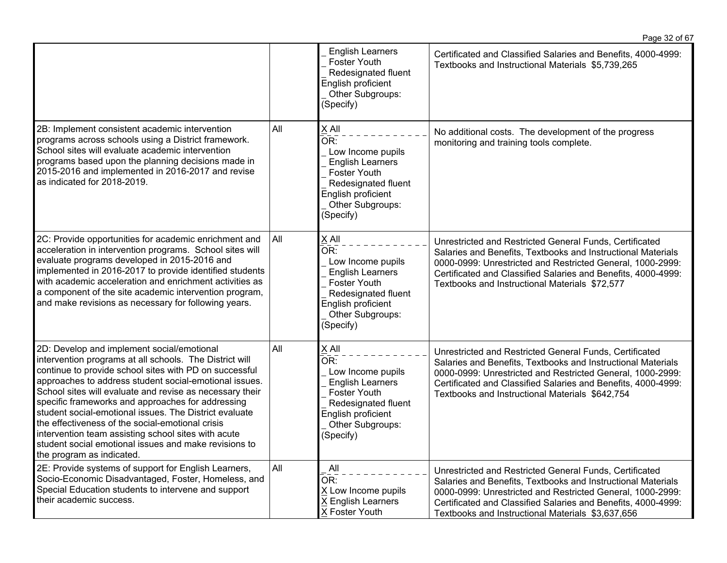|                                                                                                                                                                                                                                                                                                                                                                                                                                                                                                                                                                                                       |     | <b>English Learners</b><br><b>Foster Youth</b><br>Redesignated fluent<br>English proficient<br>Other Subgroups:<br>(Specify)                                        | Certificated and Classified Salaries and Benefits, 4000-4999:<br>Textbooks and Instructional Materials \$5,739,265                                                                                                                                                                                          |
|-------------------------------------------------------------------------------------------------------------------------------------------------------------------------------------------------------------------------------------------------------------------------------------------------------------------------------------------------------------------------------------------------------------------------------------------------------------------------------------------------------------------------------------------------------------------------------------------------------|-----|---------------------------------------------------------------------------------------------------------------------------------------------------------------------|-------------------------------------------------------------------------------------------------------------------------------------------------------------------------------------------------------------------------------------------------------------------------------------------------------------|
| 2B: Implement consistent academic intervention<br>programs across schools using a District framework.<br>School sites will evaluate academic intervention<br>programs based upon the planning decisions made in<br>2015-2016 and implemented in 2016-2017 and revise<br>as indicated for 2018-2019.                                                                                                                                                                                                                                                                                                   | All | X All<br>OR:<br>Low Income pupils<br><b>English Learners</b><br><b>Foster Youth</b><br>Redesignated fluent<br>English proficient<br>Other Subgroups:<br>(Specify)   | No additional costs. The development of the progress<br>monitoring and training tools complete.                                                                                                                                                                                                             |
| 2C: Provide opportunities for academic enrichment and<br>acceleration in intervention programs. School sites will<br>evaluate programs developed in 2015-2016 and<br>implemented in 2016-2017 to provide identified students<br>with academic acceleration and enrichment activities as<br>a component of the site academic intervention program,<br>and make revisions as necessary for following years.                                                                                                                                                                                             | All | X All<br>OR:<br>Low Income pupils<br><b>English Learners</b><br>Foster Youth<br>Redesignated fluent<br>English proficient<br>Other Subgroups:<br>(Specify)          | Unrestricted and Restricted General Funds, Certificated<br>Salaries and Benefits, Textbooks and Instructional Materials<br>0000-0999: Unrestricted and Restricted General, 1000-2999:<br>Certificated and Classified Salaries and Benefits, 4000-4999:<br>Textbooks and Instructional Materials \$72,577    |
| 2D: Develop and implement social/emotional<br>intervention programs at all schools. The District will<br>continue to provide school sites with PD on successful<br>approaches to address student social-emotional issues.<br>School sites will evaluate and revise as necessary their<br>specific frameworks and approaches for addressing<br>student social-emotional issues. The District evaluate<br>the effectiveness of the social-emotional crisis<br>intervention team assisting school sites with acute<br>student social emotional issues and make revisions to<br>the program as indicated. | All | $X$ All<br>−−−<br>OR:<br>Low Income pupils<br><b>English Learners</b><br>Foster Youth<br>Redesignated fluent<br>English proficient<br>Other Subgroups:<br>(Specify) | Unrestricted and Restricted General Funds, Certificated<br>Salaries and Benefits, Textbooks and Instructional Materials<br>0000-0999: Unrestricted and Restricted General, 1000-2999:<br>Certificated and Classified Salaries and Benefits, 4000-4999:<br>Textbooks and Instructional Materials \$642,754   |
| 2E: Provide systems of support for English Learners,<br>Socio-Economic Disadvantaged, Foster, Homeless, and<br>Special Education students to intervene and support<br>their academic success.                                                                                                                                                                                                                                                                                                                                                                                                         | All | All<br>$\overline{\mathsf{OR}}$ :<br>X Low Income pupils<br>X English Learners<br>X Foster Youth                                                                    | Unrestricted and Restricted General Funds, Certificated<br>Salaries and Benefits, Textbooks and Instructional Materials<br>0000-0999: Unrestricted and Restricted General, 1000-2999:<br>Certificated and Classified Salaries and Benefits, 4000-4999:<br>Textbooks and Instructional Materials \$3,637,656 |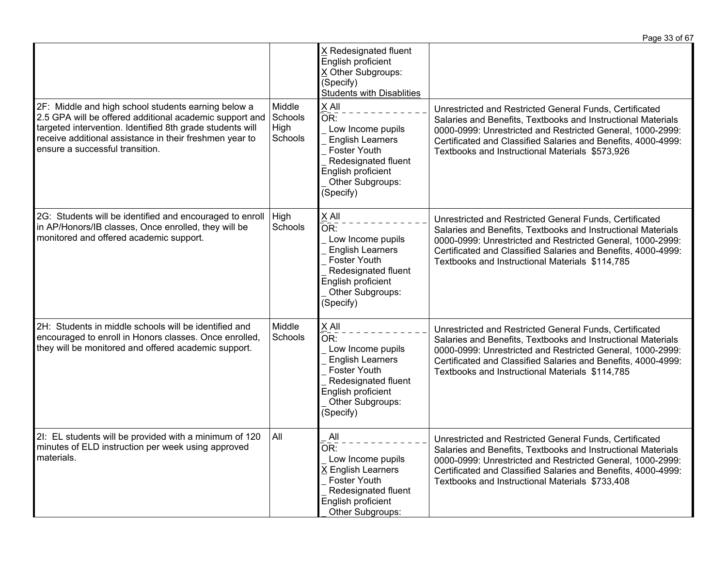|                                                                                                                                                                                                                                                                           |                                      |                                                                                                                                                                   | Page 33 of 67                                                                                                                                                                                                                                                                                             |
|---------------------------------------------------------------------------------------------------------------------------------------------------------------------------------------------------------------------------------------------------------------------------|--------------------------------------|-------------------------------------------------------------------------------------------------------------------------------------------------------------------|-----------------------------------------------------------------------------------------------------------------------------------------------------------------------------------------------------------------------------------------------------------------------------------------------------------|
|                                                                                                                                                                                                                                                                           |                                      | X Redesignated fluent<br>English proficient<br>X Other Subgroups:<br>(Specify)<br><b>Students with Disablities</b>                                                |                                                                                                                                                                                                                                                                                                           |
| 2F: Middle and high school students earning below a<br>2.5 GPA will be offered additional academic support and<br>targeted intervention. Identified 8th grade students will<br>receive additional assistance in their freshmen year to<br>ensure a successful transition. | Middle<br>Schools<br>High<br>Schools | X All<br>OR:<br>Low Income pupils<br><b>English Learners</b><br><b>Foster Youth</b><br>Redesignated fluent<br>English proficient<br>Other Subgroups:<br>(Specify) | Unrestricted and Restricted General Funds, Certificated<br>Salaries and Benefits, Textbooks and Instructional Materials<br>0000-0999: Unrestricted and Restricted General, 1000-2999:<br>Certificated and Classified Salaries and Benefits, 4000-4999:<br>Textbooks and Instructional Materials \$573,926 |
| 2G: Students will be identified and encouraged to enroll<br>in AP/Honors/IB classes, Once enrolled, they will be<br>monitored and offered academic support.                                                                                                               | High<br>Schools                      | X All<br>OR:<br>Low Income pupils<br><b>English Learners</b><br><b>Foster Youth</b><br>Redesignated fluent<br>English proficient<br>Other Subgroups:<br>(Specify) | Unrestricted and Restricted General Funds, Certificated<br>Salaries and Benefits, Textbooks and Instructional Materials<br>0000-0999: Unrestricted and Restricted General, 1000-2999:<br>Certificated and Classified Salaries and Benefits, 4000-4999:<br>Textbooks and Instructional Materials \$114,785 |
| 2H: Students in middle schools will be identified and<br>encouraged to enroll in Honors classes. Once enrolled,<br>they will be monitored and offered academic support.                                                                                                   | Middle<br>Schools                    | X All<br>OR:<br>Low Income pupils<br><b>English Learners</b><br>Foster Youth<br>Redesignated fluent<br>English proficient<br>Other Subgroups:<br>(Specify)        | Unrestricted and Restricted General Funds, Certificated<br>Salaries and Benefits, Textbooks and Instructional Materials<br>0000-0999: Unrestricted and Restricted General, 1000-2999:<br>Certificated and Classified Salaries and Benefits, 4000-4999:<br>Textbooks and Instructional Materials \$114,785 |
| 2I: EL students will be provided with a minimum of 120<br>minutes of ELD instruction per week using approved<br>materials.                                                                                                                                                | All                                  | All<br>OR:<br>Low Income pupils<br>X English Learners<br>Foster Youth<br>Redesignated fluent<br>English proficient<br>Other Subgroups:                            | Unrestricted and Restricted General Funds, Certificated<br>Salaries and Benefits, Textbooks and Instructional Materials<br>0000-0999: Unrestricted and Restricted General, 1000-2999:<br>Certificated and Classified Salaries and Benefits, 4000-4999:<br>Textbooks and Instructional Materials \$733,408 |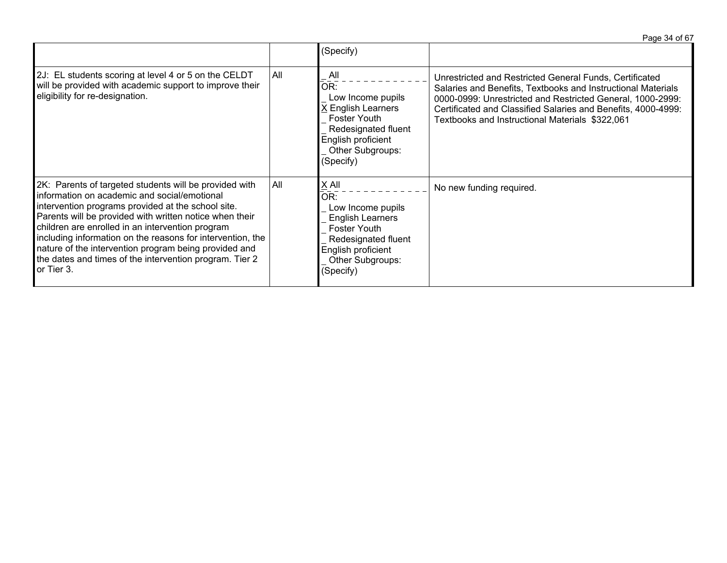|                                                                                                                                                                                                                                                                                                                                                                                                                                                                             |     |                                                                                                                                                              | Page 34 of 67                                                                                                                                                                                                                                                                                             |
|-----------------------------------------------------------------------------------------------------------------------------------------------------------------------------------------------------------------------------------------------------------------------------------------------------------------------------------------------------------------------------------------------------------------------------------------------------------------------------|-----|--------------------------------------------------------------------------------------------------------------------------------------------------------------|-----------------------------------------------------------------------------------------------------------------------------------------------------------------------------------------------------------------------------------------------------------------------------------------------------------|
|                                                                                                                                                                                                                                                                                                                                                                                                                                                                             |     | (Specify)                                                                                                                                                    |                                                                                                                                                                                                                                                                                                           |
| 2J: EL students scoring at level 4 or 5 on the CELDT<br>will be provided with academic support to improve their<br>eligibility for re-designation.                                                                                                                                                                                                                                                                                                                          | All | All<br>OR:<br>Low Income pupils<br>X English Learners<br>Foster Youth<br>Redesignated fluent<br>English proficient<br>Other Subgroups:<br>(Specify)          | Unrestricted and Restricted General Funds, Certificated<br>Salaries and Benefits, Textbooks and Instructional Materials<br>0000-0999: Unrestricted and Restricted General, 1000-2999:<br>Certificated and Classified Salaries and Benefits, 4000-4999:<br>Textbooks and Instructional Materials \$322,061 |
| 2K: Parents of targeted students will be provided with<br>information on academic and social/emotional<br>intervention programs provided at the school site.<br>Parents will be provided with written notice when their<br>children are enrolled in an intervention program<br>including information on the reasons for intervention, the<br>nature of the intervention program being provided and<br>the dates and times of the intervention program. Tier 2<br>or Tier 3. | All | $X$ All<br>OR:<br>Low Income pupils<br><b>English Learners</b><br>Foster Youth<br>Redesignated fluent<br>English proficient<br>Other Subgroups:<br>(Specify) | No new funding required.                                                                                                                                                                                                                                                                                  |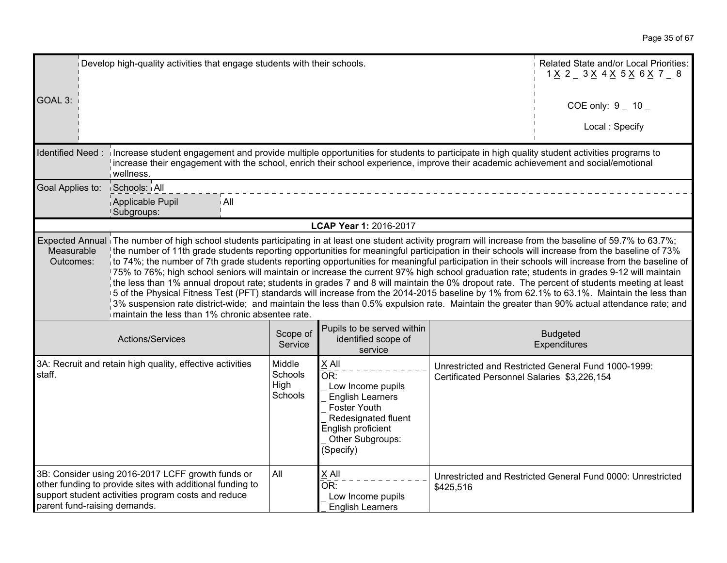| Develop high-quality activities that engage students with their schools.                                                                                                                                                                                                                                                                                                               |                                                                                                                                                                                                                                                                                                                                                                                                                                                                                                                                                                                                                                                                                                                                                                                                                                                                                                                                                                                                                                                                                                                       |                     |                                                                         |           | Related State and/or Local Priorities:<br>$1 \times 2 = 3 \times 4 \times 5 \times 6 \times 7 = 8$ |
|----------------------------------------------------------------------------------------------------------------------------------------------------------------------------------------------------------------------------------------------------------------------------------------------------------------------------------------------------------------------------------------|-----------------------------------------------------------------------------------------------------------------------------------------------------------------------------------------------------------------------------------------------------------------------------------------------------------------------------------------------------------------------------------------------------------------------------------------------------------------------------------------------------------------------------------------------------------------------------------------------------------------------------------------------------------------------------------------------------------------------------------------------------------------------------------------------------------------------------------------------------------------------------------------------------------------------------------------------------------------------------------------------------------------------------------------------------------------------------------------------------------------------|---------------------|-------------------------------------------------------------------------|-----------|----------------------------------------------------------------------------------------------------|
| GOAL 3:                                                                                                                                                                                                                                                                                                                                                                                |                                                                                                                                                                                                                                                                                                                                                                                                                                                                                                                                                                                                                                                                                                                                                                                                                                                                                                                                                                                                                                                                                                                       |                     |                                                                         |           | COE only: $9 - 10$                                                                                 |
|                                                                                                                                                                                                                                                                                                                                                                                        |                                                                                                                                                                                                                                                                                                                                                                                                                                                                                                                                                                                                                                                                                                                                                                                                                                                                                                                                                                                                                                                                                                                       |                     |                                                                         |           | Local: Specify                                                                                     |
|                                                                                                                                                                                                                                                                                                                                                                                        | Identified Need: increase student engagement and provide multiple opportunities for students to participate in high quality student activities programs to<br>increase their engagement with the school, enrich their school experience, improve their academic achievement and social/emotional<br>wellness.                                                                                                                                                                                                                                                                                                                                                                                                                                                                                                                                                                                                                                                                                                                                                                                                         |                     |                                                                         |           |                                                                                                    |
| Goal Applies to:                                                                                                                                                                                                                                                                                                                                                                       | Schools: All                                                                                                                                                                                                                                                                                                                                                                                                                                                                                                                                                                                                                                                                                                                                                                                                                                                                                                                                                                                                                                                                                                          |                     |                                                                         |           |                                                                                                    |
|                                                                                                                                                                                                                                                                                                                                                                                        | Applicable Pupil<br>i All<br>Subgroups:                                                                                                                                                                                                                                                                                                                                                                                                                                                                                                                                                                                                                                                                                                                                                                                                                                                                                                                                                                                                                                                                               |                     |                                                                         |           |                                                                                                    |
|                                                                                                                                                                                                                                                                                                                                                                                        |                                                                                                                                                                                                                                                                                                                                                                                                                                                                                                                                                                                                                                                                                                                                                                                                                                                                                                                                                                                                                                                                                                                       |                     | LCAP Year 1: 2016-2017                                                  |           |                                                                                                    |
| Measurable<br>Outcomes:                                                                                                                                                                                                                                                                                                                                                                | Expected Annual The number of high school students participating in at least one student activity program will increase from the baseline of 59.7% to 63.7%;<br>the number of 11th grade students reporting opportunities for meaningful participation in their schools will increase from the baseline of 73%<br>to 74%; the number of 7th grade students reporting opportunities for meaningful participation in their schools will increase from the baseline of<br>175% to 76%; high school seniors will maintain or increase the current 97% high school graduation rate; students in grades 9-12 will maintain<br>the less than 1% annual dropout rate; students in grades 7 and 8 will maintain the 0% dropout rate. The percent of students meeting at least<br>5 of the Physical Fitness Test (PFT) standards will increase from the 2014-2015 baseline by 1% from 62.1% to 63.1%. Maintain the less than<br>3% suspension rate district-wide; and maintain the less than 0.5% expulsion rate. Maintain the greater than 90% actual attendance rate; and<br>maintain the less than 1% chronic absentee rate. |                     |                                                                         |           |                                                                                                    |
|                                                                                                                                                                                                                                                                                                                                                                                        | Actions/Services                                                                                                                                                                                                                                                                                                                                                                                                                                                                                                                                                                                                                                                                                                                                                                                                                                                                                                                                                                                                                                                                                                      | Scope of<br>Service | Pupils to be served within<br>identified scope of<br>service            |           | <b>Budgeted</b><br>Expenditures                                                                    |
| X All<br>Middle<br>3A: Recruit and retain high quality, effective activities<br>Unrestricted and Restricted General Fund 1000-1999:<br>Schools<br>staff.<br>OR:<br>Certificated Personnel Salaries \$3,226,154<br>High<br>Low Income pupils<br>Schools<br><b>English Learners</b><br><b>Foster Youth</b><br>Redesignated fluent<br>English proficient<br>Other Subgroups:<br>(Specify) |                                                                                                                                                                                                                                                                                                                                                                                                                                                                                                                                                                                                                                                                                                                                                                                                                                                                                                                                                                                                                                                                                                                       |                     |                                                                         |           |                                                                                                    |
| parent fund-raising demands.                                                                                                                                                                                                                                                                                                                                                           | 3B: Consider using 2016-2017 LCFF growth funds or<br>other funding to provide sites with additional funding to<br>support student activities program costs and reduce                                                                                                                                                                                                                                                                                                                                                                                                                                                                                                                                                                                                                                                                                                                                                                                                                                                                                                                                                 | All                 | $X$ All<br>$\bar{OR}$ :<br>Low Income pupils<br><b>English Learners</b> | \$425,516 | Unrestricted and Restricted General Fund 0000: Unrestricted                                        |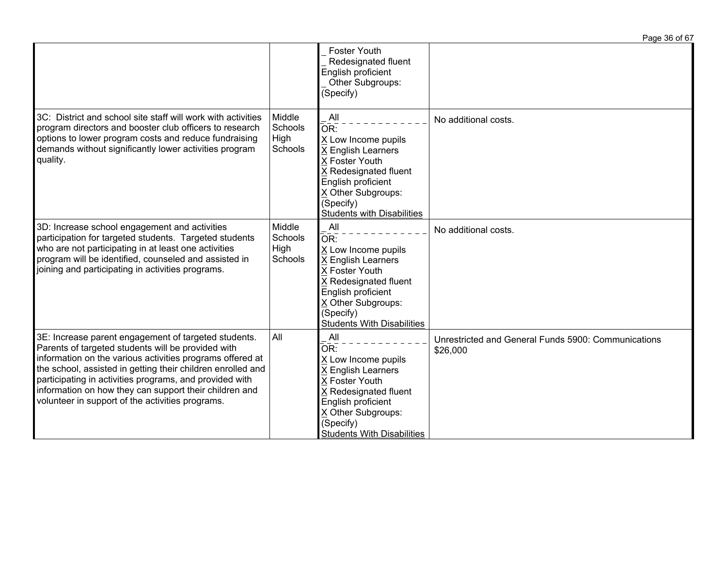|                                                                                                                                                                                                                                                                                                                                                                                                                 |                                      |                                                                                                                                                                                                  | Page 36 of 67                                                   |
|-----------------------------------------------------------------------------------------------------------------------------------------------------------------------------------------------------------------------------------------------------------------------------------------------------------------------------------------------------------------------------------------------------------------|--------------------------------------|--------------------------------------------------------------------------------------------------------------------------------------------------------------------------------------------------|-----------------------------------------------------------------|
|                                                                                                                                                                                                                                                                                                                                                                                                                 |                                      | Foster Youth<br>Redesignated fluent<br>English proficient<br>Other Subgroups:<br>(Specify)                                                                                                       |                                                                 |
| 3C: District and school site staff will work with activities<br>program directors and booster club officers to research<br>options to lower program costs and reduce fundraising<br>demands without significantly lower activities program<br>quality.                                                                                                                                                          | Middle<br>Schools<br>High<br>Schools | All<br>OR:<br>X Low Income pupils<br>X English Learners<br>X Foster Youth<br>X Redesignated fluent<br>English proficient<br>X Other Subgroups:<br>(Specify)<br><b>Students with Disabilities</b> | No additional costs.                                            |
| 3D: Increase school engagement and activities<br>participation for targeted students. Targeted students<br>who are not participating in at least one activities<br>program will be identified, counseled and assisted in<br>joining and participating in activities programs.                                                                                                                                   | Middle<br>Schools<br>High<br>Schools | All<br>OR:<br>X Low Income pupils<br>X English Learners<br>X Foster Youth<br>X Redesignated fluent<br>English proficient<br>X Other Subgroups:<br>(Specify)<br><b>Students With Disabilities</b> | No additional costs.                                            |
| 3E: Increase parent engagement of targeted students.<br>Parents of targeted students will be provided with<br>information on the various activities programs offered at<br>the school, assisted in getting their children enrolled and<br>participating in activities programs, and provided with<br>information on how they can support their children and<br>volunteer in support of the activities programs. | All                                  | All<br>OR:<br>X Low Income pupils<br>X English Learners<br>X Foster Youth<br>X Redesignated fluent<br>English proficient<br>X Other Subgroups:<br>(Specify)<br><b>Students With Disabilities</b> | Unrestricted and General Funds 5900: Communications<br>\$26,000 |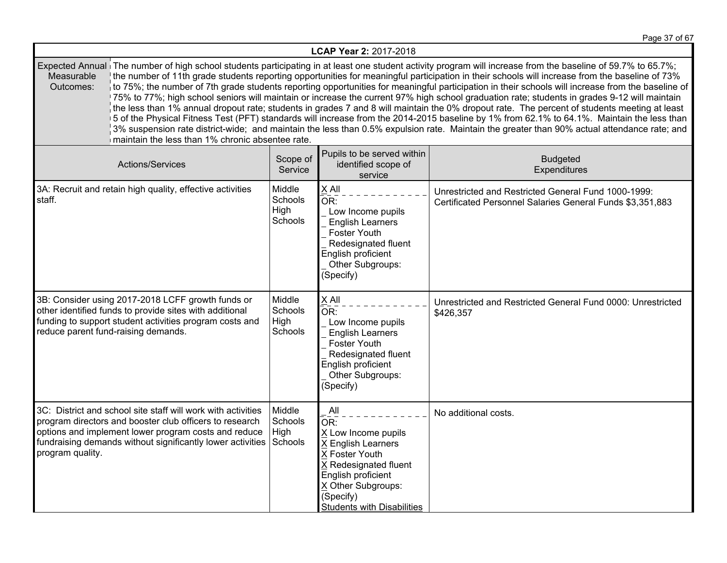Page 37 of 67

| LCAP Year 2: 2017-2018  |                                                                                                                                                                                                                                               |                                      |                                                                                                                                                                                                                    |                                                                                                                                                                                                                                                                                                                                                                                                                                                                                                                                                                                                                                                                                                                                                                                                                                                                                                                                                                                                                                                                  |
|-------------------------|-----------------------------------------------------------------------------------------------------------------------------------------------------------------------------------------------------------------------------------------------|--------------------------------------|--------------------------------------------------------------------------------------------------------------------------------------------------------------------------------------------------------------------|------------------------------------------------------------------------------------------------------------------------------------------------------------------------------------------------------------------------------------------------------------------------------------------------------------------------------------------------------------------------------------------------------------------------------------------------------------------------------------------------------------------------------------------------------------------------------------------------------------------------------------------------------------------------------------------------------------------------------------------------------------------------------------------------------------------------------------------------------------------------------------------------------------------------------------------------------------------------------------------------------------------------------------------------------------------|
| Measurable<br>Outcomes: | maintain the less than 1% chronic absentee rate.                                                                                                                                                                                              |                                      |                                                                                                                                                                                                                    | Expected Annual The number of high school students participating in at least one student activity program will increase from the baseline of 59.7% to 65.7%;<br>the number of 11th grade students reporting opportunities for meaningful participation in their schools will increase from the baseline of 73%<br>to 75%; the number of 7th grade students reporting opportunities for meaningful participation in their schools will increase from the baseline of<br>75% to 77%; high school seniors will maintain or increase the current 97% high school graduation rate; students in grades 9-12 will maintain<br>the less than 1% annual dropout rate; students in grades 7 and 8 will maintain the 0% dropout rate. The percent of students meeting at least<br>5 of the Physical Fitness Test (PFT) standards will increase from the 2014-2015 baseline by 1% from 62.1% to 64.1%. Maintain the less than<br>3% suspension rate district-wide; and maintain the less than 0.5% expulsion rate. Maintain the greater than 90% actual attendance rate; and |
|                         | Actions/Services                                                                                                                                                                                                                              | Scope of<br>Service                  | Pupils to be served within<br>identified scope of<br>service                                                                                                                                                       | <b>Budgeted</b><br>Expenditures                                                                                                                                                                                                                                                                                                                                                                                                                                                                                                                                                                                                                                                                                                                                                                                                                                                                                                                                                                                                                                  |
| staff.                  | 3A: Recruit and retain high quality, effective activities                                                                                                                                                                                     | Middle<br>Schools<br>High<br>Schools | X All<br>OR:<br>Low Income pupils<br><b>English Learners</b><br>Foster Youth<br>Redesignated fluent<br>English proficient<br>Other Subgroups:<br>(Specify)                                                         | Unrestricted and Restricted General Fund 1000-1999:<br>Certificated Personnel Salaries General Funds \$3,351,883                                                                                                                                                                                                                                                                                                                                                                                                                                                                                                                                                                                                                                                                                                                                                                                                                                                                                                                                                 |
|                         | 3B: Consider using 2017-2018 LCFF growth funds or<br>other identified funds to provide sites with additional<br>funding to support student activities program costs and<br>reduce parent fund-raising demands.                                | Middle<br>Schools<br>High<br>Schools | X All<br>OR:<br>Low Income pupils<br><b>English Learners</b><br><b>Foster Youth</b><br>Redesignated fluent<br>English proficient<br>Other Subgroups:<br>(Specify)                                                  | Unrestricted and Restricted General Fund 0000: Unrestricted<br>\$426,357                                                                                                                                                                                                                                                                                                                                                                                                                                                                                                                                                                                                                                                                                                                                                                                                                                                                                                                                                                                         |
| program quality.        | 3C: District and school site staff will work with activities<br>program directors and booster club officers to research<br>options and implement lower program costs and reduce<br>fundraising demands without significantly lower activities | Middle<br>Schools<br>High<br>Schools | All<br>$\bar{\mathsf{OR}}$ :<br>X Low Income pupils<br>X English Learners<br>X Foster Youth<br>X Redesignated fluent<br>English proficient<br>X Other Subgroups:<br>(Specify)<br><b>Students with Disabilities</b> | No additional costs.                                                                                                                                                                                                                                                                                                                                                                                                                                                                                                                                                                                                                                                                                                                                                                                                                                                                                                                                                                                                                                             |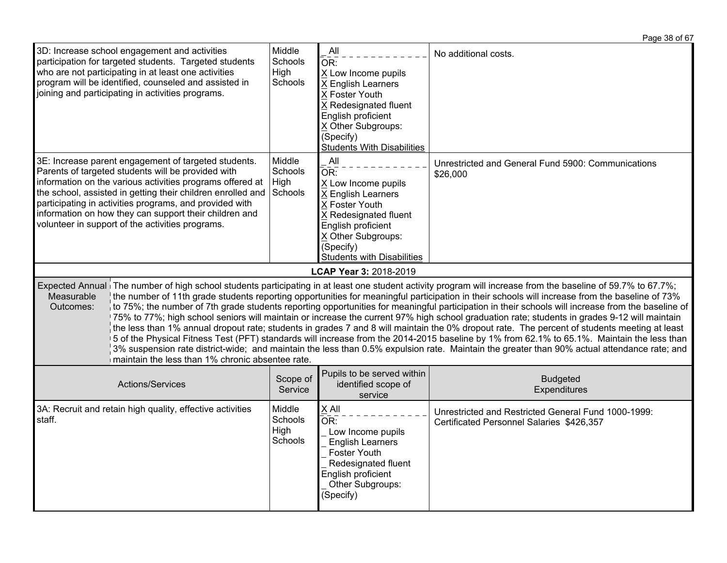3D: Increase school engagement and activities participation for targeted students. Targeted students who are not participating in at least one activities program will be identified, counseled and assisted in joining and participating in activities programs. Middle **Schools** High **Schools**  All  $\overline{OR}$ : X Low Income pupils X English Learners X Foster Youth X Redesignated fluent English proficient X Other Subgroups: (Specify) Students With Disabilities No additional costs. 3E: Increase parent engagement of targeted students. Parents of targeted students will be provided with information on the various activities programs offered at the school, assisted in getting their children enrolled and participating in activities programs, and provided with information on how they can support their children and volunteer in support of the activities programs. Middle **Schools** High **Schools**  All  $\overline{OR}$ : X Low Income pupils X English Learners X Foster Youth X Redesignated fluent English proficient X Other Subgroups: (Specify) Students with Disabilities Unrestricted and General Fund 5900: Communications \$26,000 **LCAP Year 3:** 2018-2019 Expected Annual The number of high school students participating in at least one student activity program will increase from the baseline of 59.7% to 67.7%; Measurable Outcomes: the number of 11th grade students reporting opportunities for meaningful participation in their schools will increase from the baseline of 73% to 75%; the number of 7th grade students reporting opportunities for meaningful participation in their schools will increase from the baseline of 75% to 77%; high school seniors will maintain or increase the current 97% high school graduation rate; students in grades 9-12 will maintain the less than 1% annual dropout rate; students in grades 7 and 8 will maintain the 0% dropout rate. The percent of students meeting at least 5 of the Physical Fitness Test (PFT) standards will increase from the 2014-2015 baseline by 1% from 62.1% to 65.1%. Maintain the less than 3% suspension rate district-wide; and maintain the less than 0.5% expulsion rate. Maintain the greater than 90% actual attendance rate; and maintain the less than 1% chronic absentee rate Actions/Services Scope of **Service** Pupils to be served within identified scope of service Budgeted **Expenditures** 3A: Recruit and retain high quality, effective activities staff. Middle **Schools High** Schools X All  $\overline{\overline{OR}}$ : Low Income pupils English Learners Foster Youth Redesignated fluent English proficient Unrestricted and Restricted General Fund 1000-1999: Certificated Personnel Salaries \$426,357

Other Subgroups:

(Specify)

Page 38 of 67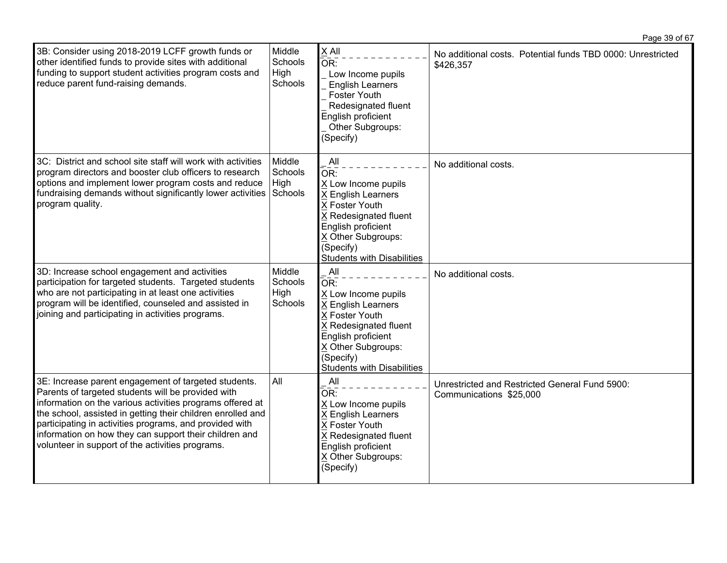| Page 39 of 67 |  |  |
|---------------|--|--|
|               |  |  |

| 3B: Consider using 2018-2019 LCFF growth funds or<br>other identified funds to provide sites with additional<br>funding to support student activities program costs and<br>reduce parent fund-raising demands.                                                                                                                                                                                                  | Middle<br><b>Schools</b><br>High<br>Schools | X All<br>OR:<br>Low Income pupils<br><b>English Learners</b><br>Foster Youth<br>Redesignated fluent<br>English proficient<br>Other Subgroups:<br>(Specify)                                       | No additional costs. Potential funds TBD 0000: Unrestricted<br>\$426,357  |
|-----------------------------------------------------------------------------------------------------------------------------------------------------------------------------------------------------------------------------------------------------------------------------------------------------------------------------------------------------------------------------------------------------------------|---------------------------------------------|--------------------------------------------------------------------------------------------------------------------------------------------------------------------------------------------------|---------------------------------------------------------------------------|
| 3C: District and school site staff will work with activities<br>program directors and booster club officers to research<br>options and implement lower program costs and reduce<br>fundraising demands without significantly lower activities Schools<br>program quality.                                                                                                                                       | Middle<br>Schools<br>High                   | All<br>OR:<br>X Low Income pupils<br>X English Learners<br>X Foster Youth<br>X Redesignated fluent<br>English proficient<br>X Other Subgroups:<br>(Specify)<br><b>Students with Disabilities</b> | No additional costs.                                                      |
| 3D: Increase school engagement and activities<br>participation for targeted students. Targeted students<br>who are not participating in at least one activities<br>program will be identified, counseled and assisted in<br>joining and participating in activities programs.                                                                                                                                   | Middle<br>Schools<br>High<br>Schools        | All<br>OR:<br>X Low Income pupils<br>X English Learners<br>X Foster Youth<br>X Redesignated fluent<br>English proficient<br>X Other Subgroups:<br>(Specify)<br>Students with Disabilities        | No additional costs.                                                      |
| 3E: Increase parent engagement of targeted students.<br>Parents of targeted students will be provided with<br>information on the various activities programs offered at<br>the school, assisted in getting their children enrolled and<br>participating in activities programs, and provided with<br>information on how they can support their children and<br>volunteer in support of the activities programs. | All                                         | All<br>OR:<br>X Low Income pupils<br>X English Learners<br>X Foster Youth<br>X Redesignated fluent<br>English proficient<br>X Other Subgroups:<br>(Specify)                                      | Unrestricted and Restricted General Fund 5900:<br>Communications \$25,000 |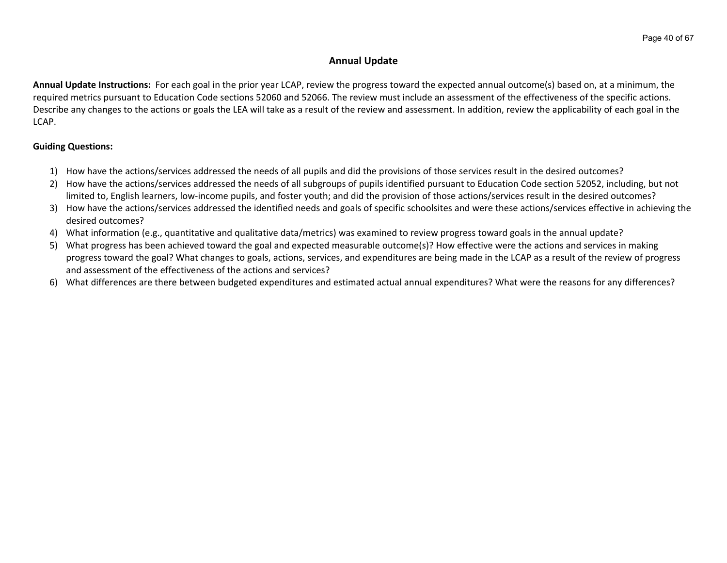# **Annual Update**

**Annual Update Instructions:** For each goal in the prior year LCAP, review the progress toward the expected annual outcome(s) based on, at a minimum, the required metrics pursuant to Education Code sections 52060 and 52066. The review must include an assessment of the effectiveness of the specific actions. Describe any changes to the actions or goals the LEA will take as a result of the review and assessment. In addition, review the applicability of each goal in the LCAP.

## **Guiding Questions:**

- 1) How have the actions/services addressed the needs of all pupils and did the provisions of those services result in the desired outcomes?
- 2) How have the actions/services addressed the needs of all subgroups of pupils identified pursuant to Education Code section 52052, including, but not limited to, English learners, low-income pupils, and foster youth; and did the provision of those actions/services result in the desired outcomes?
- 3) How have the actions/services addressed the identified needs and goals of specific schoolsites and were these actions/services effective in achieving the desired outcomes?
- 4) What information (e.g., quantitative and qualitative data/metrics) was examined to review progress toward goals in the annual update?
- 5) What progress has been achieved toward the goal and expected measurable outcome(s)? How effective were the actions and services in making progress toward the goal? What changes to goals, actions, services, and expenditures are being made in the LCAP as a result of the review of progress and assessment of the effectiveness of the actions and services?
- 6) What differences are there between budgeted expenditures and estimated actual annual expenditures? What were the reasons for any differences?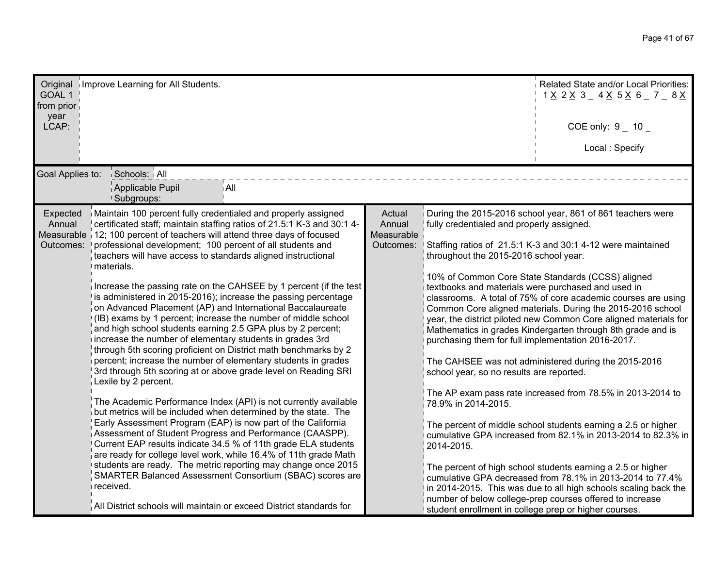| GOAL 1<br>from prior<br>year<br>LCAP: | Original Improve Learning for All Students.                                                                                                                                                                                                                                                                                                                                                                                                                                                                                                                                                                                                                                                                                                                                                                                                                                                                                                                                                                                                                                                                                                                                                                                                                                                                                                                                                                                                                                                                                                                                                                           |                                             |                                                                                                                                                                                                                                                                                                                                          | Related State and/or Local Priorities:<br>1 <u>X</u> 2 <u>X</u> 3 _ 4 <u>X</u> 5 <u>X</u> 6 _ 7 _ 8 <u>X</u><br>COE only: $9 - 10 -$<br>Local: Specify                                                                                                                                                                                                                                                                                                                                                                                                                                                                                                                                                                                                                                                                                                                                                                                                             |
|---------------------------------------|-----------------------------------------------------------------------------------------------------------------------------------------------------------------------------------------------------------------------------------------------------------------------------------------------------------------------------------------------------------------------------------------------------------------------------------------------------------------------------------------------------------------------------------------------------------------------------------------------------------------------------------------------------------------------------------------------------------------------------------------------------------------------------------------------------------------------------------------------------------------------------------------------------------------------------------------------------------------------------------------------------------------------------------------------------------------------------------------------------------------------------------------------------------------------------------------------------------------------------------------------------------------------------------------------------------------------------------------------------------------------------------------------------------------------------------------------------------------------------------------------------------------------------------------------------------------------------------------------------------------------|---------------------------------------------|------------------------------------------------------------------------------------------------------------------------------------------------------------------------------------------------------------------------------------------------------------------------------------------------------------------------------------------|--------------------------------------------------------------------------------------------------------------------------------------------------------------------------------------------------------------------------------------------------------------------------------------------------------------------------------------------------------------------------------------------------------------------------------------------------------------------------------------------------------------------------------------------------------------------------------------------------------------------------------------------------------------------------------------------------------------------------------------------------------------------------------------------------------------------------------------------------------------------------------------------------------------------------------------------------------------------|
| Goal Applies to:                      | Schools: All<br>Applicable Pupil<br>∫All<br><b>Subgroups:</b>                                                                                                                                                                                                                                                                                                                                                                                                                                                                                                                                                                                                                                                                                                                                                                                                                                                                                                                                                                                                                                                                                                                                                                                                                                                                                                                                                                                                                                                                                                                                                         |                                             |                                                                                                                                                                                                                                                                                                                                          |                                                                                                                                                                                                                                                                                                                                                                                                                                                                                                                                                                                                                                                                                                                                                                                                                                                                                                                                                                    |
| Expected<br>Annual<br>Outcomes:       | Maintain 100 percent fully credentialed and properly assigned<br>certificated staff; maintain staffing ratios of 21.5:1 K-3 and 30:1 4-<br>Measurable 12; 100 percent of teachers will attend three days of focused<br>professional development; 100 percent of all students and<br>teachers will have access to standards aligned instructional<br>materials.<br>Increase the passing rate on the CAHSEE by 1 percent (if the test<br>is administered in 2015-2016); increase the passing percentage<br>on Advanced Placement (AP) and International Baccalaureate<br>(IB) exams by 1 percent; increase the number of middle school<br>and high school students earning 2.5 GPA plus by 2 percent;<br>increase the number of elementary students in grades 3rd<br>through 5th scoring proficient on District math benchmarks by 2<br>percent; increase the number of elementary students in grades<br>3rd through 5th scoring at or above grade level on Reading SRI<br>Lexile by 2 percent.<br>The Academic Performance Index (API) is not currently available<br>but metrics will be included when determined by the state. The<br>Early Assessment Program (EAP) is now part of the California<br>Assessment of Student Progress and Performance (CAASPP).<br>Current EAP results indicate 34.5 % of 11th grade ELA students<br>are ready for college level work, while 16.4% of 11th grade Math<br>students are ready. The metric reporting may change once 2015<br>SMARTER Balanced Assessment Consortium (SBAC) scores are<br>received.<br>All District schools will maintain or exceed District standards for | Actual<br>Annual<br>Measurable<br>Outcomes: | fully credentialed and properly assigned.<br>throughout the 2015-2016 school year.<br>textbooks and materials were purchased and used in<br>purchasing them for full implementation 2016-2017.<br>school year, so no results are reported.<br>78.9% in 2014-2015.<br>2014-2015.<br>student enrollment in college prep or higher courses. | During the 2015-2016 school year, 861 of 861 teachers were<br>Staffing ratios of 21.5:1 K-3 and 30:1 4-12 were maintained<br>10% of Common Core State Standards (CCSS) aligned<br>classrooms. A total of 75% of core academic courses are using<br>Common Core aligned materials. During the 2015-2016 school<br>year, the district piloted new Common Core aligned materials for<br>Mathematics in grades Kindergarten through 8th grade and is<br>The CAHSEE was not administered during the 2015-2016<br>The AP exam pass rate increased from 78.5% in 2013-2014 to<br>The percent of middle school students earning a 2.5 or higher<br>cumulative GPA increased from 82.1% in 2013-2014 to 82.3% in<br>The percent of high school students earning a 2.5 or higher<br>cumulative GPA decreased from 78.1% in 2013-2014 to 77.4%<br>in 2014-2015. This was due to all high schools scaling back the<br>number of below college-prep courses offered to increase |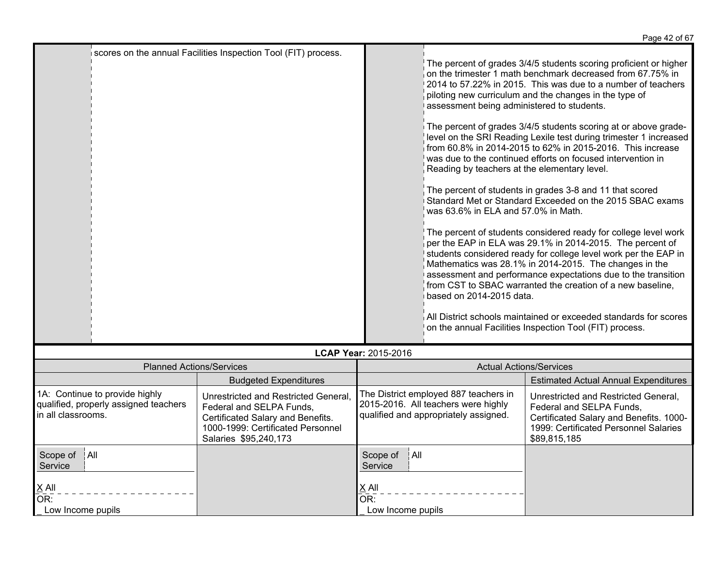|                                                                                               |                                                                                                                                                                     |                                   |                                                                                                                                                               | Page 42 or 67                                                                                                                                                                                                                                                                                                                                                                                                                                                                                                                                                                                                                                                                                                                                                                                                                                                                                                                                                                                                                                                                                                                                                                     |
|-----------------------------------------------------------------------------------------------|---------------------------------------------------------------------------------------------------------------------------------------------------------------------|-----------------------------------|---------------------------------------------------------------------------------------------------------------------------------------------------------------|-----------------------------------------------------------------------------------------------------------------------------------------------------------------------------------------------------------------------------------------------------------------------------------------------------------------------------------------------------------------------------------------------------------------------------------------------------------------------------------------------------------------------------------------------------------------------------------------------------------------------------------------------------------------------------------------------------------------------------------------------------------------------------------------------------------------------------------------------------------------------------------------------------------------------------------------------------------------------------------------------------------------------------------------------------------------------------------------------------------------------------------------------------------------------------------|
|                                                                                               | scores on the annual Facilities Inspection Tool (FIT) process.                                                                                                      |                                   | assessment being administered to students.<br>Reading by teachers at the elementary level.<br>was 63.6% in ELA and 57.0% in Math.<br>based on 2014-2015 data. | The percent of grades 3/4/5 students scoring proficient or higher<br>on the trimester 1 math benchmark decreased from 67.75% in<br>2014 to 57.22% in 2015. This was due to a number of teachers<br>piloting new curriculum and the changes in the type of<br>The percent of grades 3/4/5 students scoring at or above grade-<br>level on the SRI Reading Lexile test during trimester 1 increased<br>from 60.8% in 2014-2015 to 62% in 2015-2016. This increase<br>was due to the continued efforts on focused intervention in<br>The percent of students in grades 3-8 and 11 that scored<br>Standard Met or Standard Exceeded on the 2015 SBAC exams<br>The percent of students considered ready for college level work<br>per the EAP in ELA was 29.1% in 2014-2015. The percent of<br>students considered ready for college level work per the EAP in<br>Mathematics was 28.1% in 2014-2015. The changes in the<br>assessment and performance expectations due to the transition<br>from CST to SBAC warranted the creation of a new baseline,<br>All District schools maintained or exceeded standards for scores<br>on the annual Facilities Inspection Tool (FIT) process. |
|                                                                                               |                                                                                                                                                                     | LCAP Year: 2015-2016              |                                                                                                                                                               |                                                                                                                                                                                                                                                                                                                                                                                                                                                                                                                                                                                                                                                                                                                                                                                                                                                                                                                                                                                                                                                                                                                                                                                   |
| <b>Planned Actions/Services</b>                                                               |                                                                                                                                                                     |                                   | <b>Actual Actions/Services</b>                                                                                                                                |                                                                                                                                                                                                                                                                                                                                                                                                                                                                                                                                                                                                                                                                                                                                                                                                                                                                                                                                                                                                                                                                                                                                                                                   |
|                                                                                               | <b>Budgeted Expenditures</b>                                                                                                                                        |                                   |                                                                                                                                                               | <b>Estimated Actual Annual Expenditures</b>                                                                                                                                                                                                                                                                                                                                                                                                                                                                                                                                                                                                                                                                                                                                                                                                                                                                                                                                                                                                                                                                                                                                       |
| 1A: Continue to provide highly<br>qualified, properly assigned teachers<br>in all classrooms. | Unrestricted and Restricted General,<br>Federal and SELPA Funds,<br>Certificated Salary and Benefits.<br>1000-1999: Certificated Personnel<br>Salaries \$95,240,173 |                                   | The District employed 887 teachers in<br>2015-2016. All teachers were highly<br>qualified and appropriately assigned.                                         | Unrestricted and Restricted General,<br>Federal and SELPA Funds,<br>Certificated Salary and Benefits. 1000-<br>1999: Certificated Personnel Salaries<br>\$89,815,185                                                                                                                                                                                                                                                                                                                                                                                                                                                                                                                                                                                                                                                                                                                                                                                                                                                                                                                                                                                                              |
| Scope of<br>∫All<br>Service                                                                   |                                                                                                                                                                     | Scope of<br> All<br>Service       |                                                                                                                                                               |                                                                                                                                                                                                                                                                                                                                                                                                                                                                                                                                                                                                                                                                                                                                                                                                                                                                                                                                                                                                                                                                                                                                                                                   |
| $\times$ All<br>OR:<br>Low Income pupils                                                      |                                                                                                                                                                     | X All<br>OR:<br>Low Income pupils |                                                                                                                                                               |                                                                                                                                                                                                                                                                                                                                                                                                                                                                                                                                                                                                                                                                                                                                                                                                                                                                                                                                                                                                                                                                                                                                                                                   |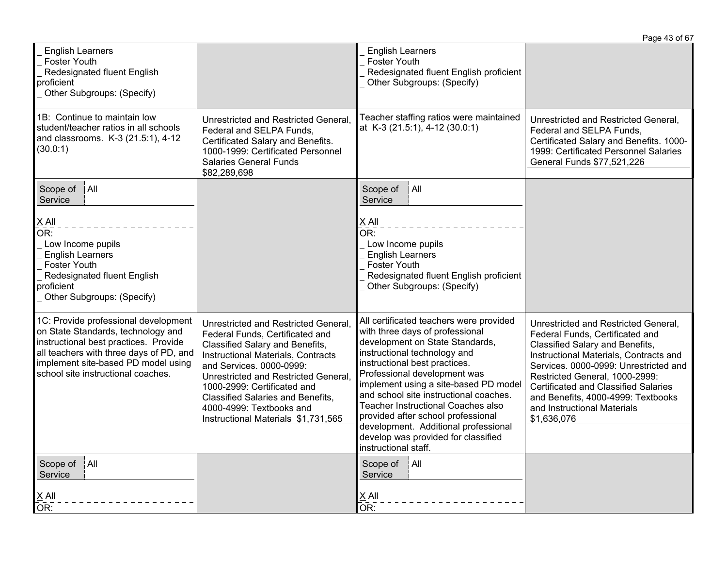|                                                                                                                                                                                                                                             |                                                                                                                                                                                                                                                                                                                                                                    |                                                                                                                                                                                                                                                                                                                                                                                                                                                                                             | Page 43 of 67                                                                                                                                                                                                                                                                                                                                                      |
|---------------------------------------------------------------------------------------------------------------------------------------------------------------------------------------------------------------------------------------------|--------------------------------------------------------------------------------------------------------------------------------------------------------------------------------------------------------------------------------------------------------------------------------------------------------------------------------------------------------------------|---------------------------------------------------------------------------------------------------------------------------------------------------------------------------------------------------------------------------------------------------------------------------------------------------------------------------------------------------------------------------------------------------------------------------------------------------------------------------------------------|--------------------------------------------------------------------------------------------------------------------------------------------------------------------------------------------------------------------------------------------------------------------------------------------------------------------------------------------------------------------|
| <b>English Learners</b><br><b>Foster Youth</b><br>Redesignated fluent English<br>proficient<br>Other Subgroups: (Specify)                                                                                                                   |                                                                                                                                                                                                                                                                                                                                                                    | <b>English Learners</b><br><b>Foster Youth</b><br>Redesignated fluent English proficient<br>Other Subgroups: (Specify)                                                                                                                                                                                                                                                                                                                                                                      |                                                                                                                                                                                                                                                                                                                                                                    |
| 1B: Continue to maintain low<br>student/teacher ratios in all schools<br>and classrooms. K-3 (21.5:1), 4-12<br>(30.0:1)                                                                                                                     | Unrestricted and Restricted General,<br>Federal and SELPA Funds.<br>Certificated Salary and Benefits.<br>1000-1999: Certificated Personnel<br><b>Salaries General Funds</b><br>\$82,289,698                                                                                                                                                                        | Teacher staffing ratios were maintained<br>at K-3 (21.5:1), 4-12 (30.0:1)                                                                                                                                                                                                                                                                                                                                                                                                                   | Unrestricted and Restricted General,<br>Federal and SELPA Funds.<br>Certificated Salary and Benefits. 1000-<br>1999: Certificated Personnel Salaries<br>General Funds \$77,521,226                                                                                                                                                                                 |
| A  <br>Scope of<br>Service<br>$X$ All<br>OR:<br>Low Income pupils<br><b>English Learners</b><br><b>Foster Youth</b><br>Redesignated fluent English<br>proficient<br>Other Subgroups: (Specify)                                              |                                                                                                                                                                                                                                                                                                                                                                    | Scope of<br>ÍA⊪<br>Service<br>$X$ All<br>OR:<br>Low Income pupils<br><b>English Learners</b><br><b>Foster Youth</b><br>Redesignated fluent English proficient<br>Other Subgroups: (Specify)                                                                                                                                                                                                                                                                                                 |                                                                                                                                                                                                                                                                                                                                                                    |
| 1C: Provide professional development<br>on State Standards, technology and<br>instructional best practices. Provide<br>all teachers with three days of PD, and<br>implement site-based PD model using<br>school site instructional coaches. | Unrestricted and Restricted General,<br>Federal Funds, Certificated and<br>Classified Salary and Benefits,<br>Instructional Materials, Contracts<br>and Services. 0000-0999:<br>Unrestricted and Restricted General.<br>1000-2999: Certificated and<br><b>Classified Salaries and Benefits,</b><br>4000-4999: Textbooks and<br>Instructional Materials \$1,731,565 | All certificated teachers were provided<br>with three days of professional<br>development on State Standards,<br>instructional technology and<br>instructional best practices.<br>Professional development was<br>implement using a site-based PD model<br>and school site instructional coaches.<br><b>Teacher Instructional Coaches also</b><br>provided after school professional<br>development. Additional professional<br>develop was provided for classified<br>instructional staff. | Unrestricted and Restricted General,<br>Federal Funds, Certificated and<br>Classified Salary and Benefits,<br>Instructional Materials, Contracts and<br>Services. 0000-0999: Unrestricted and<br>Restricted General, 1000-2999:<br><b>Certificated and Classified Salaries</b><br>and Benefits, 4000-4999: Textbooks<br>and Instructional Materials<br>\$1,636,076 |
| $\parallel$ All<br>Scope of<br>Service<br>$X$ All<br>OR:                                                                                                                                                                                    |                                                                                                                                                                                                                                                                                                                                                                    | Scope of<br>$ $ All<br>Service<br>$X$ All<br>OR:                                                                                                                                                                                                                                                                                                                                                                                                                                            |                                                                                                                                                                                                                                                                                                                                                                    |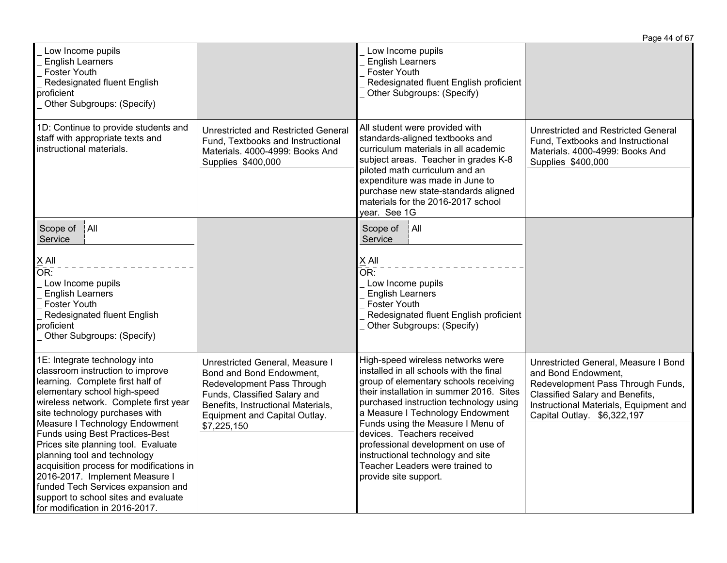|                                                                                                                                                                                                                                                                                                                                                                                                                                                                                                                                                            |                                                                                                                                                                                                                 |                                                                                                                                                                                                                                                                                                                                                                                                                                                           | Page 44 of 67                                                                                                                                                                                                |
|------------------------------------------------------------------------------------------------------------------------------------------------------------------------------------------------------------------------------------------------------------------------------------------------------------------------------------------------------------------------------------------------------------------------------------------------------------------------------------------------------------------------------------------------------------|-----------------------------------------------------------------------------------------------------------------------------------------------------------------------------------------------------------------|-----------------------------------------------------------------------------------------------------------------------------------------------------------------------------------------------------------------------------------------------------------------------------------------------------------------------------------------------------------------------------------------------------------------------------------------------------------|--------------------------------------------------------------------------------------------------------------------------------------------------------------------------------------------------------------|
| Low Income pupils<br><b>English Learners</b><br><b>Foster Youth</b><br>Redesignated fluent English<br>proficient<br>Other Subgroups: (Specify)                                                                                                                                                                                                                                                                                                                                                                                                             |                                                                                                                                                                                                                 | Low Income pupils<br><b>English Learners</b><br><b>Foster Youth</b><br>Redesignated fluent English proficient<br>Other Subgroups: (Specify)                                                                                                                                                                                                                                                                                                               |                                                                                                                                                                                                              |
| 1D: Continue to provide students and<br>staff with appropriate texts and<br>instructional materials.                                                                                                                                                                                                                                                                                                                                                                                                                                                       | <b>Unrestricted and Restricted General</b><br>Fund, Textbooks and Instructional<br>Materials. 4000-4999: Books And<br>Supplies \$400,000                                                                        | All student were provided with<br>standards-aligned textbooks and<br>curriculum materials in all academic<br>subject areas. Teacher in grades K-8<br>piloted math curriculum and an<br>expenditure was made in June to<br>purchase new state-standards aligned<br>materials for the 2016-2017 school<br>year. See 1G                                                                                                                                      | <b>Unrestricted and Restricted General</b><br>Fund, Textbooks and Instructional<br>Materials. 4000-4999: Books And<br>Supplies \$400,000                                                                     |
| A  <br>Scope of<br>Service<br>X All<br>OR:<br>Low Income pupils<br><b>English Learners</b><br><b>Foster Youth</b><br>Redesignated fluent English<br>proficient<br>Other Subgroups: (Specify)                                                                                                                                                                                                                                                                                                                                                               |                                                                                                                                                                                                                 | Scope of<br>$ $ All<br>Service<br>X All<br>OR:<br>Low Income pupils<br><b>English Learners</b><br><b>Foster Youth</b><br>Redesignated fluent English proficient<br>Other Subgroups: (Specify)                                                                                                                                                                                                                                                             |                                                                                                                                                                                                              |
| 1E: Integrate technology into<br>classroom instruction to improve<br>learning. Complete first half of<br>elementary school high-speed<br>wireless network. Complete first year<br>site technology purchases with<br>Measure I Technology Endowment<br>Funds using Best Practices-Best<br>Prices site planning tool. Evaluate<br>planning tool and technology<br>acquisition process for modifications in<br>2016-2017. Implement Measure I<br>funded Tech Services expansion and<br>support to school sites and evaluate<br>for modification in 2016-2017. | Unrestricted General, Measure I<br>Bond and Bond Endowment,<br>Redevelopment Pass Through<br>Funds, Classified Salary and<br>Benefits, Instructional Materials,<br>Equipment and Capital Outlay.<br>\$7,225,150 | High-speed wireless networks were<br>installed in all schools with the final<br>group of elementary schools receiving<br>their installation in summer 2016. Sites<br>purchased instruction technology using<br>a Measure I Technology Endowment<br>Funds using the Measure I Menu of<br>devices. Teachers received<br>professional development on use of<br>instructional technology and site<br>Teacher Leaders were trained to<br>provide site support. | Unrestricted General, Measure I Bond<br>and Bond Endowment,<br>Redevelopment Pass Through Funds,<br>Classified Salary and Benefits,<br>Instructional Materials, Equipment and<br>Capital Outlay. \$6,322,197 |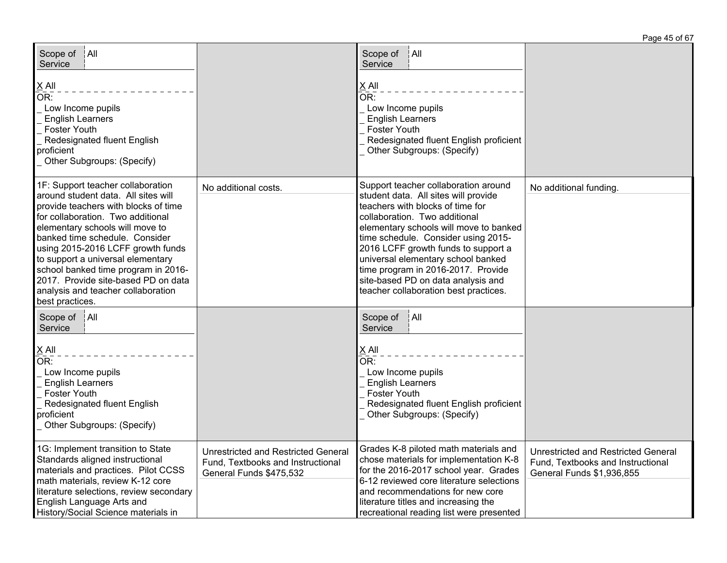| ∫All<br>Scope of<br>Service<br><u>X</u> All<br>Or:<br>Low Income pupils<br><b>English Learners</b><br><b>Foster Youth</b><br>Redesignated fluent English<br>proficient<br>Other Subgroups: (Specify)                                                                                                                                                                                                                                        |                                                                                                            | Scope of<br>∫All<br>Service<br>X All<br>$\overline{\mathsf{OR}}$ :<br>Low Income pupils<br><b>English Learners</b><br><b>Foster Youth</b><br>Redesignated fluent English proficient<br>Other Subgroups: (Specify)                                                                                                                                                                                                                    |                                                                                                              |
|---------------------------------------------------------------------------------------------------------------------------------------------------------------------------------------------------------------------------------------------------------------------------------------------------------------------------------------------------------------------------------------------------------------------------------------------|------------------------------------------------------------------------------------------------------------|--------------------------------------------------------------------------------------------------------------------------------------------------------------------------------------------------------------------------------------------------------------------------------------------------------------------------------------------------------------------------------------------------------------------------------------|--------------------------------------------------------------------------------------------------------------|
| 1F: Support teacher collaboration<br>around student data. All sites will<br>provide teachers with blocks of time<br>for collaboration. Two additional<br>elementary schools will move to<br>banked time schedule. Consider<br>using 2015-2016 LCFF growth funds<br>to support a universal elementary<br>school banked time program in 2016-<br>2017. Provide site-based PD on data<br>analysis and teacher collaboration<br>best practices. | No additional costs.                                                                                       | Support teacher collaboration around<br>student data. All sites will provide<br>teachers with blocks of time for<br>collaboration. Two additional<br>elementary schools will move to banked<br>time schedule. Consider using 2015-<br>2016 LCFF growth funds to support a<br>universal elementary school banked<br>time program in 2016-2017. Provide<br>site-based PD on data analysis and<br>teacher collaboration best practices. | No additional funding.                                                                                       |
| Scope of<br> A  <br>Service<br>$\underline{X}$ All<br>$\overline{\mathsf{OR}}$ :<br>Low Income pupils<br><b>English Learners</b><br><b>Foster Youth</b><br>Redesignated fluent English<br>proficient<br>Other Subgroups: (Specify)                                                                                                                                                                                                          |                                                                                                            | A  <br>Scope of<br>Service<br>$X$ All<br>OR:<br>Low Income pupils<br><b>English Learners</b><br><b>Foster Youth</b><br>Redesignated fluent English proficient<br>Other Subgroups: (Specify)                                                                                                                                                                                                                                          |                                                                                                              |
| 1G: Implement transition to State<br>Standards aligned instructional<br>materials and practices. Pilot CCSS<br>math materials, review K-12 core<br>literature selections, review secondary<br>English Language Arts and<br>History/Social Science materials in                                                                                                                                                                              | <b>Unrestricted and Restricted General</b><br>Fund, Textbooks and Instructional<br>General Funds \$475,532 | Grades K-8 piloted math materials and<br>chose materials for implementation K-8<br>for the 2016-2017 school year. Grades<br>6-12 reviewed core literature selections<br>and recommendations for new core<br>literature titles and increasing the<br>recreational reading list were presented                                                                                                                                         | <b>Unrestricted and Restricted General</b><br>Fund, Textbooks and Instructional<br>General Funds \$1,936,855 |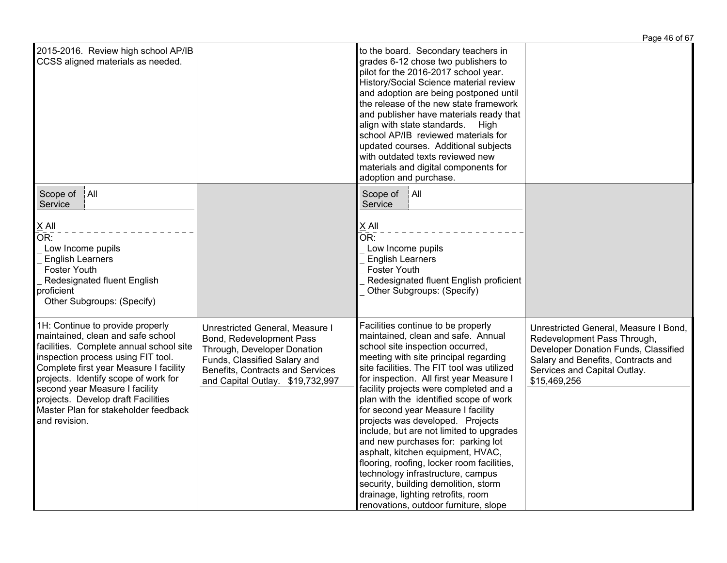|                                                                                                                                                                                                                                                                                                                                                                           |                                                                                                                                                                                                    |                                                                                                                                                                                                                                                                                                                                                                                                                                                                                                                                                                                                                                                                                                                                                | Page 46 of 67                                                                                                                                                                                      |
|---------------------------------------------------------------------------------------------------------------------------------------------------------------------------------------------------------------------------------------------------------------------------------------------------------------------------------------------------------------------------|----------------------------------------------------------------------------------------------------------------------------------------------------------------------------------------------------|------------------------------------------------------------------------------------------------------------------------------------------------------------------------------------------------------------------------------------------------------------------------------------------------------------------------------------------------------------------------------------------------------------------------------------------------------------------------------------------------------------------------------------------------------------------------------------------------------------------------------------------------------------------------------------------------------------------------------------------------|----------------------------------------------------------------------------------------------------------------------------------------------------------------------------------------------------|
| 2015-2016. Review high school AP/IB<br>CCSS aligned materials as needed.                                                                                                                                                                                                                                                                                                  |                                                                                                                                                                                                    | to the board. Secondary teachers in<br>grades 6-12 chose two publishers to<br>pilot for the 2016-2017 school year.<br>History/Social Science material review<br>and adoption are being postponed until<br>the release of the new state framework<br>and publisher have materials ready that<br>align with state standards. High<br>school AP/IB reviewed materials for<br>updated courses. Additional subjects<br>with outdated texts reviewed new<br>materials and digital components for<br>adoption and purchase.                                                                                                                                                                                                                           |                                                                                                                                                                                                    |
| A  <br>Scope of<br>Service<br>$X$ All<br>OR:<br>Low Income pupils<br><b>English Learners</b><br><b>Foster Youth</b><br>Redesignated fluent English<br>proficient<br>Other Subgroups: (Specify)                                                                                                                                                                            |                                                                                                                                                                                                    | Scope of   All<br>Service<br>$X$ All<br>OR:<br>Low Income pupils<br><b>English Learners</b><br>Foster Youth<br>Redesignated fluent English proficient<br>Other Subgroups: (Specify)                                                                                                                                                                                                                                                                                                                                                                                                                                                                                                                                                            |                                                                                                                                                                                                    |
| 1H: Continue to provide properly<br>maintained, clean and safe school<br>facilities. Complete annual school site<br>inspection process using FIT tool.<br>Complete first year Measure I facility<br>projects. Identify scope of work for<br>second year Measure I facility<br>projects. Develop draft Facilities<br>Master Plan for stakeholder feedback<br>and revision. | Unrestricted General, Measure I<br>Bond, Redevelopment Pass<br>Through, Developer Donation<br>Funds, Classified Salary and<br>Benefits, Contracts and Services<br>and Capital Outlay. \$19,732,997 | Facilities continue to be properly<br>maintained, clean and safe. Annual<br>school site inspection occurred,<br>meeting with site principal regarding<br>site facilities. The FIT tool was utilized<br>for inspection. All first year Measure I<br>facility projects were completed and a<br>plan with the identified scope of work<br>for second year Measure I facility<br>projects was developed. Projects<br>include, but are not limited to upgrades<br>and new purchases for: parking lot<br>asphalt, kitchen equipment, HVAC,<br>flooring, roofing, locker room facilities,<br>technology infrastructure, campus<br>security, building demolition, storm<br>drainage, lighting retrofits, room<br>renovations, outdoor furniture, slope | Unrestricted General, Measure I Bond,<br>Redevelopment Pass Through,<br>Developer Donation Funds, Classified<br>Salary and Benefits, Contracts and<br>Services and Capital Outlay.<br>\$15,469,256 |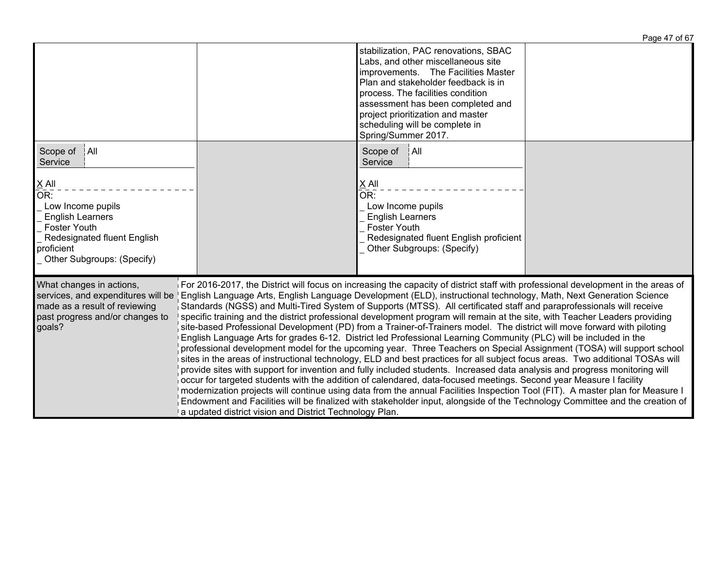|                                                                                                                                                                |                                                                                                                                                                                                                                                                                                                                                                                                                                                                                                                                                                                                                                                                                                                                                                                                                                                                                                                                                                                                                                                                                                                                                                                                                                                                                                                                                                                                                                                                                                                                                                                                           |                                                                                                                                                                                                                                                                                                                                  | Page 47 of 67 |
|----------------------------------------------------------------------------------------------------------------------------------------------------------------|-----------------------------------------------------------------------------------------------------------------------------------------------------------------------------------------------------------------------------------------------------------------------------------------------------------------------------------------------------------------------------------------------------------------------------------------------------------------------------------------------------------------------------------------------------------------------------------------------------------------------------------------------------------------------------------------------------------------------------------------------------------------------------------------------------------------------------------------------------------------------------------------------------------------------------------------------------------------------------------------------------------------------------------------------------------------------------------------------------------------------------------------------------------------------------------------------------------------------------------------------------------------------------------------------------------------------------------------------------------------------------------------------------------------------------------------------------------------------------------------------------------------------------------------------------------------------------------------------------------|----------------------------------------------------------------------------------------------------------------------------------------------------------------------------------------------------------------------------------------------------------------------------------------------------------------------------------|---------------|
|                                                                                                                                                                |                                                                                                                                                                                                                                                                                                                                                                                                                                                                                                                                                                                                                                                                                                                                                                                                                                                                                                                                                                                                                                                                                                                                                                                                                                                                                                                                                                                                                                                                                                                                                                                                           | stabilization, PAC renovations, SBAC<br>Labs, and other miscellaneous site<br>improvements. The Facilities Master<br>Plan and stakeholder feedback is in<br>process. The facilities condition<br>assessment has been completed and<br>project prioritization and master<br>scheduling will be complete in<br>Spring/Summer 2017. |               |
| All<br>Scope of<br>Service                                                                                                                                     |                                                                                                                                                                                                                                                                                                                                                                                                                                                                                                                                                                                                                                                                                                                                                                                                                                                                                                                                                                                                                                                                                                                                                                                                                                                                                                                                                                                                                                                                                                                                                                                                           | Scope of<br> A  <br>Service                                                                                                                                                                                                                                                                                                      |               |
| X All<br>OR:<br>Low Income pupils<br><b>English Learners</b><br><b>Foster Youth</b><br>Redesignated fluent English<br>proficient<br>Other Subgroups: (Specify) |                                                                                                                                                                                                                                                                                                                                                                                                                                                                                                                                                                                                                                                                                                                                                                                                                                                                                                                                                                                                                                                                                                                                                                                                                                                                                                                                                                                                                                                                                                                                                                                                           | X All<br>OR:<br>Low Income pupils<br><b>English Learners</b><br><b>Foster Youth</b><br>Redesignated fluent English proficient<br>Other Subgroups: (Specify)                                                                                                                                                                      |               |
| What changes in actions,<br>services, and expenditures will be<br>made as a result of reviewing<br>past progress and/or changes to<br>goals?                   | For 2016-2017, the District will focus on increasing the capacity of district staff with professional development in the areas of<br>English Language Arts, English Language Development (ELD), instructional technology, Math, Next Generation Science<br>Standards (NGSS) and Multi-Tired System of Supports (MTSS). All certificated staff and paraprofessionals will receive<br>specific training and the district professional development program will remain at the site, with Teacher Leaders providing<br>site-based Professional Development (PD) from a Trainer-of-Trainers model. The district will move forward with piloting<br>English Language Arts for grades 6-12. District led Professional Learning Community (PLC) will be included in the<br>professional development model for the upcoming year. Three Teachers on Special Assignment (TOSA) will support school<br>sites in the areas of instructional technology, ELD and best practices for all subject focus areas. Two additional TOSAs will<br>provide sites with support for invention and fully included students. Increased data analysis and progress monitoring will<br>occur for targeted students with the addition of calendared, data-focused meetings. Second year Measure I facility<br>modernization projects will continue using data from the annual Facilities Inspection Tool (FIT). A master plan for Measure I<br>Endowment and Facilities will be finalized with stakeholder input, alongside of the Technology Committee and the creation of<br>a updated district vision and District Technology Plan. |                                                                                                                                                                                                                                                                                                                                  |               |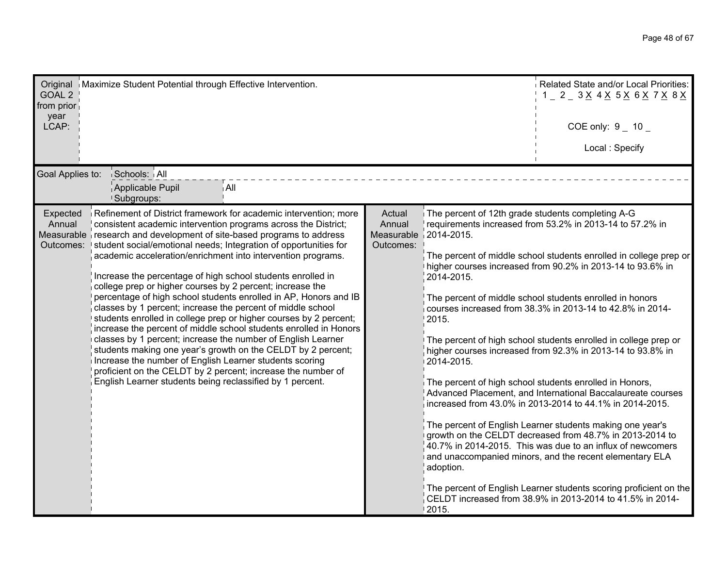| Original   Maximize Student Potential through Effective Intervention.<br>GOAL <sub>2</sub><br>from prior<br>year<br>LCAP:                                                                                                                                                                                                                                                                                                                                                                                                                                                                                                                                                                                                                                                                                                                                                                                                                                                                                                                                                                                         |                                                                |                                                                                                              | Related State and/or Local Priorities:<br>$1 - 2 - 3 \times 4 \times 5 \times 6 \times 7 \times 8 \times$<br>COE only: $9 - 10 -$<br>Local: Specify                                                                                                                                                                                                                                                                                                                                                                                                                                                                                                                                                                                                                                                                                                                                                                                                                                                                             |
|-------------------------------------------------------------------------------------------------------------------------------------------------------------------------------------------------------------------------------------------------------------------------------------------------------------------------------------------------------------------------------------------------------------------------------------------------------------------------------------------------------------------------------------------------------------------------------------------------------------------------------------------------------------------------------------------------------------------------------------------------------------------------------------------------------------------------------------------------------------------------------------------------------------------------------------------------------------------------------------------------------------------------------------------------------------------------------------------------------------------|----------------------------------------------------------------|--------------------------------------------------------------------------------------------------------------|---------------------------------------------------------------------------------------------------------------------------------------------------------------------------------------------------------------------------------------------------------------------------------------------------------------------------------------------------------------------------------------------------------------------------------------------------------------------------------------------------------------------------------------------------------------------------------------------------------------------------------------------------------------------------------------------------------------------------------------------------------------------------------------------------------------------------------------------------------------------------------------------------------------------------------------------------------------------------------------------------------------------------------|
| Goal Applies to:<br>Schools: All<br>Applicable Pupil<br>i All<br><b>Subgroups:</b>                                                                                                                                                                                                                                                                                                                                                                                                                                                                                                                                                                                                                                                                                                                                                                                                                                                                                                                                                                                                                                |                                                                |                                                                                                              |                                                                                                                                                                                                                                                                                                                                                                                                                                                                                                                                                                                                                                                                                                                                                                                                                                                                                                                                                                                                                                 |
| Refinement of District framework for academic intervention; more<br>Expected<br>Annual<br>consistent academic intervention programs across the District;<br>Measurable research and development of site-based programs to address<br>Outcomes: Istudent social/emotional needs; Integration of opportunities for<br>academic acceleration/enrichment into intervention programs.<br>Increase the percentage of high school students enrolled in<br>college prep or higher courses by 2 percent; increase the<br>percentage of high school students enrolled in AP, Honors and IB<br>classes by 1 percent; increase the percent of middle school<br>students enrolled in college prep or higher courses by 2 percent;<br>increase the percent of middle school students enrolled in Honors<br>classes by 1 percent; increase the number of English Learner<br>students making one year's growth on the CELDT by 2 percent;<br>Increase the number of English Learner students scoring<br>proficient on the CELDT by 2 percent; increase the number of<br>English Learner students being reclassified by 1 percent. | Actual<br>Annual<br>Measurable $\vert$ 2014-2015.<br>Outcomes: | The percent of 12th grade students completing A-G<br>2014-2015.<br>2015.<br>2014-2015.<br>adoption.<br>2015. | requirements increased from 53.2% in 2013-14 to 57.2% in<br>The percent of middle school students enrolled in college prep or<br>higher courses increased from 90.2% in 2013-14 to 93.6% in<br>The percent of middle school students enrolled in honors<br>courses increased from 38.3% in 2013-14 to 42.8% in 2014-<br>The percent of high school students enrolled in college prep or<br>higher courses increased from 92.3% in 2013-14 to 93.8% in<br>The percent of high school students enrolled in Honors,<br>Advanced Placement, and International Baccalaureate courses<br>increased from 43.0% in 2013-2014 to 44.1% in 2014-2015.<br>The percent of English Learner students making one year's<br>growth on the CELDT decreased from 48.7% in 2013-2014 to<br>40.7% in 2014-2015. This was due to an influx of newcomers<br>and unaccompanied minors, and the recent elementary ELA<br>The percent of English Learner students scoring proficient on the<br>CELDT increased from 38.9% in 2013-2014 to 41.5% in 2014- |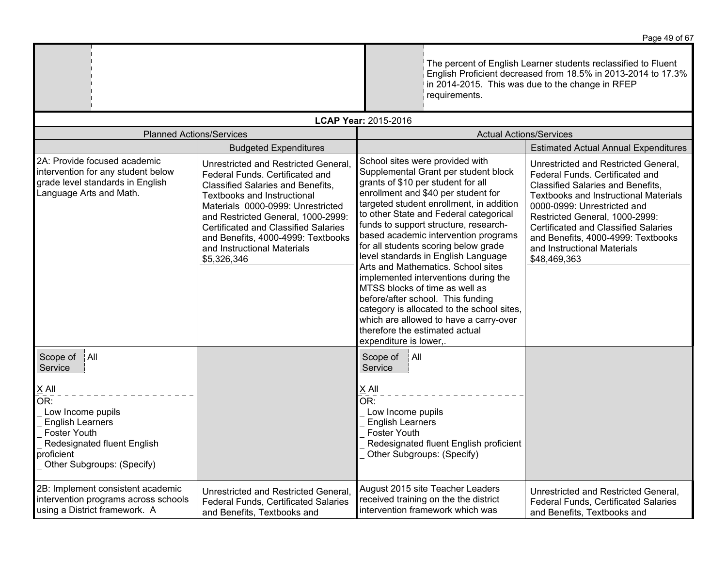|                                                                                                                                                                  |                                                                                                                                                                                                                                                                                                                                                                  | requirements.                                                                                                                                                                                                                                                                                                                                                                                                                                                                                                                                                                                                                                                                                                       | The percent of English Learner students reclassified to Fluent<br>English Proficient decreased from 18.5% in 2013-2014 to 17.3%<br>in 2014-2015. This was due to the change in RFEP                                                                                                                                                                               |
|------------------------------------------------------------------------------------------------------------------------------------------------------------------|------------------------------------------------------------------------------------------------------------------------------------------------------------------------------------------------------------------------------------------------------------------------------------------------------------------------------------------------------------------|---------------------------------------------------------------------------------------------------------------------------------------------------------------------------------------------------------------------------------------------------------------------------------------------------------------------------------------------------------------------------------------------------------------------------------------------------------------------------------------------------------------------------------------------------------------------------------------------------------------------------------------------------------------------------------------------------------------------|-------------------------------------------------------------------------------------------------------------------------------------------------------------------------------------------------------------------------------------------------------------------------------------------------------------------------------------------------------------------|
|                                                                                                                                                                  |                                                                                                                                                                                                                                                                                                                                                                  | LCAP Year: 2015-2016                                                                                                                                                                                                                                                                                                                                                                                                                                                                                                                                                                                                                                                                                                |                                                                                                                                                                                                                                                                                                                                                                   |
| <b>Planned Actions/Services</b>                                                                                                                                  |                                                                                                                                                                                                                                                                                                                                                                  | <b>Actual Actions/Services</b>                                                                                                                                                                                                                                                                                                                                                                                                                                                                                                                                                                                                                                                                                      |                                                                                                                                                                                                                                                                                                                                                                   |
|                                                                                                                                                                  | <b>Budgeted Expenditures</b>                                                                                                                                                                                                                                                                                                                                     |                                                                                                                                                                                                                                                                                                                                                                                                                                                                                                                                                                                                                                                                                                                     | <b>Estimated Actual Annual Expenditures</b>                                                                                                                                                                                                                                                                                                                       |
| 2A: Provide focused academic<br>intervention for any student below<br>grade level standards in English<br>Language Arts and Math.                                | Unrestricted and Restricted General,<br>Federal Funds. Certificated and<br><b>Classified Salaries and Benefits,</b><br>Textbooks and Instructional<br>Materials 0000-0999: Unrestricted<br>and Restricted General, 1000-2999:<br><b>Certificated and Classified Salaries</b><br>and Benefits, 4000-4999: Textbooks<br>and Instructional Materials<br>\$5,326,346 | School sites were provided with<br>Supplemental Grant per student block<br>grants of \$10 per student for all<br>enrollment and \$40 per student for<br>targeted student enrollment, in addition<br>to other State and Federal categorical<br>funds to support structure, research-<br>based academic intervention programs<br>for all students scoring below grade<br>level standards in English Language<br>Arts and Mathematics. School sites<br>implemented interventions during the<br>MTSS blocks of time as well as<br>before/after school. This funding<br>category is allocated to the school sites,<br>which are allowed to have a carry-over<br>therefore the estimated actual<br>expenditure is lower,. | Unrestricted and Restricted General,<br>Federal Funds. Certificated and<br><b>Classified Salaries and Benefits,</b><br>Textbooks and Instructional Materials<br>0000-0999: Unrestricted and<br>Restricted General, 1000-2999:<br><b>Certificated and Classified Salaries</b><br>and Benefits, 4000-4999: Textbooks<br>and Instructional Materials<br>\$48,469,363 |
| A  <br>Scope of<br>Service                                                                                                                                       |                                                                                                                                                                                                                                                                                                                                                                  | Scope of<br> A  <br>Service                                                                                                                                                                                                                                                                                                                                                                                                                                                                                                                                                                                                                                                                                         |                                                                                                                                                                                                                                                                                                                                                                   |
| $X$ All<br>OR:<br>Low Income pupils<br><b>English Learners</b><br><b>Foster Youth</b><br>Redesignated fluent English<br>proficient<br>Other Subgroups: (Specify) |                                                                                                                                                                                                                                                                                                                                                                  | X All<br>OR:<br>Low Income pupils<br><b>English Learners</b><br>Foster Youth<br>Redesignated fluent English proficient<br>Other Subgroups: (Specify)                                                                                                                                                                                                                                                                                                                                                                                                                                                                                                                                                                |                                                                                                                                                                                                                                                                                                                                                                   |
| 2B: Implement consistent academic<br>intervention programs across schools<br>using a District framework. A                                                       | Unrestricted and Restricted General,<br>Federal Funds, Certificated Salaries<br>and Benefits, Textbooks and                                                                                                                                                                                                                                                      | August 2015 site Teacher Leaders<br>received training on the the district<br>intervention framework which was                                                                                                                                                                                                                                                                                                                                                                                                                                                                                                                                                                                                       | Unrestricted and Restricted General,<br>Federal Funds, Certificated Salaries<br>and Benefits, Textbooks and                                                                                                                                                                                                                                                       |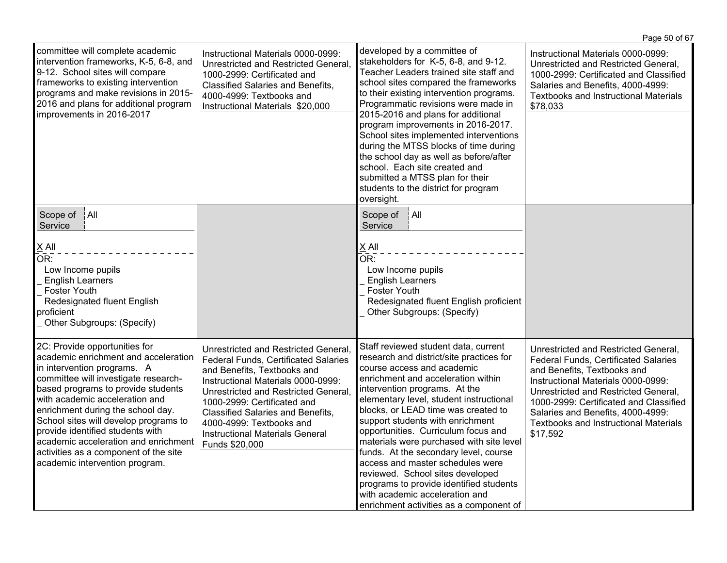|                                                                                                                                                                                                                                                                                                                                                                                                                                                           |                                                                                                                                                                                                                                                                                                                                                              |                                                                                                                                                                                                                                                                                                                                                                                                                                                                                                                                                                                                                                         | Page 50 of 67                                                                                                                                                                                                                                                                                                                        |
|-----------------------------------------------------------------------------------------------------------------------------------------------------------------------------------------------------------------------------------------------------------------------------------------------------------------------------------------------------------------------------------------------------------------------------------------------------------|--------------------------------------------------------------------------------------------------------------------------------------------------------------------------------------------------------------------------------------------------------------------------------------------------------------------------------------------------------------|-----------------------------------------------------------------------------------------------------------------------------------------------------------------------------------------------------------------------------------------------------------------------------------------------------------------------------------------------------------------------------------------------------------------------------------------------------------------------------------------------------------------------------------------------------------------------------------------------------------------------------------------|--------------------------------------------------------------------------------------------------------------------------------------------------------------------------------------------------------------------------------------------------------------------------------------------------------------------------------------|
| committee will complete academic<br>intervention frameworks, K-5, 6-8, and<br>9-12. School sites will compare<br>frameworks to existing intervention<br>programs and make revisions in 2015-<br>2016 and plans for additional program<br>improvements in 2016-2017                                                                                                                                                                                        | Instructional Materials 0000-0999:<br>Unrestricted and Restricted General,<br>1000-2999: Certificated and<br>Classified Salaries and Benefits,<br>4000-4999: Textbooks and<br>Instructional Materials \$20,000                                                                                                                                               | developed by a committee of<br>stakeholders for K-5, 6-8, and 9-12.<br>Teacher Leaders trained site staff and<br>school sites compared the frameworks<br>to their existing intervention programs.<br>Programmatic revisions were made in<br>2015-2016 and plans for additional<br>program improvements in 2016-2017.<br>School sites implemented interventions<br>during the MTSS blocks of time during<br>the school day as well as before/after<br>school. Each site created and<br>submitted a MTSS plan for their<br>students to the district for program<br>oversight.                                                             | Instructional Materials 0000-0999:<br>Unrestricted and Restricted General,<br>1000-2999: Certificated and Classified<br>Salaries and Benefits, 4000-4999:<br><b>Textbooks and Instructional Materials</b><br>\$78,033                                                                                                                |
| A  <br>Scope of<br>Service                                                                                                                                                                                                                                                                                                                                                                                                                                |                                                                                                                                                                                                                                                                                                                                                              | A  <br>Scope of<br>Service                                                                                                                                                                                                                                                                                                                                                                                                                                                                                                                                                                                                              |                                                                                                                                                                                                                                                                                                                                      |
| $X$ All<br>OR:<br>Low Income pupils<br><b>English Learners</b><br><b>Foster Youth</b><br>Redesignated fluent English<br>proficient<br>Other Subgroups: (Specify)                                                                                                                                                                                                                                                                                          |                                                                                                                                                                                                                                                                                                                                                              | $\times$ All<br>OR:<br>Low Income pupils<br><b>English Learners</b><br><b>Foster Youth</b><br>Redesignated fluent English proficient<br>Other Subgroups: (Specify)                                                                                                                                                                                                                                                                                                                                                                                                                                                                      |                                                                                                                                                                                                                                                                                                                                      |
| 2C: Provide opportunities for<br>academic enrichment and acceleration<br>in intervention programs. A<br>committee will investigate research-<br>based programs to provide students<br>with academic acceleration and<br>enrichment during the school day.<br>School sites will develop programs to<br>provide identified students with<br>academic acceleration and enrichment<br>activities as a component of the site<br>academic intervention program. | Unrestricted and Restricted General,<br><b>Federal Funds, Certificated Salaries</b><br>and Benefits, Textbooks and<br>Instructional Materials 0000-0999:<br>Unrestricted and Restricted General,<br>1000-2999: Certificated and<br>Classified Salaries and Benefits,<br>4000-4999: Textbooks and<br><b>Instructional Materials General</b><br>Funds \$20,000 | Staff reviewed student data, current<br>research and district/site practices for<br>course access and academic<br>enrichment and acceleration within<br>intervention programs. At the<br>elementary level, student instructional<br>blocks, or LEAD time was created to<br>support students with enrichment<br>opportunities. Curriculum focus and<br>materials were purchased with site level<br>funds. At the secondary level, course<br>access and master schedules were<br>reviewed. School sites developed<br>programs to provide identified students<br>with academic acceleration and<br>enrichment activities as a component of | Unrestricted and Restricted General,<br>Federal Funds, Certificated Salaries<br>and Benefits, Textbooks and<br>Instructional Materials 0000-0999:<br>Unrestricted and Restricted General,<br>1000-2999: Certificated and Classified<br>Salaries and Benefits, 4000-4999:<br><b>Textbooks and Instructional Materials</b><br>\$17,592 |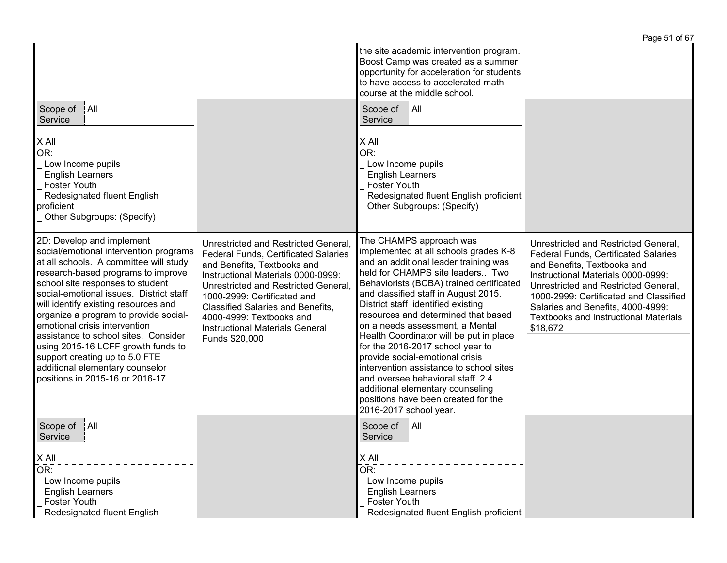|                                                                                                                                                                                                                                                                                                                                                                                                                                                                                                                                             |                                                                                                                                                                                                                                                                                                                                                                     |                                                                                                                                                                                                                                                                                                                                                                                                                                                                                                                                                                                                                                                          | Page 51 of 67                                                                                                                                                                                                                                                                                                                               |
|---------------------------------------------------------------------------------------------------------------------------------------------------------------------------------------------------------------------------------------------------------------------------------------------------------------------------------------------------------------------------------------------------------------------------------------------------------------------------------------------------------------------------------------------|---------------------------------------------------------------------------------------------------------------------------------------------------------------------------------------------------------------------------------------------------------------------------------------------------------------------------------------------------------------------|----------------------------------------------------------------------------------------------------------------------------------------------------------------------------------------------------------------------------------------------------------------------------------------------------------------------------------------------------------------------------------------------------------------------------------------------------------------------------------------------------------------------------------------------------------------------------------------------------------------------------------------------------------|---------------------------------------------------------------------------------------------------------------------------------------------------------------------------------------------------------------------------------------------------------------------------------------------------------------------------------------------|
|                                                                                                                                                                                                                                                                                                                                                                                                                                                                                                                                             |                                                                                                                                                                                                                                                                                                                                                                     | the site academic intervention program.<br>Boost Camp was created as a summer<br>opportunity for acceleration for students<br>to have access to accelerated math<br>course at the middle school.                                                                                                                                                                                                                                                                                                                                                                                                                                                         |                                                                                                                                                                                                                                                                                                                                             |
| Scope of<br>$ $ All<br>Service                                                                                                                                                                                                                                                                                                                                                                                                                                                                                                              |                                                                                                                                                                                                                                                                                                                                                                     | Scope of<br>$ $ All<br>Service                                                                                                                                                                                                                                                                                                                                                                                                                                                                                                                                                                                                                           |                                                                                                                                                                                                                                                                                                                                             |
| $\underline{X}$ All<br>OR:<br>Low Income pupils<br><b>English Learners</b><br><b>Foster Youth</b><br>Redesignated fluent English<br>proficient<br>Other Subgroups: (Specify)                                                                                                                                                                                                                                                                                                                                                                |                                                                                                                                                                                                                                                                                                                                                                     | $X$ All<br>$\overline{OR}$ :<br>Low Income pupils<br><b>English Learners</b><br><b>Foster Youth</b><br>Redesignated fluent English proficient<br>Other Subgroups: (Specify)                                                                                                                                                                                                                                                                                                                                                                                                                                                                              |                                                                                                                                                                                                                                                                                                                                             |
| 2D: Develop and implement<br>social/emotional intervention programs<br>at all schools. A committee will study<br>research-based programs to improve<br>school site responses to student<br>social-emotional issues. District staff<br>will identify existing resources and<br>organize a program to provide social-<br>emotional crisis intervention<br>assistance to school sites. Consider<br>using 2015-16 LCFF growth funds to<br>support creating up to 5.0 FTE<br>additional elementary counselor<br>positions in 2015-16 or 2016-17. | Unrestricted and Restricted General,<br><b>Federal Funds, Certificated Salaries</b><br>and Benefits, Textbooks and<br>Instructional Materials 0000-0999:<br>Unrestricted and Restricted General,<br>1000-2999: Certificated and<br><b>Classified Salaries and Benefits,</b><br>4000-4999: Textbooks and<br><b>Instructional Materials General</b><br>Funds \$20,000 | The CHAMPS approach was<br>implemented at all schools grades K-8<br>and an additional leader training was<br>held for CHAMPS site leaders Two<br>Behaviorists (BCBA) trained certificated<br>and classified staff in August 2015.<br>District staff identified existing<br>resources and determined that based<br>on a needs assessment, a Mental<br>Health Coordinator will be put in place<br>for the 2016-2017 school year to<br>provide social-emotional crisis<br>intervention assistance to school sites<br>and oversee behavioral staff. 2.4<br>additional elementary counseling<br>positions have been created for the<br>2016-2017 school year. | Unrestricted and Restricted General,<br><b>Federal Funds, Certificated Salaries</b><br>and Benefits, Textbooks and<br>Instructional Materials 0000-0999:<br>Unrestricted and Restricted General,<br>1000-2999: Certificated and Classified<br>Salaries and Benefits, 4000-4999:<br><b>Textbooks and Instructional Materials</b><br>\$18,672 |
| Scope of<br>$ $ All<br>Service                                                                                                                                                                                                                                                                                                                                                                                                                                                                                                              |                                                                                                                                                                                                                                                                                                                                                                     | Scope of<br>¦All<br>Service                                                                                                                                                                                                                                                                                                                                                                                                                                                                                                                                                                                                                              |                                                                                                                                                                                                                                                                                                                                             |
| $\underline{X}$ All<br>OR:<br>Low Income pupils<br><b>English Learners</b><br><b>Foster Youth</b><br>Redesignated fluent English                                                                                                                                                                                                                                                                                                                                                                                                            |                                                                                                                                                                                                                                                                                                                                                                     | $X$ All<br>OR:<br>Low Income pupils<br><b>English Learners</b><br><b>Foster Youth</b><br>Redesignated fluent English proficient                                                                                                                                                                                                                                                                                                                                                                                                                                                                                                                          |                                                                                                                                                                                                                                                                                                                                             |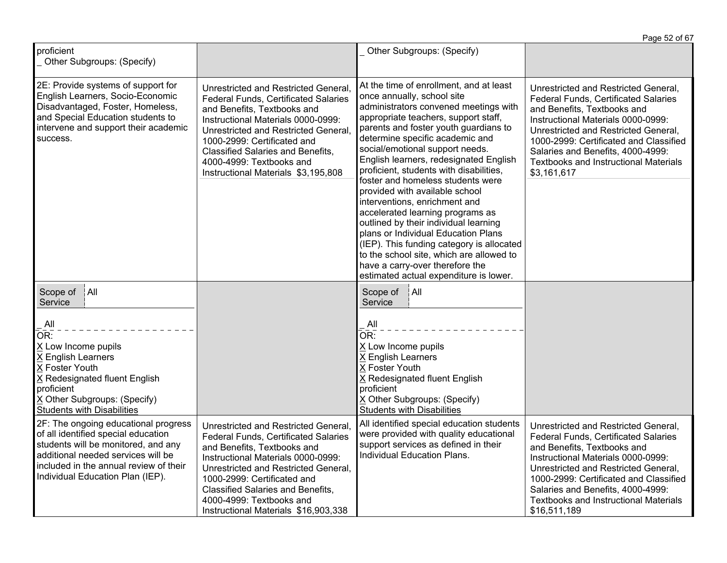|                                                                                                                                                                                                                                        |                                                                                                                                                                                                                                                                                                                                                 |                                                                                                                                                                                                                                                                                                                                                                                                                                                                                                                                                                                                                                                                                                                                                              | Page 52 of 67                                                                                                                                                                                                                                                                                                                                   |
|----------------------------------------------------------------------------------------------------------------------------------------------------------------------------------------------------------------------------------------|-------------------------------------------------------------------------------------------------------------------------------------------------------------------------------------------------------------------------------------------------------------------------------------------------------------------------------------------------|--------------------------------------------------------------------------------------------------------------------------------------------------------------------------------------------------------------------------------------------------------------------------------------------------------------------------------------------------------------------------------------------------------------------------------------------------------------------------------------------------------------------------------------------------------------------------------------------------------------------------------------------------------------------------------------------------------------------------------------------------------------|-------------------------------------------------------------------------------------------------------------------------------------------------------------------------------------------------------------------------------------------------------------------------------------------------------------------------------------------------|
| proficient<br>_ Other Subgroups: (Specify)                                                                                                                                                                                             |                                                                                                                                                                                                                                                                                                                                                 | Other Subgroups: (Specify)                                                                                                                                                                                                                                                                                                                                                                                                                                                                                                                                                                                                                                                                                                                                   |                                                                                                                                                                                                                                                                                                                                                 |
| 2E: Provide systems of support for<br>English Learners, Socio-Economic<br>Disadvantaged, Foster, Homeless,<br>and Special Education students to<br>intervene and support their academic<br>success.                                    | Unrestricted and Restricted General,<br><b>Federal Funds, Certificated Salaries</b><br>and Benefits, Textbooks and<br>Instructional Materials 0000-0999:<br>Unrestricted and Restricted General,<br>1000-2999: Certificated and<br><b>Classified Salaries and Benefits,</b><br>4000-4999: Textbooks and<br>Instructional Materials \$3,195,808  | At the time of enrollment, and at least<br>once annually, school site<br>administrators convened meetings with<br>appropriate teachers, support staff,<br>parents and foster youth guardians to<br>determine specific academic and<br>social/emotional support needs.<br>English learners, redesignated English<br>proficient, students with disabilities,<br>foster and homeless students were<br>provided with available school<br>interventions, enrichment and<br>accelerated learning programs as<br>outlined by their individual learning<br>plans or Individual Education Plans<br>(IEP). This funding category is allocated<br>to the school site, which are allowed to<br>have a carry-over therefore the<br>estimated actual expenditure is lower. | Unrestricted and Restricted General,<br><b>Federal Funds, Certificated Salaries</b><br>and Benefits, Textbooks and<br>Instructional Materials 0000-0999:<br>Unrestricted and Restricted General,<br>1000-2999: Certificated and Classified<br>Salaries and Benefits, 4000-4999:<br><b>Textbooks and Instructional Materials</b><br>\$3,161,617  |
| All<br>Scope of<br>Service<br>All<br>OR:<br>X Low Income pupils<br>X English Learners<br>X Foster Youth<br>X Redesignated fluent English<br>proficient<br>X Other Subgroups: (Specify)<br><b>Students with Disabilities</b>            |                                                                                                                                                                                                                                                                                                                                                 | $ $ All<br>Scope of<br>Service<br>All<br>OR:<br>X Low Income pupils<br>X English Learners<br>X Foster Youth<br>X Redesignated fluent English<br>proficient<br>X Other Subgroups: (Specify)<br><b>Students with Disabilities</b>                                                                                                                                                                                                                                                                                                                                                                                                                                                                                                                              |                                                                                                                                                                                                                                                                                                                                                 |
| 2F: The ongoing educational progress<br>of all identified special education<br>students will be monitored, and any<br>additional needed services will be<br>included in the annual review of their<br>Individual Education Plan (IEP). | Unrestricted and Restricted General,<br><b>Federal Funds, Certificated Salaries</b><br>and Benefits, Textbooks and<br>Instructional Materials 0000-0999:<br>Unrestricted and Restricted General,<br>1000-2999: Certificated and<br><b>Classified Salaries and Benefits,</b><br>4000-4999: Textbooks and<br>Instructional Materials \$16,903,338 | All identified special education students<br>were provided with quality educational<br>support services as defined in their<br>Individual Education Plans.                                                                                                                                                                                                                                                                                                                                                                                                                                                                                                                                                                                                   | Unrestricted and Restricted General,<br><b>Federal Funds, Certificated Salaries</b><br>and Benefits, Textbooks and<br>Instructional Materials 0000-0999:<br>Unrestricted and Restricted General,<br>1000-2999: Certificated and Classified<br>Salaries and Benefits, 4000-4999:<br><b>Textbooks and Instructional Materials</b><br>\$16,511,189 |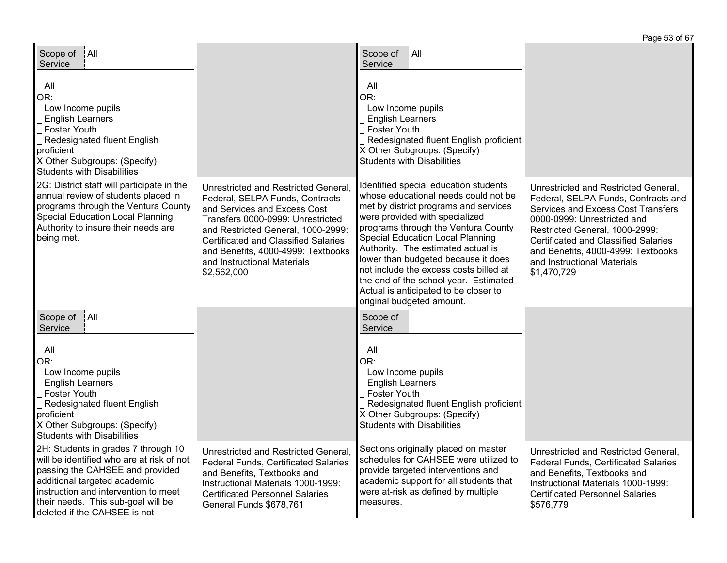| Scope of   All<br>Service<br>All<br>OR:<br>Low Income pupils<br><b>English Learners</b><br><b>Foster Youth</b><br>Redesignated fluent English<br>proficient                                                                                                       |                                                                                                                                                                                                                                                                                                                       | Scope of<br>∫All<br>Service<br>All<br>$\overline{\mathsf{OR}}$ :<br>Low Income pupils<br><b>English Learners</b><br><b>Foster Youth</b><br>Redesignated fluent English proficient<br>X Other Subgroups: (Specify)                                                                                                                                                                                                                                                                |                                                                                                                                                                                                                                                                                                                              |
|-------------------------------------------------------------------------------------------------------------------------------------------------------------------------------------------------------------------------------------------------------------------|-----------------------------------------------------------------------------------------------------------------------------------------------------------------------------------------------------------------------------------------------------------------------------------------------------------------------|----------------------------------------------------------------------------------------------------------------------------------------------------------------------------------------------------------------------------------------------------------------------------------------------------------------------------------------------------------------------------------------------------------------------------------------------------------------------------------|------------------------------------------------------------------------------------------------------------------------------------------------------------------------------------------------------------------------------------------------------------------------------------------------------------------------------|
| X Other Subgroups: (Specify)<br><b>Students with Disabilities</b>                                                                                                                                                                                                 |                                                                                                                                                                                                                                                                                                                       | <b>Students with Disabilities</b>                                                                                                                                                                                                                                                                                                                                                                                                                                                |                                                                                                                                                                                                                                                                                                                              |
| 2G: District staff will participate in the<br>annual review of students placed in<br>programs through the Ventura County<br><b>Special Education Local Planning</b><br>Authority to insure their needs are<br>being met.                                          | Unrestricted and Restricted General,<br>Federal, SELPA Funds, Contracts<br>and Services and Excess Cost<br>Transfers 0000-0999: Unrestricted<br>and Restricted General, 1000-2999:<br><b>Certificated and Classified Salaries</b><br>and Benefits, 4000-4999: Textbooks<br>and Instructional Materials<br>\$2,562,000 | Identified special education students<br>whose educational needs could not be<br>met by district programs and services<br>were provided with specialized<br>programs through the Ventura County<br><b>Special Education Local Planning</b><br>Authority. The estimated actual is<br>lower than budgeted because it does<br>not include the excess costs billed at<br>the end of the school year. Estimated<br>Actual is anticipated to be closer to<br>original budgeted amount. | Unrestricted and Restricted General,<br>Federal, SELPA Funds, Contracts and<br><b>Services and Excess Cost Transfers</b><br>0000-0999: Unrestricted and<br>Restricted General, 1000-2999:<br><b>Certificated and Classified Salaries</b><br>and Benefits, 4000-4999: Textbooks<br>and Instructional Materials<br>\$1,470,729 |
| A  <br>Scope of<br>Service                                                                                                                                                                                                                                        |                                                                                                                                                                                                                                                                                                                       | Scope of<br>Service                                                                                                                                                                                                                                                                                                                                                                                                                                                              |                                                                                                                                                                                                                                                                                                                              |
| All<br>OR:<br>Low Income pupils<br><b>English Learners</b><br><b>Foster Youth</b><br>Redesignated fluent English<br>proficient<br>X Other Subgroups: (Specify)<br><b>Students with Disabilities</b>                                                               |                                                                                                                                                                                                                                                                                                                       | $\mathsf{All}$<br>$\overline{\mathsf{OR}}$ :<br>Low Income pupils<br><b>English Learners</b><br>Foster Youth<br>Redesignated fluent English proficient<br>X Other Subgroups: (Specify)<br><b>Students with Disabilities</b>                                                                                                                                                                                                                                                      |                                                                                                                                                                                                                                                                                                                              |
| 2H: Students in grades 7 through 10<br>will be identified who are at risk of not<br>passing the CAHSEE and provided<br>additional targeted academic<br>instruction and intervention to meet<br>their needs. This sub-goal will be<br>deleted if the CAHSEE is not | Unrestricted and Restricted General,<br>Federal Funds, Certificated Salaries<br>and Benefits, Textbooks and<br>Instructional Materials 1000-1999:<br><b>Certificated Personnel Salaries</b><br>General Funds \$678,761                                                                                                | Sections originally placed on master<br>schedules for CAHSEE were utilized to<br>provide targeted interventions and<br>academic support for all students that<br>were at-risk as defined by multiple<br>measures.                                                                                                                                                                                                                                                                | Unrestricted and Restricted General,<br>Federal Funds, Certificated Salaries<br>and Benefits, Textbooks and<br>Instructional Materials 1000-1999:<br><b>Certificated Personnel Salaries</b><br>\$576,779                                                                                                                     |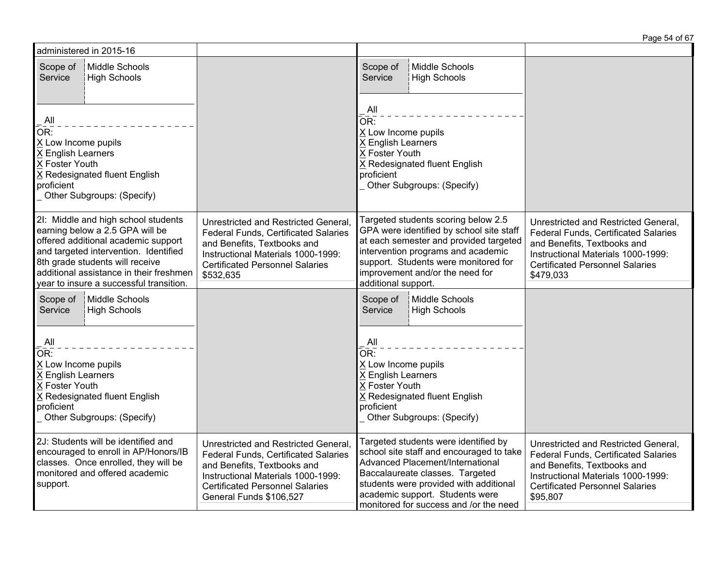|                                                                                         | administered in 2015-16                                                                                                                                                                                                                                                         |                                                                                                                                                                                                                        |                                                                                                                                                                                                                                                                                |                                                                                                                                                                                                          |
|-----------------------------------------------------------------------------------------|---------------------------------------------------------------------------------------------------------------------------------------------------------------------------------------------------------------------------------------------------------------------------------|------------------------------------------------------------------------------------------------------------------------------------------------------------------------------------------------------------------------|--------------------------------------------------------------------------------------------------------------------------------------------------------------------------------------------------------------------------------------------------------------------------------|----------------------------------------------------------------------------------------------------------------------------------------------------------------------------------------------------------|
| Scope of<br>Service                                                                     | Middle Schools<br>High Schools                                                                                                                                                                                                                                                  |                                                                                                                                                                                                                        | Middle Schools<br>Scope of<br><b>High Schools</b><br>Service                                                                                                                                                                                                                   |                                                                                                                                                                                                          |
| All<br>OR:<br>X Low Income pupils<br>X English Learners<br>X Foster Youth<br>proficient | X Redesignated fluent English<br>Other Subgroups: (Specify)                                                                                                                                                                                                                     |                                                                                                                                                                                                                        | $\mathsf{All}$<br>$\overline{\mathsf{OR}}$ :<br>X Low Income pupils<br>X English Learners<br>X Foster Youth<br>X Redesignated fluent English<br>proficient<br>Other Subgroups: (Specify)                                                                                       |                                                                                                                                                                                                          |
|                                                                                         | 2I: Middle and high school students<br>earning below a 2.5 GPA will be<br>offered additional academic support<br>and targeted intervention. Identified<br>8th grade students will receive<br>additional assistance in their freshmen<br>year to insure a successful transition. | Unrestricted and Restricted General,<br><b>Federal Funds, Certificated Salaries</b><br>and Benefits, Textbooks and<br>Instructional Materials 1000-1999:<br><b>Certificated Personnel Salaries</b><br>\$532,635        | Targeted students scoring below 2.5<br>GPA were identified by school site staff<br>at each semester and provided targeted<br>intervention programs and academic<br>support. Students were monitored for<br>improvement and/or the need for<br>additional support.              | Unrestricted and Restricted General,<br>Federal Funds, Certificated Salaries<br>and Benefits, Textbooks and<br>Instructional Materials 1000-1999:<br><b>Certificated Personnel Salaries</b><br>\$479,033 |
| Scope of<br>Service                                                                     | Middle Schools<br>High Schools                                                                                                                                                                                                                                                  |                                                                                                                                                                                                                        | Middle Schools<br>Scope of<br>Service<br><b>High Schools</b>                                                                                                                                                                                                                   |                                                                                                                                                                                                          |
| All<br>OR:<br>X Low Income pupils<br>X English Learners<br>X Foster Youth<br>proficient | X Redesignated fluent English<br>Other Subgroups: (Specify)                                                                                                                                                                                                                     |                                                                                                                                                                                                                        | . All<br>$\overline{\mathsf{OR}}$ :<br>X Low Income pupils<br>X English Learners<br>X Foster Youth<br>X Redesignated fluent English<br>proficient<br>Other Subgroups: (Specify)                                                                                                |                                                                                                                                                                                                          |
| support.                                                                                | 2J: Students will be identified and<br>encouraged to enroll in AP/Honors/IB<br>classes. Once enrolled, they will be<br>monitored and offered academic                                                                                                                           | Unrestricted and Restricted General,<br>Federal Funds, Certificated Salaries<br>and Benefits, Textbooks and<br>Instructional Materials 1000-1999:<br><b>Certificated Personnel Salaries</b><br>General Funds \$106,527 | Targeted students were identified by<br>school site staff and encouraged to take<br>Advanced Placement/International<br>Baccalaureate classes. Targeted<br>students were provided with additional<br>academic support. Students were<br>monitored for success and /or the need | Unrestricted and Restricted General,<br>Federal Funds, Certificated Salaries<br>and Benefits, Textbooks and<br>Instructional Materials 1000-1999:<br><b>Certificated Personnel Salaries</b><br>\$95,807  |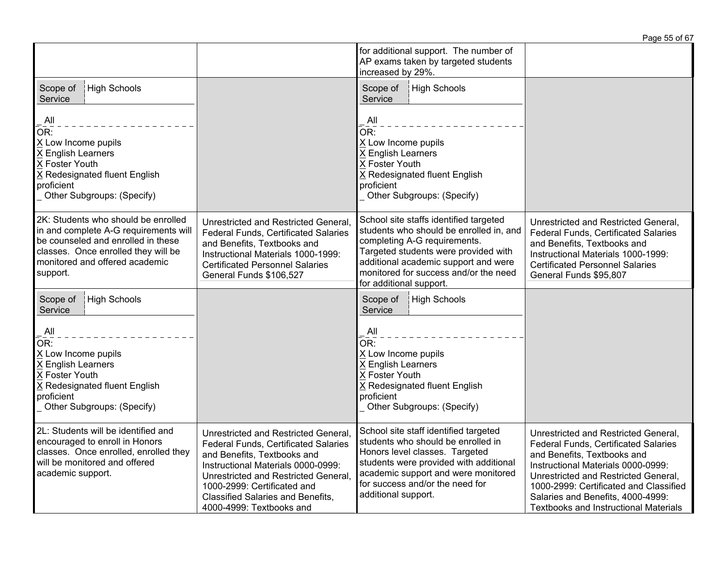|                                                                                                                                                                                                         |                                                                                                                                                                                                                                                                                                         |                                                                                                                                                                                                                                                                       | Page 55 of 67                                                                                                                                                                                                                                                                                                                   |
|---------------------------------------------------------------------------------------------------------------------------------------------------------------------------------------------------------|---------------------------------------------------------------------------------------------------------------------------------------------------------------------------------------------------------------------------------------------------------------------------------------------------------|-----------------------------------------------------------------------------------------------------------------------------------------------------------------------------------------------------------------------------------------------------------------------|---------------------------------------------------------------------------------------------------------------------------------------------------------------------------------------------------------------------------------------------------------------------------------------------------------------------------------|
|                                                                                                                                                                                                         |                                                                                                                                                                                                                                                                                                         | for additional support. The number of<br>AP exams taken by targeted students<br>increased by 29%.                                                                                                                                                                     |                                                                                                                                                                                                                                                                                                                                 |
| High Schools<br>Scope of<br>Service                                                                                                                                                                     |                                                                                                                                                                                                                                                                                                         | Scope of<br><b>High Schools</b><br>Service                                                                                                                                                                                                                            |                                                                                                                                                                                                                                                                                                                                 |
| AII<br>OR:<br>X Low Income pupils<br>X English Learners<br>X Foster Youth<br>X Redesignated fluent English<br>proficient<br>Other Subgroups: (Specify)                                                  |                                                                                                                                                                                                                                                                                                         | All<br>OR:<br>X Low Income pupils<br>X English Learners<br>X Foster Youth<br>X Redesignated fluent English<br>proficient<br>Other Subgroups: (Specify)                                                                                                                |                                                                                                                                                                                                                                                                                                                                 |
| 2K: Students who should be enrolled<br>in and complete A-G requirements will<br>be counseled and enrolled in these<br>classes. Once enrolled they will be<br>monitored and offered academic<br>support. | Unrestricted and Restricted General,<br><b>Federal Funds, Certificated Salaries</b><br>and Benefits, Textbooks and<br>Instructional Materials 1000-1999:<br><b>Certificated Personnel Salaries</b><br>General Funds \$106,527                                                                           | School site staffs identified targeted<br>students who should be enrolled in, and<br>completing A-G requirements.<br>Targeted students were provided with<br>additional academic support and were<br>monitored for success and/or the need<br>for additional support. | Unrestricted and Restricted General,<br>Federal Funds, Certificated Salaries<br>and Benefits, Textbooks and<br>Instructional Materials 1000-1999:<br><b>Certificated Personnel Salaries</b><br>General Funds \$95,807                                                                                                           |
| High Schools<br>Scope of<br>Service<br>All                                                                                                                                                              |                                                                                                                                                                                                                                                                                                         | Scope of<br>High Schools<br>Service<br>All                                                                                                                                                                                                                            |                                                                                                                                                                                                                                                                                                                                 |
| OR:<br>X Low Income pupils<br>X English Learners<br>X Foster Youth<br>X Redesignated fluent English<br>proficient<br>Other Subgroups: (Specify)                                                         |                                                                                                                                                                                                                                                                                                         | OR:<br>X Low Income pupils<br>X English Learners<br>X Foster Youth<br>X Redesignated fluent English<br>proficient<br>Other Subgroups: (Specify)                                                                                                                       |                                                                                                                                                                                                                                                                                                                                 |
| 2L: Students will be identified and<br>encouraged to enroll in Honors<br>classes. Once enrolled, enrolled they<br>will be monitored and offered<br>academic support.                                    | Unrestricted and Restricted General,<br><b>Federal Funds, Certificated Salaries</b><br>and Benefits, Textbooks and<br>Instructional Materials 0000-0999:<br>Unrestricted and Restricted General,<br>1000-2999: Certificated and<br><b>Classified Salaries and Benefits,</b><br>4000-4999: Textbooks and | School site staff identified targeted<br>students who should be enrolled in<br>Honors level classes. Targeted<br>students were provided with additional<br>academic support and were monitored<br>for success and/or the need for<br>additional support.              | Unrestricted and Restricted General,<br><b>Federal Funds, Certificated Salaries</b><br>and Benefits, Textbooks and<br>Instructional Materials 0000-0999:<br>Unrestricted and Restricted General,<br>1000-2999: Certificated and Classified<br>Salaries and Benefits, 4000-4999:<br><b>Textbooks and Instructional Materials</b> |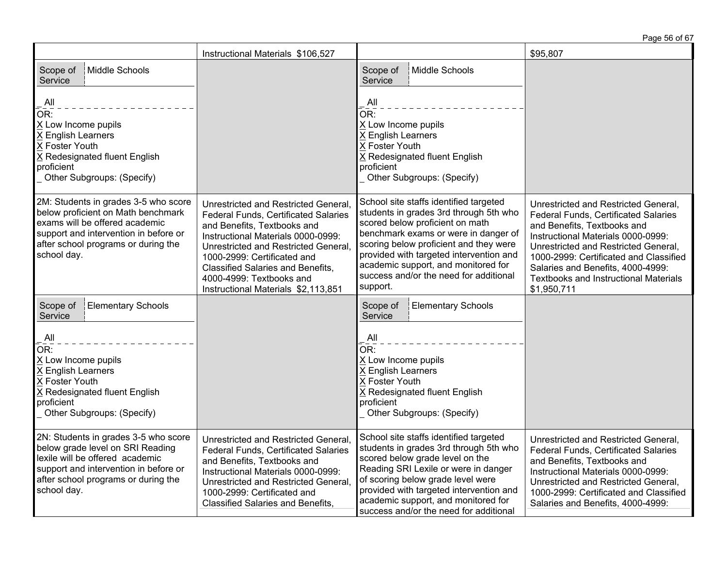|                                                                                                                                                                                                             |                                                                                                                                                                                                                                                                                                                                                |                                                                                                                                                                                                                                                                                                                                               | Page 56 of 67                                                                                                                                                                                                                                                                                                                           |
|-------------------------------------------------------------------------------------------------------------------------------------------------------------------------------------------------------------|------------------------------------------------------------------------------------------------------------------------------------------------------------------------------------------------------------------------------------------------------------------------------------------------------------------------------------------------|-----------------------------------------------------------------------------------------------------------------------------------------------------------------------------------------------------------------------------------------------------------------------------------------------------------------------------------------------|-----------------------------------------------------------------------------------------------------------------------------------------------------------------------------------------------------------------------------------------------------------------------------------------------------------------------------------------|
|                                                                                                                                                                                                             | Instructional Materials \$106,527                                                                                                                                                                                                                                                                                                              |                                                                                                                                                                                                                                                                                                                                               | \$95,807                                                                                                                                                                                                                                                                                                                                |
| Middle Schools<br>Scope of<br>Service                                                                                                                                                                       |                                                                                                                                                                                                                                                                                                                                                | Middle Schools<br>Scope of<br>Service                                                                                                                                                                                                                                                                                                         |                                                                                                                                                                                                                                                                                                                                         |
| All<br>OR:<br>X Low Income pupils<br>X English Learners<br>X Foster Youth<br>X Redesignated fluent English<br>proficient<br>Other Subgroups: (Specify)                                                      |                                                                                                                                                                                                                                                                                                                                                | $\overline{A}$ ll<br>$\bar{\mathsf{OR}}$ :<br>X Low Income pupils<br>X English Learners<br>X Foster Youth<br>X Redesignated fluent English<br>proficient<br>Other Subgroups: (Specify)                                                                                                                                                        |                                                                                                                                                                                                                                                                                                                                         |
| 2M: Students in grades 3-5 who score<br>below proficient on Math benchmark<br>exams will be offered academic<br>support and intervention in before or<br>after school programs or during the<br>school day. | Unrestricted and Restricted General,<br><b>Federal Funds, Certificated Salaries</b><br>and Benefits, Textbooks and<br>Instructional Materials 0000-0999:<br>Unrestricted and Restricted General,<br>1000-2999: Certificated and<br><b>Classified Salaries and Benefits,</b><br>4000-4999: Textbooks and<br>Instructional Materials \$2,113,851 | School site staffs identified targeted<br>students in grades 3rd through 5th who<br>scored below proficient on math<br>benchmark exams or were in danger of<br>scoring below proficient and they were<br>provided with targeted intervention and<br>academic support, and monitored for<br>success and/or the need for additional<br>support. | Unrestricted and Restricted General,<br>Federal Funds, Certificated Salaries<br>and Benefits, Textbooks and<br>Instructional Materials 0000-0999:<br>Unrestricted and Restricted General,<br>1000-2999: Certificated and Classified<br>Salaries and Benefits, 4000-4999:<br><b>Textbooks and Instructional Materials</b><br>\$1,950,711 |
| <b>Elementary Schools</b><br>Scope of<br>Service                                                                                                                                                            |                                                                                                                                                                                                                                                                                                                                                | Scope of<br><b>Elementary Schools</b><br>Service                                                                                                                                                                                                                                                                                              |                                                                                                                                                                                                                                                                                                                                         |
| All<br>OR:<br>X Low Income pupils<br>X English Learners<br>X Foster Youth<br>X Redesignated fluent English<br>proficient<br>Other Subgroups: (Specify)                                                      |                                                                                                                                                                                                                                                                                                                                                | $\overline{A}$ ll<br>OR:<br>X Low Income pupils<br>X English Learners<br>X Foster Youth<br>X Redesignated fluent English<br>proficient<br>Other Subgroups: (Specify)                                                                                                                                                                          |                                                                                                                                                                                                                                                                                                                                         |
| 2N: Students in grades 3-5 who score<br>below grade level on SRI Reading<br>lexile will be offered academic<br>support and intervention in before or<br>after school programs or during the<br>school day.  | Unrestricted and Restricted General,<br>Federal Funds, Certificated Salaries<br>and Benefits, Textbooks and<br>Instructional Materials 0000-0999:<br>Unrestricted and Restricted General,<br>1000-2999: Certificated and<br><b>Classified Salaries and Benefits,</b>                                                                           | School site staffs identified targeted<br>students in grades 3rd through 5th who<br>scored below grade level on the<br>Reading SRI Lexile or were in danger<br>of scoring below grade level were<br>provided with targeted intervention and<br>academic support, and monitored for<br>success and/or the need for additional                  | Unrestricted and Restricted General,<br><b>Federal Funds, Certificated Salaries</b><br>and Benefits, Textbooks and<br>Instructional Materials 0000-0999:<br>Unrestricted and Restricted General,<br>1000-2999: Certificated and Classified<br>Salaries and Benefits, 4000-4999:                                                         |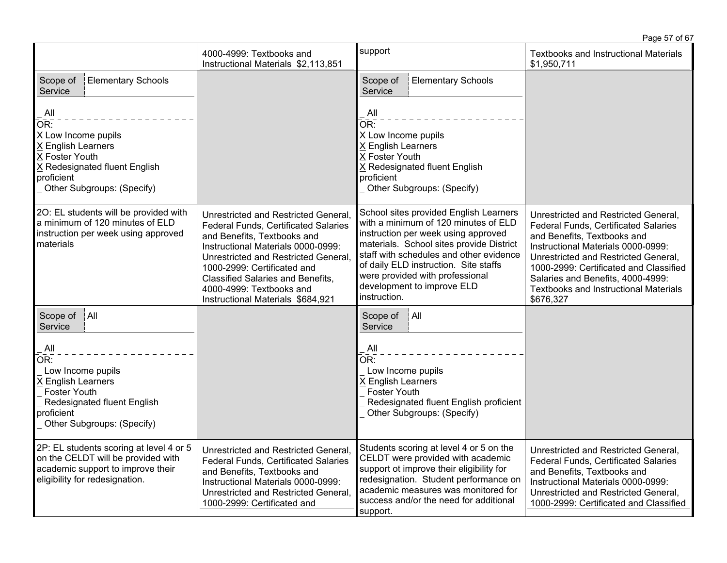Page 57 of 67

|                                                                                                                                                         | 4000-4999: Textbooks and<br>Instructional Materials \$2,113,851                                                                                                                                                                                                                                                                              | support                                                                                                                                                                                                                                                                                                                                | <b>Textbooks and Instructional Materials</b><br>\$1,950,711                                                                                                                                                                                                                                                                                  |
|---------------------------------------------------------------------------------------------------------------------------------------------------------|----------------------------------------------------------------------------------------------------------------------------------------------------------------------------------------------------------------------------------------------------------------------------------------------------------------------------------------------|----------------------------------------------------------------------------------------------------------------------------------------------------------------------------------------------------------------------------------------------------------------------------------------------------------------------------------------|----------------------------------------------------------------------------------------------------------------------------------------------------------------------------------------------------------------------------------------------------------------------------------------------------------------------------------------------|
| <b>Elementary Schools</b><br>Scope of<br>Service                                                                                                        |                                                                                                                                                                                                                                                                                                                                              | <b>Elementary Schools</b><br>Scope of<br>Service                                                                                                                                                                                                                                                                                       |                                                                                                                                                                                                                                                                                                                                              |
| All<br>OR:<br>X Low Income pupils<br>X English Learners<br>X Foster Youth<br>X Redesignated fluent English<br>proficient<br>Other Subgroups: (Specify)  |                                                                                                                                                                                                                                                                                                                                              | All<br>OR:<br>X Low Income pupils<br>X English Learners<br>X Foster Youth<br>X Redesignated fluent English<br>proficient<br>Other Subgroups: (Specify)                                                                                                                                                                                 |                                                                                                                                                                                                                                                                                                                                              |
| 2O: EL students will be provided with<br>a minimum of 120 minutes of ELD<br>instruction per week using approved<br>materials                            | Unrestricted and Restricted General,<br><b>Federal Funds, Certificated Salaries</b><br>and Benefits, Textbooks and<br>Instructional Materials 0000-0999:<br>Unrestricted and Restricted General,<br>1000-2999: Certificated and<br><b>Classified Salaries and Benefits,</b><br>4000-4999: Textbooks and<br>Instructional Materials \$684,921 | School sites provided English Learners<br>with a minimum of 120 minutes of ELD<br>instruction per week using approved<br>materials. School sites provide District<br>staff with schedules and other evidence<br>of daily ELD instruction. Site staffs<br>were provided with professional<br>development to improve ELD<br>instruction. | Unrestricted and Restricted General,<br><b>Federal Funds, Certificated Salaries</b><br>and Benefits, Textbooks and<br>Instructional Materials 0000-0999:<br>Unrestricted and Restricted General,<br>1000-2999: Certificated and Classified<br>Salaries and Benefits, 4000-4999:<br><b>Textbooks and Instructional Materials</b><br>\$676,327 |
| Scope of<br> A  <br>Service                                                                                                                             |                                                                                                                                                                                                                                                                                                                                              | A  <br>Scope of<br>Service                                                                                                                                                                                                                                                                                                             |                                                                                                                                                                                                                                                                                                                                              |
| All<br>OR:<br>Low Income pupils<br>X English Learners<br><b>Foster Youth</b><br>Redesignated fluent English<br>proficient<br>Other Subgroups: (Specify) |                                                                                                                                                                                                                                                                                                                                              | All<br>$\overline{\mathsf{OR}}$ :<br>Low Income pupils<br>X English Learners<br><b>Foster Youth</b><br>Redesignated fluent English proficient<br>Other Subgroups: (Specify)                                                                                                                                                            |                                                                                                                                                                                                                                                                                                                                              |
| 2P: EL students scoring at level 4 or 5<br>on the CELDT will be provided with<br>academic support to improve their<br>eligibility for redesignation.    | Unrestricted and Restricted General,<br><b>Federal Funds, Certificated Salaries</b><br>and Benefits, Textbooks and<br>Instructional Materials 0000-0999:<br>Unrestricted and Restricted General,<br>1000-2999: Certificated and                                                                                                              | Students scoring at level 4 or 5 on the<br>CELDT were provided with academic<br>support ot improve their eligibility for<br>redesignation. Student performance on<br>academic measures was monitored for<br>success and/or the need for additional<br>support.                                                                         | Unrestricted and Restricted General,<br>Federal Funds, Certificated Salaries<br>and Benefits, Textbooks and<br>Instructional Materials 0000-0999:<br>Unrestricted and Restricted General,<br>1000-2999: Certificated and Classified                                                                                                          |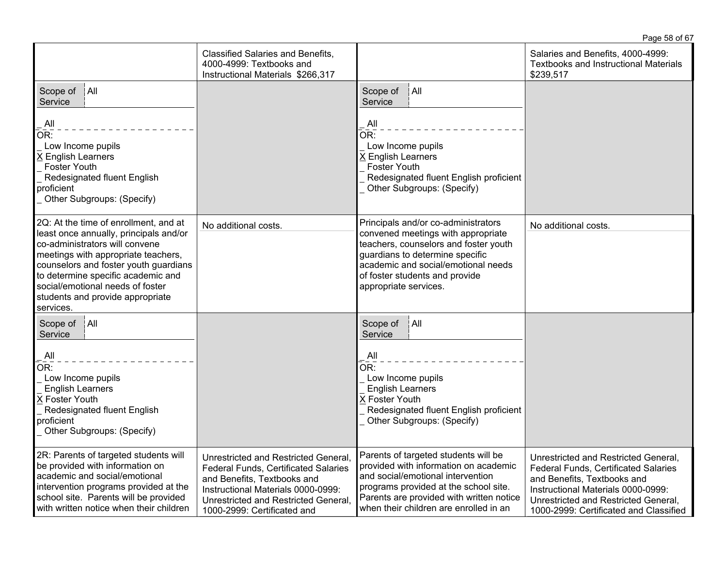|                                                                                                                                                                                                                                                                                                                              | Page 58 of 67                                                                                                                                                                                                                   |                                                                                                                                                                                                                                                         |                                                                                                                                                                                                                                            |
|------------------------------------------------------------------------------------------------------------------------------------------------------------------------------------------------------------------------------------------------------------------------------------------------------------------------------|---------------------------------------------------------------------------------------------------------------------------------------------------------------------------------------------------------------------------------|---------------------------------------------------------------------------------------------------------------------------------------------------------------------------------------------------------------------------------------------------------|--------------------------------------------------------------------------------------------------------------------------------------------------------------------------------------------------------------------------------------------|
|                                                                                                                                                                                                                                                                                                                              | <b>Classified Salaries and Benefits,</b><br>4000-4999: Textbooks and<br>Instructional Materials \$266,317                                                                                                                       |                                                                                                                                                                                                                                                         | Salaries and Benefits, 4000-4999:<br><b>Textbooks and Instructional Materials</b><br>\$239,517                                                                                                                                             |
| Scope of<br>$ $ All<br>Service                                                                                                                                                                                                                                                                                               |                                                                                                                                                                                                                                 | Scope of<br> A  <br>Service                                                                                                                                                                                                                             |                                                                                                                                                                                                                                            |
| $\mathsf{All}$<br>OR:<br>Low Income pupils<br>X English Learners<br><b>Foster Youth</b><br>Redesignated fluent English<br>proficient<br>Other Subgroups: (Specify)                                                                                                                                                           |                                                                                                                                                                                                                                 | . All<br>OR:<br>Low Income pupils<br>X English Learners<br><b>Foster Youth</b><br>Redesignated fluent English proficient<br>Other Subgroups: (Specify)                                                                                                  |                                                                                                                                                                                                                                            |
| 2Q: At the time of enrollment, and at<br>least once annually, principals and/or<br>co-administrators will convene<br>meetings with appropriate teachers,<br>counselors and foster youth guardians<br>to determine specific academic and<br>social/emotional needs of foster<br>students and provide appropriate<br>services. | No additional costs.                                                                                                                                                                                                            | Principals and/or co-administrators<br>convened meetings with appropriate<br>teachers, counselors and foster youth<br>guardians to determine specific<br>academic and social/emotional needs<br>of foster students and provide<br>appropriate services. | No additional costs.                                                                                                                                                                                                                       |
| A  <br>Scope of<br>Service<br>All<br>OR:<br>Low Income pupils<br><b>English Learners</b><br>X Foster Youth<br>Redesignated fluent English<br>proficient<br>Other Subgroups: (Specify)                                                                                                                                        |                                                                                                                                                                                                                                 | A  <br>Scope of<br>Service<br>All<br>$\overline{\mathsf{OR}}$ :<br>Low Income pupils<br><b>English Learners</b><br>X Foster Youth<br>Redesignated fluent English proficient<br>Other Subgroups: (Specify)                                               |                                                                                                                                                                                                                                            |
| 2R: Parents of targeted students will<br>be provided with information on<br>academic and social/emotional<br>intervention programs provided at the<br>school site. Parents will be provided<br>with written notice when their children                                                                                       | Unrestricted and Restricted General,<br><b>Federal Funds, Certificated Salaries</b><br>and Benefits, Textbooks and<br>Instructional Materials 0000-0999:<br>Unrestricted and Restricted General,<br>1000-2999: Certificated and | Parents of targeted students will be<br>provided with information on academic<br>and social/emotional intervention<br>programs provided at the school site.<br>Parents are provided with written notice<br>when their children are enrolled in an       | Unrestricted and Restricted General,<br><b>Federal Funds, Certificated Salaries</b><br>and Benefits, Textbooks and<br>Instructional Materials 0000-0999:<br>Unrestricted and Restricted General,<br>1000-2999: Certificated and Classified |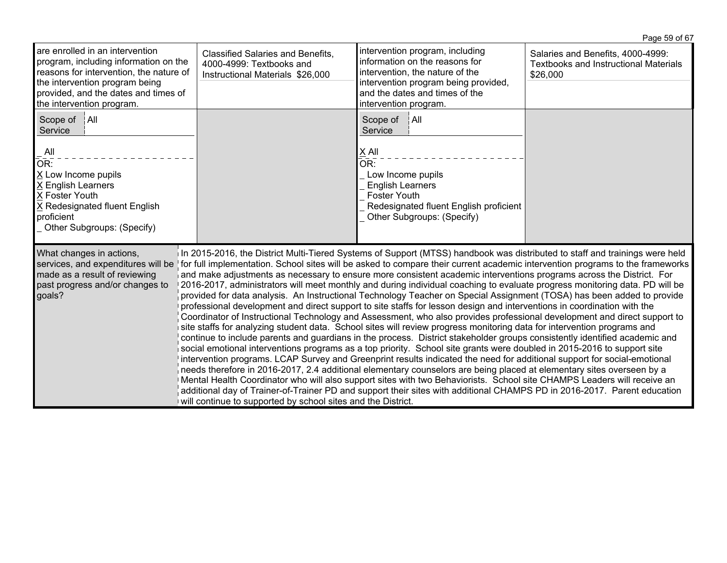|                                                                                                                                                                                                                                                                                                                                                                                                                                                                                                                                                                                                                                                                                                                                                                                                                                                                                                                                                                                                                                                                                                                                                                                                                                                                                                                                                                                                                                                                                                                                                                                                                                                                                                                                                                                                                                                                                                                                                                                                                      |                                                                                                          |                                                                                                                                                                                                         | Page 59 of 67                                                                                 |  |
|----------------------------------------------------------------------------------------------------------------------------------------------------------------------------------------------------------------------------------------------------------------------------------------------------------------------------------------------------------------------------------------------------------------------------------------------------------------------------------------------------------------------------------------------------------------------------------------------------------------------------------------------------------------------------------------------------------------------------------------------------------------------------------------------------------------------------------------------------------------------------------------------------------------------------------------------------------------------------------------------------------------------------------------------------------------------------------------------------------------------------------------------------------------------------------------------------------------------------------------------------------------------------------------------------------------------------------------------------------------------------------------------------------------------------------------------------------------------------------------------------------------------------------------------------------------------------------------------------------------------------------------------------------------------------------------------------------------------------------------------------------------------------------------------------------------------------------------------------------------------------------------------------------------------------------------------------------------------------------------------------------------------|----------------------------------------------------------------------------------------------------------|---------------------------------------------------------------------------------------------------------------------------------------------------------------------------------------------------------|-----------------------------------------------------------------------------------------------|--|
| are enrolled in an intervention<br>program, including information on the<br>reasons for intervention, the nature of<br>the intervention program being<br>provided, and the dates and times of<br>the intervention program.                                                                                                                                                                                                                                                                                                                                                                                                                                                                                                                                                                                                                                                                                                                                                                                                                                                                                                                                                                                                                                                                                                                                                                                                                                                                                                                                                                                                                                                                                                                                                                                                                                                                                                                                                                                           | <b>Classified Salaries and Benefits,</b><br>4000-4999: Textbooks and<br>Instructional Materials \$26,000 | intervention program, including<br>information on the reasons for<br>intervention, the nature of the<br>intervention program being provided,<br>and the dates and times of the<br>intervention program. | Salaries and Benefits, 4000-4999:<br><b>Textbooks and Instructional Materials</b><br>\$26,000 |  |
| Scope of   All<br>Service<br>All<br>OR:<br>X Low Income pupils<br>X English Learners<br>X Foster Youth<br>X Redesignated fluent English<br>proficient<br>Other Subgroups: (Specify)                                                                                                                                                                                                                                                                                                                                                                                                                                                                                                                                                                                                                                                                                                                                                                                                                                                                                                                                                                                                                                                                                                                                                                                                                                                                                                                                                                                                                                                                                                                                                                                                                                                                                                                                                                                                                                  |                                                                                                          | Scope of<br>$\ $ All<br>Service<br>X All<br>OR:<br>Low Income pupils<br><b>English Learners</b><br><b>Foster Youth</b><br>Redesignated fluent English proficient<br>Other Subgroups: (Specify)          |                                                                                               |  |
| In 2015-2016, the District Multi-Tiered Systems of Support (MTSS) handbook was distributed to staff and trainings were held<br>What changes in actions,<br>for full implementation. School sites will be asked to compare their current academic intervention programs to the frameworks<br>services, and expenditures will be<br>made as a result of reviewing<br>and make adjustments as necessary to ensure more consistent academic interventions programs across the District. For<br>past progress and/or changes to<br>2016-2017, administrators will meet monthly and during individual coaching to evaluate progress monitoring data. PD will be<br>provided for data analysis. An Instructional Technology Teacher on Special Assignment (TOSA) has been added to provide<br>goals?<br>professional development and direct support to site staffs for lesson design and interventions in coordination with the<br>Coordinator of Instructional Technology and Assessment, who also provides professional development and direct support to<br>site staffs for analyzing student data. School sites will review progress monitoring data for intervention programs and<br>continue to include parents and guardians in the process. District stakeholder groups consistently identified academic and<br>social emotional interventions programs as a top priority. School site grants were doubled in 2015-2016 to support site<br>intervention programs. LCAP Survey and Greenprint results indicated the need for additional support for social-emotional<br>needs therefore in 2016-2017, 2.4 additional elementary counselors are being placed at elementary sites overseen by a<br>Mental Health Coordinator who will also support sites with two Behaviorists. School site CHAMPS Leaders will receive an<br>additional day of Trainer-of-Trainer PD and support their sites with additional CHAMPS PD in 2016-2017. Parent education<br>will continue to supported by school sites and the District. |                                                                                                          |                                                                                                                                                                                                         |                                                                                               |  |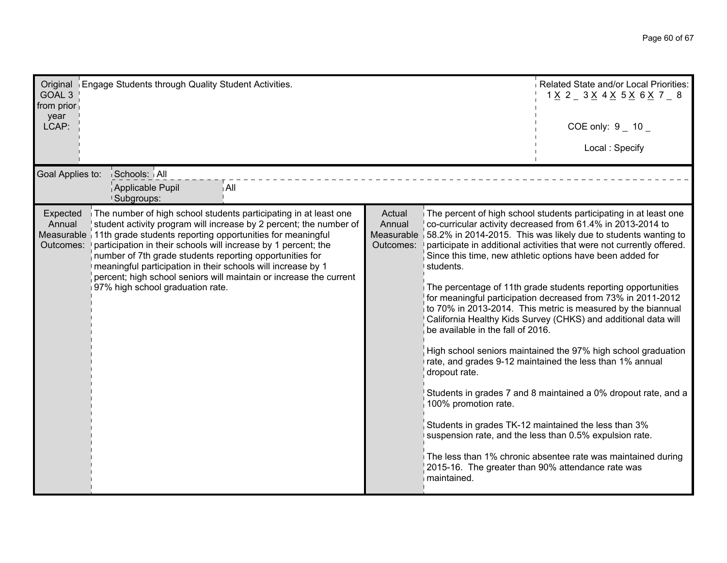| Original Engage Students through Quality Student Activities.<br>GOAL <sub>3</sub><br>from prior<br>year<br>LCAP:                                                                                                                                                                                                                                                                                                                                                                                                                                           |                                             |                                                                                                        | Related State and/or Local Priorities:<br>$1 \times 2 = 3 \times 4 \times 5 \times 6 \times 7 = 8$<br>COE only: $9 - 10 -$<br>Local: Specify                                                                                                                                                                                                                                                                                                                                                                                                                                                                                                                                                                                                                                                                                                                                                                                                                                                                                                       |
|------------------------------------------------------------------------------------------------------------------------------------------------------------------------------------------------------------------------------------------------------------------------------------------------------------------------------------------------------------------------------------------------------------------------------------------------------------------------------------------------------------------------------------------------------------|---------------------------------------------|--------------------------------------------------------------------------------------------------------|----------------------------------------------------------------------------------------------------------------------------------------------------------------------------------------------------------------------------------------------------------------------------------------------------------------------------------------------------------------------------------------------------------------------------------------------------------------------------------------------------------------------------------------------------------------------------------------------------------------------------------------------------------------------------------------------------------------------------------------------------------------------------------------------------------------------------------------------------------------------------------------------------------------------------------------------------------------------------------------------------------------------------------------------------|
| Schools: All<br>Goal Applies to:<br>Applicable Pupil<br>i All<br><b>Subgroups:</b>                                                                                                                                                                                                                                                                                                                                                                                                                                                                         |                                             |                                                                                                        |                                                                                                                                                                                                                                                                                                                                                                                                                                                                                                                                                                                                                                                                                                                                                                                                                                                                                                                                                                                                                                                    |
| The number of high school students participating in at least one<br>Expected<br>student activity program will increase by 2 percent; the number of<br>Annual<br>Measurable 11th grade students reporting opportunities for meaningful<br>participation in their schools will increase by 1 percent; the<br>Outcomes:<br>number of 7th grade students reporting opportunities for<br>meaningful participation in their schools will increase by 1<br>percent; high school seniors will maintain or increase the current<br>97% high school graduation rate. | Actual<br>Annual<br>Measurable<br>Outcomes: | students.<br>be available in the fall of 2016.<br>dropout rate.<br>100% promotion rate.<br>maintained. | The percent of high school students participating in at least one<br>co-curricular activity decreased from 61.4% in 2013-2014 to<br>58.2% in 2014-2015. This was likely due to students wanting to<br>participate in additional activities that were not currently offered.<br>Since this time, new athletic options have been added for<br>The percentage of 11th grade students reporting opportunities<br>for meaningful participation decreased from 73% in 2011-2012<br>to 70% in 2013-2014. This metric is measured by the biannual<br>California Healthy Kids Survey (CHKS) and additional data will<br>High school seniors maintained the 97% high school graduation<br>rate, and grades 9-12 maintained the less than 1% annual<br>Students in grades 7 and 8 maintained a 0% dropout rate, and a<br>Students in grades TK-12 maintained the less than 3%<br>suspension rate, and the less than 0.5% expulsion rate.<br>The less than 1% chronic absentee rate was maintained during<br>2015-16. The greater than 90% attendance rate was |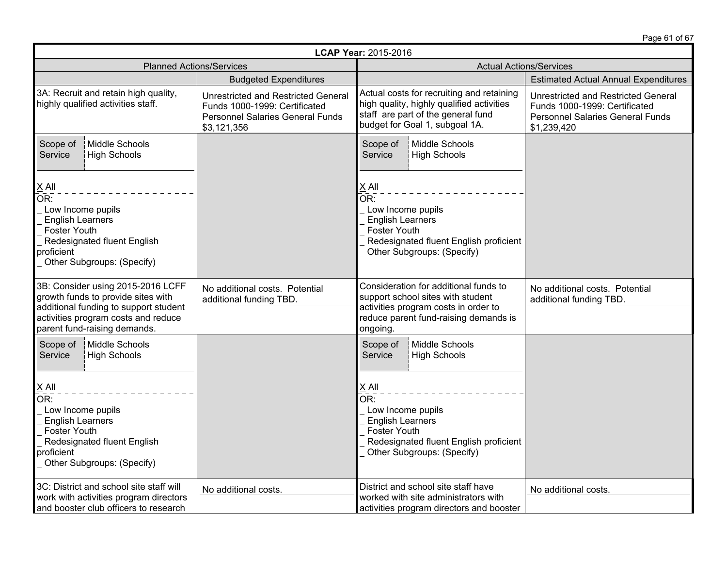Page 61 of 67

| LCAP Year: 2015-2016                                                                                                                                                                    |                                                                                                                                |                                                                                                                                                                         |                                                                                                                                |  |
|-----------------------------------------------------------------------------------------------------------------------------------------------------------------------------------------|--------------------------------------------------------------------------------------------------------------------------------|-------------------------------------------------------------------------------------------------------------------------------------------------------------------------|--------------------------------------------------------------------------------------------------------------------------------|--|
| <b>Planned Actions/Services</b>                                                                                                                                                         |                                                                                                                                | <b>Actual Actions/Services</b>                                                                                                                                          |                                                                                                                                |  |
|                                                                                                                                                                                         | <b>Budgeted Expenditures</b>                                                                                                   |                                                                                                                                                                         | <b>Estimated Actual Annual Expenditures</b>                                                                                    |  |
| 3A: Recruit and retain high quality,<br>highly qualified activities staff.                                                                                                              | <b>Unrestricted and Restricted General</b><br>Funds 1000-1999: Certificated<br>Personnel Salaries General Funds<br>\$3,121,356 | Actual costs for recruiting and retaining<br>high quality, highly qualified activities<br>staff are part of the general fund<br>budget for Goal 1, subgoal 1A.          | Unrestricted and Restricted General<br>Funds 1000-1999: Certificated<br><b>Personnel Salaries General Funds</b><br>\$1,239,420 |  |
| Middle Schools<br>Scope of<br><b>High Schools</b><br>Service                                                                                                                            |                                                                                                                                | Scope of<br>Middle Schools<br>Service<br><b>High Schools</b>                                                                                                            |                                                                                                                                |  |
| $\times$ All<br>OR <sub>1</sub><br>Low Income pupils<br><b>English Learners</b><br>Foster Youth<br>Redesignated fluent English<br>proficient<br>Other Subgroups: (Specify)              |                                                                                                                                | $X$ All<br>OR:<br>Low Income pupils<br><b>English Learners</b><br>Foster Youth<br>Redesignated fluent English proficient<br>Other Subgroups: (Specify)                  |                                                                                                                                |  |
| 3B: Consider using 2015-2016 LCFF<br>growth funds to provide sites with<br>additional funding to support student<br>activities program costs and reduce<br>parent fund-raising demands. | No additional costs. Potential<br>additional funding TBD.                                                                      | Consideration for additional funds to<br>support school sites with student<br>activities program costs in order to<br>reduce parent fund-raising demands is<br>ongoing. | No additional costs. Potential<br>additional funding TBD.                                                                      |  |
| Middle Schools<br>Scope of<br>Service<br>High Schools                                                                                                                                   |                                                                                                                                | Middle Schools<br>Scope of<br><b>High Schools</b><br>Service                                                                                                            |                                                                                                                                |  |
| $X$ All<br>OR:<br>Low Income pupils<br><b>English Learners</b><br><b>Foster Youth</b><br>Redesignated fluent English<br>proficient<br>Other Subgroups: (Specify)                        |                                                                                                                                | X All<br>OR:<br>Low Income pupils<br><b>English Learners</b><br><b>Foster Youth</b><br>Redesignated fluent English proficient<br>Other Subgroups: (Specify)             |                                                                                                                                |  |
| 3C: District and school site staff will<br>work with activities program directors<br>and booster club officers to research                                                              | No additional costs.                                                                                                           | District and school site staff have<br>worked with site administrators with<br>activities program directors and booster                                                 | No additional costs.                                                                                                           |  |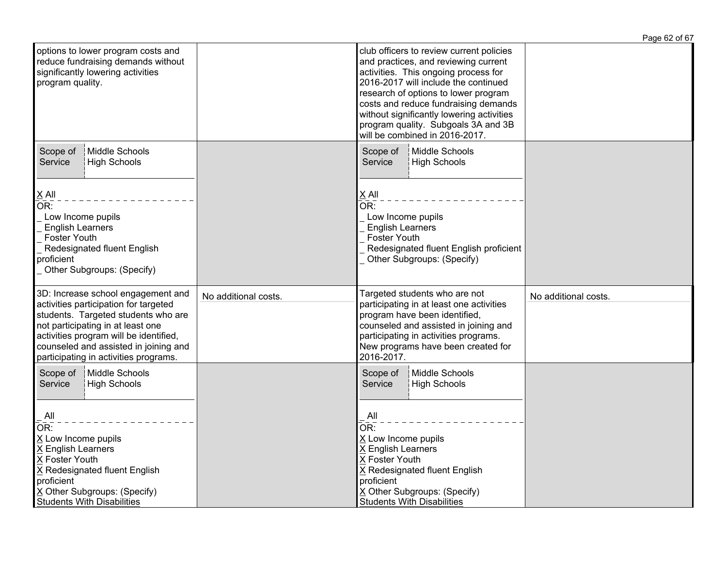|                      |                                                                                                                                                                                                                                                                                                                                                                        | Page 62 of 67                              |
|----------------------|------------------------------------------------------------------------------------------------------------------------------------------------------------------------------------------------------------------------------------------------------------------------------------------------------------------------------------------------------------------------|--------------------------------------------|
|                      | club officers to review current policies<br>and practices, and reviewing current<br>activities. This ongoing process for<br>2016-2017 will include the continued<br>research of options to lower program<br>costs and reduce fundraising demands<br>without significantly lowering activities<br>program quality. Subgoals 3A and 3B<br>will be combined in 2016-2017. |                                            |
|                      | Scope of<br>Middle Schools<br>Service<br><b>High Schools</b>                                                                                                                                                                                                                                                                                                           |                                            |
|                      | OR:<br>Low Income pupils<br><b>English Learners</b><br><b>Foster Youth</b><br>Redesignated fluent English proficient<br>Other Subgroups: (Specify)                                                                                                                                                                                                                     |                                            |
| No additional costs. | Targeted students who are not<br>participating in at least one activities<br>program have been identified,<br>counseled and assisted in joining and<br>participating in activities programs.<br>New programs have been created for<br>2016-2017.                                                                                                                       | No additional costs.                       |
|                      | Middle Schools<br>Scope of<br><b>High Schools</b><br>Service<br>$\overline{A}$ ll<br>$\overline{\mathsf{OR}}$ :<br>X Low Income pupils<br>X English Learners<br>X Foster Youth<br>X Redesignated fluent English<br>proficient<br>X Other Subgroups: (Specify)                                                                                                          |                                            |
|                      |                                                                                                                                                                                                                                                                                                                                                                        | X All<br><b>Students With Disabilities</b> |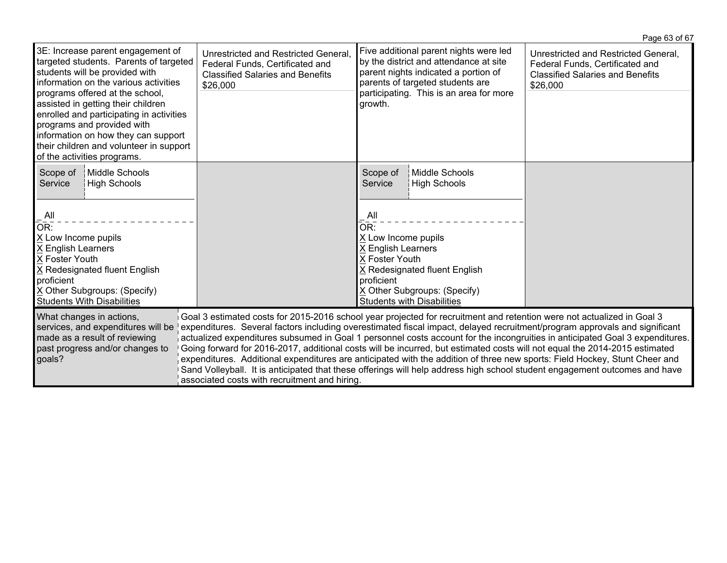|                                                                                                                                                                                                                                                                                                                                                                                                                                                                                                                                                                                                                                                                                                                                                                                                                                                                                                                                                                                 |                                                                                                                                |                                                                                                                                                                                                                    |                                       | Page 63 of 67                                                                                                                  |
|---------------------------------------------------------------------------------------------------------------------------------------------------------------------------------------------------------------------------------------------------------------------------------------------------------------------------------------------------------------------------------------------------------------------------------------------------------------------------------------------------------------------------------------------------------------------------------------------------------------------------------------------------------------------------------------------------------------------------------------------------------------------------------------------------------------------------------------------------------------------------------------------------------------------------------------------------------------------------------|--------------------------------------------------------------------------------------------------------------------------------|--------------------------------------------------------------------------------------------------------------------------------------------------------------------------------------------------------------------|---------------------------------------|--------------------------------------------------------------------------------------------------------------------------------|
| 3E: Increase parent engagement of<br>targeted students. Parents of targeted<br>students will be provided with<br>information on the various activities<br>programs offered at the school,<br>assisted in getting their children<br>enrolled and participating in activities<br>programs and provided with<br>information on how they can support<br>their children and volunteer in support<br>of the activities programs.                                                                                                                                                                                                                                                                                                                                                                                                                                                                                                                                                      | Unrestricted and Restricted General,<br>Federal Funds, Certificated and<br><b>Classified Salaries and Benefits</b><br>\$26,000 | Five additional parent nights were led<br>by the district and attendance at site<br>parent nights indicated a portion of<br>parents of targeted students are<br>participating. This is an area for more<br>growth. |                                       | Unrestricted and Restricted General,<br>Federal Funds, Certificated and<br><b>Classified Salaries and Benefits</b><br>\$26,000 |
| Middle Schools<br>Scope of<br>High Schools<br>Service<br>All<br>OR:                                                                                                                                                                                                                                                                                                                                                                                                                                                                                                                                                                                                                                                                                                                                                                                                                                                                                                             |                                                                                                                                | Scope of<br>Service<br>All<br>OR:                                                                                                                                                                                  | Middle Schools<br><b>High Schools</b> |                                                                                                                                |
| X Low Income pupils<br>X English Learners<br>X Foster Youth<br>X Redesignated fluent English<br>proficient<br>X Other Subgroups: (Specify)<br><b>Students With Disabilities</b>                                                                                                                                                                                                                                                                                                                                                                                                                                                                                                                                                                                                                                                                                                                                                                                                 |                                                                                                                                | X Low Income pupils<br>X English Learners<br>X Foster Youth<br>X Redesignated fluent English<br>proficient<br>X Other Subgroups: (Specify)<br><b>Students with Disabilities</b>                                    |                                       |                                                                                                                                |
| What changes in actions,<br>Goal 3 estimated costs for 2015-2016 school year projected for recruitment and retention were not actualized in Goal 3<br>expenditures. Several factors including overestimated fiscal impact, delayed recruitment/program approvals and significant<br>services, and expenditures will be<br>made as a result of reviewing<br>actualized expenditures subsumed in Goal 1 personnel costs account for the incongruities in anticipated Goal 3 expenditures.<br>Going forward for 2016-2017, additional costs will be incurred, but estimated costs will not equal the 2014-2015 estimated<br>past progress and/or changes to<br>expenditures. Additional expenditures are anticipated with the addition of three new sports: Field Hockey, Stunt Cheer and<br>goals?<br>Sand Volleyball. It is anticipated that these offerings will help address high school student engagement outcomes and have<br>associated costs with recruitment and hiring. |                                                                                                                                |                                                                                                                                                                                                                    |                                       |                                                                                                                                |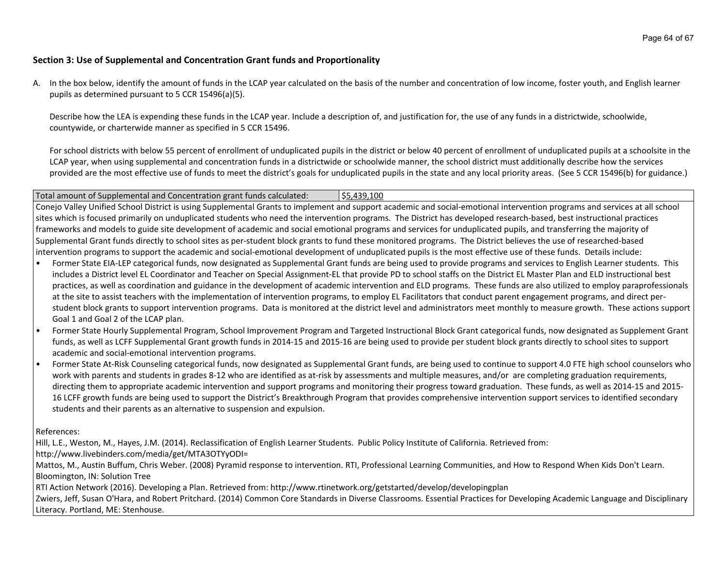#### **Section 3: Use of Supplemental and Concentration Grant funds and Proportionality**

A. In the box below, identify the amount of funds in the LCAP year calculated on the basis of the number and concentration of low income, foster youth, and English learner pupils as determined pursuant to 5 CCR 15496(a)(5).

Describe how the LEA is expending these funds in the LCAP year. Include a description of, and justification for, the use of any funds in a districtwide, schoolwide, countywide, or charterwide manner as specified in 5 CCR 15496.

For school districts with below 55 percent of enrollment of unduplicated pupils in the district or below 40 percent of enrollment of unduplicated pupils at a schoolsite in the LCAP year, when using supplemental and concentration funds in a districtwide or schoolwide manner, the school district must additionally describe how the services provided are the most effective use of funds to meet the district's goals for unduplicated pupils in the state and any local priority areas. (See 5 CCR 15496(b) for guidance.)

#### Total amount of Supplemental and Concentration grant funds calculated: \$5,439,100

Conejo Valley Unified School District is using Supplemental Grants to implement and support academic and social-emotional intervention programs and services at all school sites which is focused primarily on unduplicated students who need the intervention programs. The District has developed research-based, best instructional practices frameworks and models to guide site development of academic and social emotional programs and services for unduplicated pupils, and transferring the majority of Supplemental Grant funds directly to school sites as per-student block grants to fund these monitored programs. The District believes the use of researched-based intervention programs to support the academic and social-emotional development of unduplicated pupils is the most effective use of these funds. Details include:

- Former State EIA-LEP categorical funds, now designated as Supplemental Grant funds are being used to provide programs and services to English Learner students. This includes a District level EL Coordinator and Teacher on Special Assignment-EL that provide PD to school staffs on the District EL Master Plan and ELD instructional best practices, as well as coordination and guidance in the development of academic intervention and ELD programs. These funds are also utilized to employ paraprofessionals at the site to assist teachers with the implementation of intervention programs, to employ EL Facilitators that conduct parent engagement programs, and direct perstudent block grants to support intervention programs. Data is monitored at the district level and administrators meet monthly to measure growth. These actions support Goal 1 and Goal 2 of the LCAP plan.
- Former State Hourly Supplemental Program, School Improvement Program and Targeted Instructional Block Grant categorical funds, now designated as Supplement Grant funds, as well as LCFF Supplemental Grant growth funds in 2014-15 and 2015-16 are being used to provide per student block grants directly to school sites to support academic and social-emotional intervention programs.
- Former State At-Risk Counseling categorical funds, now designated as Supplemental Grant funds, are being used to continue to support 4.0 FTE high school counselors who work with parents and students in grades 8-12 who are identified as at-risk by assessments and multiple measures, and/or are completing graduation requirements, directing them to appropriate academic intervention and support programs and monitoring their progress toward graduation. These funds, as well as 2014-15 and 2015- 16 LCFF growth funds are being used to support the District's Breakthrough Program that provides comprehensive intervention support services to identified secondary students and their parents as an alternative to suspension and expulsion.

References:

Hill, L.E., Weston, M., Hayes, J.M. (2014). Reclassification of English Learner Students. Public Policy Institute of California. Retrieved from:

http://www.livebinders.com/media/get/MTA3OTYyODI=

Mattos, M., Austin Buffum, Chris Weber. (2008) Pyramid response to intervention. RTI, Professional Learning Communities, and How to Respond When Kids Don't Learn. Bloomington, IN: Solution Tree

RTI Action Network (2016). Developing a Plan. Retrieved from: http://www.rtinetwork.org/getstarted/develop/developingplan

Zwiers, Jeff, Susan O'Hara, and Robert Pritchard. (2014) Common Core Standards in Diverse Classrooms. Essential Practices for Developing Academic Language and Disciplinary Literacy. Portland, ME: Stenhouse.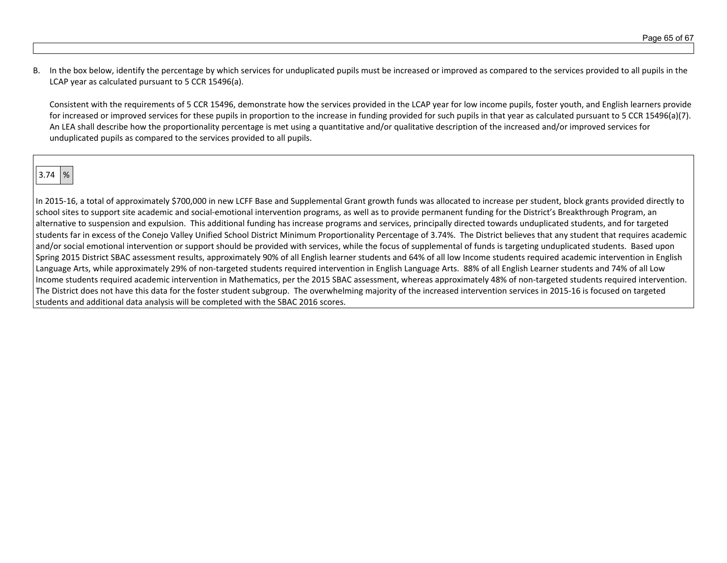B. In the box below, identify the percentage by which services for unduplicated pupils must be increased or improved as compared to the services provided to all pupils in the LCAP year as calculated pursuant to 5 CCR 15496(a).

Consistent with the requirements of 5 CCR 15496, demonstrate how the services provided in the LCAP year for low income pupils, foster youth, and English learners provide for increased or improved services for these pupils in proportion to the increase in funding provided for such pupils in that year as calculated pursuant to 5 CCR 15496(a)(7). An LEA shall describe how the proportionality percentage is met using a quantitative and/or qualitative description of the increased and/or improved services for unduplicated pupils as compared to the services provided to all pupils.

 $3.74 \ \ 8$ 

In 2015-16, a total of approximately \$700,000 in new LCFF Base and Supplemental Grant growth funds was allocated to increase per student, block grants provided directly to school sites to support site academic and social-emotional intervention programs, as well as to provide permanent funding for the District's Breakthrough Program, an alternative to suspension and expulsion. This additional funding has increase programs and services, principally directed towards unduplicated students, and for targeted students far in excess of the Conejo Valley Unified School District Minimum Proportionality Percentage of 3.74%. The District believes that any student that requires academic and/or social emotional intervention or support should be provided with services, while the focus of supplemental of funds is targeting unduplicated students. Based upon Spring 2015 District SBAC assessment results, approximately 90% of all English learner students and 64% of all low Income students required academic intervention in English Language Arts, while approximately 29% of non-targeted students required intervention in English Language Arts. 88% of all English Learner students and 74% of all Low Income students required academic intervention in Mathematics, per the 2015 SBAC assessment, whereas approximately 48% of non-targeted students required intervention. The District does not have this data for the foster student subgroup. The overwhelming majority of the increased intervention services in 2015-16 is focused on targeted students and additional data analysis will be completed with the SBAC 2016 scores.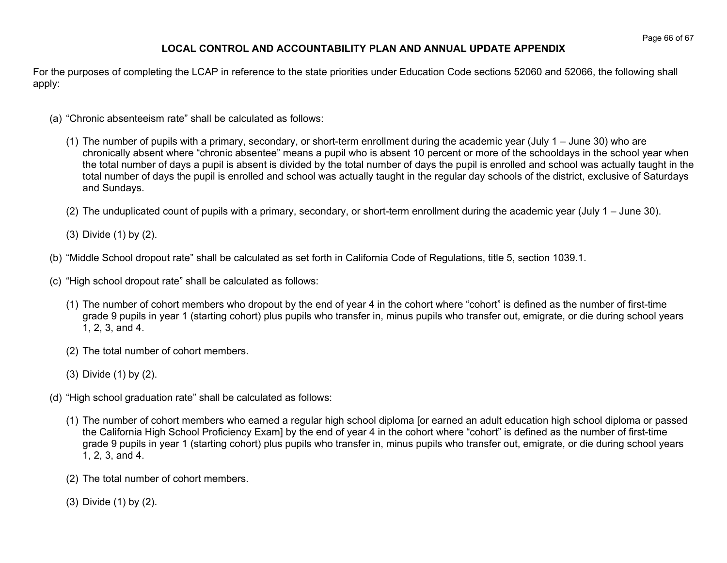# **LOCAL CONTROL AND ACCOUNTABILITY PLAN AND ANNUAL UPDATE APPENDIX**

For the purposes of completing the LCAP in reference to the state priorities under Education Code sections 52060 and 52066, the following shall apply:

- (a) "Chronic absenteeism rate" shall be calculated as follows:
	- (1) The number of pupils with a primary, secondary, or short-term enrollment during the academic year (July 1 June 30) who are chronically absent where "chronic absentee" means a pupil who is absent 10 percent or more of the schooldays in the school year when the total number of days a pupil is absent is divided by the total number of days the pupil is enrolled and school was actually taught in the total number of days the pupil is enrolled and school was actually taught in the regular day schools of the district, exclusive of Saturdays and Sundays.
	- (2) The unduplicated count of pupils with a primary, secondary, or short-term enrollment during the academic year (July 1 June 30).
	- (3) Divide (1) by (2).
- (b) "Middle School dropout rate" shall be calculated as set forth in California Code of Regulations, title 5, section 1039.1.
- (c) "High school dropout rate" shall be calculated as follows:
	- (1) The number of cohort members who dropout by the end of year 4 in the cohort where "cohort" is defined as the number of first-time grade 9 pupils in year 1 (starting cohort) plus pupils who transfer in, minus pupils who transfer out, emigrate, or die during school years 1, 2, 3, and 4.
	- (2) The total number of cohort members.
	- (3) Divide (1) by (2).
- (d) "High school graduation rate" shall be calculated as follows:
	- (1) The number of cohort members who earned a regular high school diploma [or earned an adult education high school diploma or passed the California High School Proficiency Exam] by the end of year 4 in the cohort where "cohort" is defined as the number of first-time grade 9 pupils in year 1 (starting cohort) plus pupils who transfer in, minus pupils who transfer out, emigrate, or die during school years 1, 2, 3, and 4.
	- (2) The total number of cohort members.
	- (3) Divide (1) by (2).